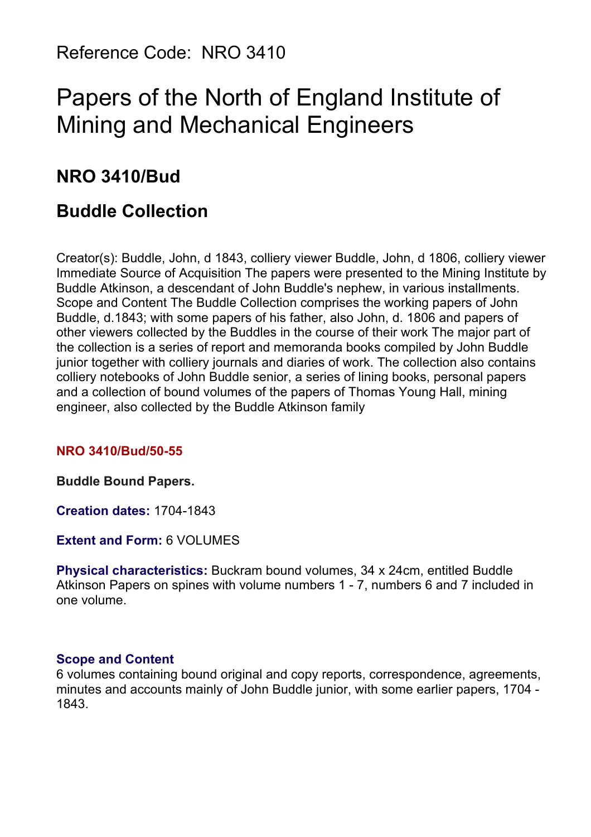Reference Code: NRO 3410

# Papers of the North of England Institute of Mining and Mechanical Engineers

# **NRO 3410/Bud**

# **Buddle Collection**

Creator(s): Buddle, John, d 1843, colliery viewer Buddle, John, d 1806, colliery viewer Immediate Source of Acquisition The papers were presented to the Mining Institute by Buddle Atkinson, a descendant of John Buddle's nephew, in various installments. Scope and Content The Buddle Collection comprises the working papers of John Buddle, d.1843; with some papers of his father, also John, d. 1806 and papers of other viewers collected by the Buddles in the course of their work The major part of the collection is a series of report and memoranda books compiled by John Buddle junior together with colliery journals and diaries of work. The collection also contains colliery notebooks of John Buddle senior, a series of lining books, personal papers and a collection of bound volumes of the papers of Thomas Young Hall, mining engineer, also collected by the Buddle Atkinson family

#### **NRO 3410/Bud/50-55**

**Buddle Bound Papers.**

**Creation dates:** 1704-1843

**Extent and Form:** 6 VOLUMES

**Physical characteristics:** Buckram bound volumes, 34 x 24cm, entitled Buddle Atkinson Papers on spines with volume numbers 1 - 7, numbers 6 and 7 included in one volume.

#### **Scope and Content**

6 volumes containing bound original and copy reports, correspondence, agreements, minutes and accounts mainly of John Buddle junior, with some earlier papers, 1704 - 1843.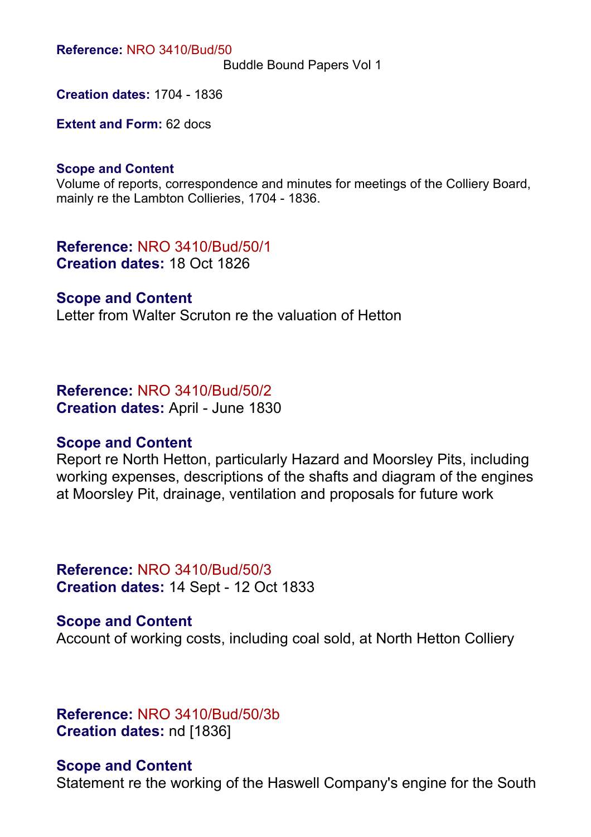**Reference:** NRO 3410/Bud/50

Buddle Bound Papers Vol 1

**Creation dates:** 1704 - 1836

**Extent and Form:** 62 docs

#### **Scope and Content**

Volume of reports, correspondence and minutes for meetings of the Colliery Board, mainly re the Lambton Collieries, 1704 - 1836.

**Reference:** NRO 3410/Bud/50/1 **Creation dates:** 18 Oct 1826

# **Scope and Content**

Letter from Walter Scruton re the valuation of Hetton

#### **Reference:** NRO 3410/Bud/50/2

**Creation dates:** April - June 1830

#### **Scope and Content**

Report re North Hetton, particularly Hazard and Moorsley Pits, including working expenses, descriptions of the shafts and diagram of the engines at Moorsley Pit, drainage, ventilation and proposals for future work

**Reference:** NRO 3410/Bud/50/3 **Creation dates:** 14 Sept - 12 Oct 1833

**Scope and Content** Account of working costs, including coal sold, at North Hetton Colliery

**Reference:** NRO 3410/Bud/50/3b **Creation dates:** nd [1836]

#### **Scope and Content**

Statement re the working of the Haswell Company's engine for the South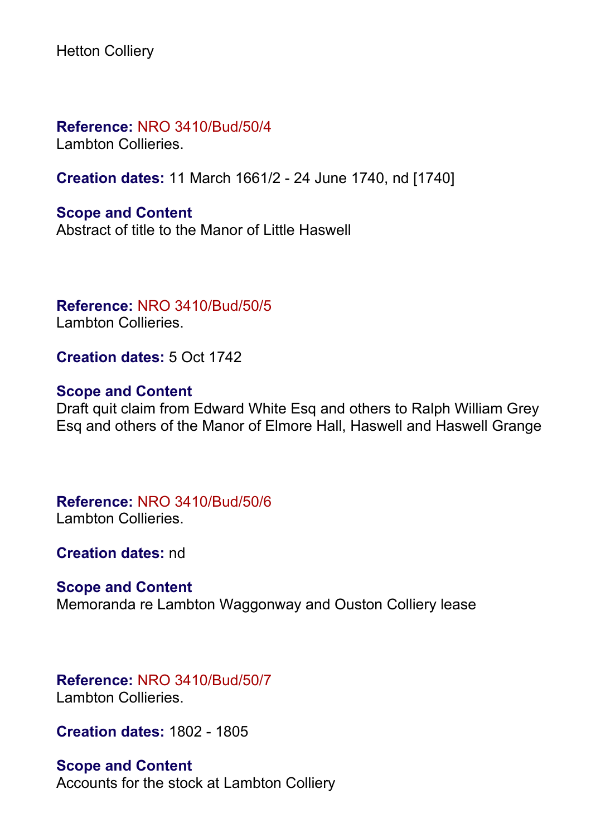Hetton Colliery

**Reference:** NRO 3410/Bud/50/4

Lambton Collieries.

**Creation dates:** 11 March 1661/2 - 24 June 1740, nd [1740]

**Scope and Content** Abstract of title to the Manor of Little Haswell

**Reference:** NRO 3410/Bud/50/5 Lambton Collieries.

**Creation dates:** 5 Oct 1742

# **Scope and Content**

Draft quit claim from Edward White Esq and others to Ralph William Grey Esq and others of the Manor of Elmore Hall, Haswell and Haswell Grange

**Reference:** NRO 3410/Bud/50/6 Lambton Collieries.

**Creation dates:** nd

**Scope and Content** Memoranda re Lambton Waggonway and Ouston Colliery lease

**Reference:** NRO 3410/Bud/50/7 Lambton Collieries.

**Creation dates:** 1802 - 1805

**Scope and Content** Accounts for the stock at Lambton Colliery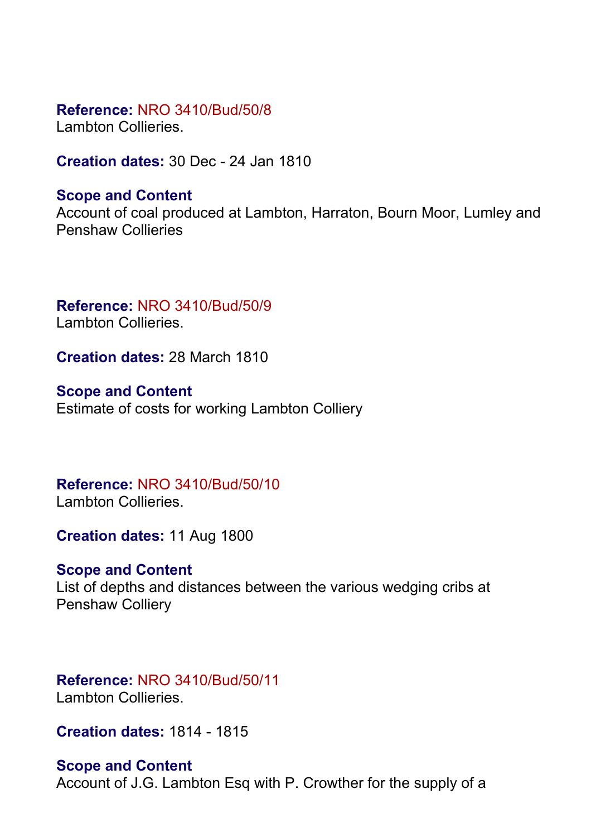# **Reference:** NRO 3410/Bud/50/8

Lambton Collieries.

**Creation dates:** 30 Dec - 24 Jan 1810

# **Scope and Content**

Account of coal produced at Lambton, Harraton, Bourn Moor, Lumley and Penshaw Collieries

**Reference:** NRO 3410/Bud/50/9 Lambton Collieries.

**Creation dates:** 28 March 1810

**Scope and Content** Estimate of costs for working Lambton Colliery

#### **Reference:** NRO 3410/Bud/50/10 Lambton Collieries.

**Creation dates:** 11 Aug 1800

# **Scope and Content**

List of depths and distances between the various wedging cribs at Penshaw Colliery

# **Reference:** NRO 3410/Bud/50/11 Lambton Collieries.

**Creation dates:** 1814 - 1815

# **Scope and Content**

Account of J.G. Lambton Esq with P. Crowther for the supply of a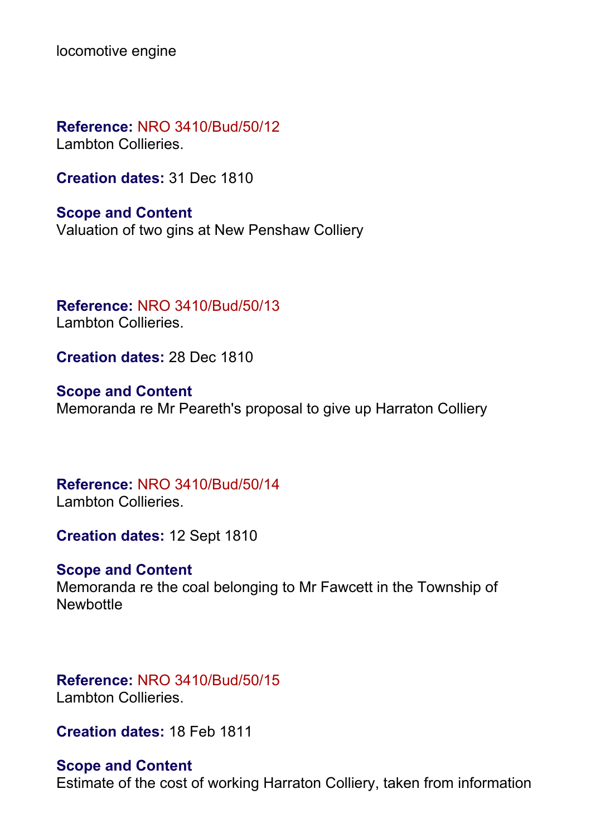locomotive engine

**Reference:** NRO 3410/Bud/50/12 Lambton Collieries.

**Creation dates:** 31 Dec 1810

**Scope and Content** Valuation of two gins at New Penshaw Colliery

**Reference:** NRO 3410/Bud/50/13 Lambton Collieries.

**Creation dates:** 28 Dec 1810

**Scope and Content** Memoranda re Mr Peareth's proposal to give up Harraton Colliery

**Reference:** NRO 3410/Bud/50/14 Lambton Collieries.

**Creation dates:** 12 Sept 1810

#### **Scope and Content**

Memoranda re the coal belonging to Mr Fawcett in the Township of **Newbottle** 

**Reference:** NRO 3410/Bud/50/15 Lambton Collieries.

**Creation dates:** 18 Feb 1811

#### **Scope and Content**

Estimate of the cost of working Harraton Colliery, taken from information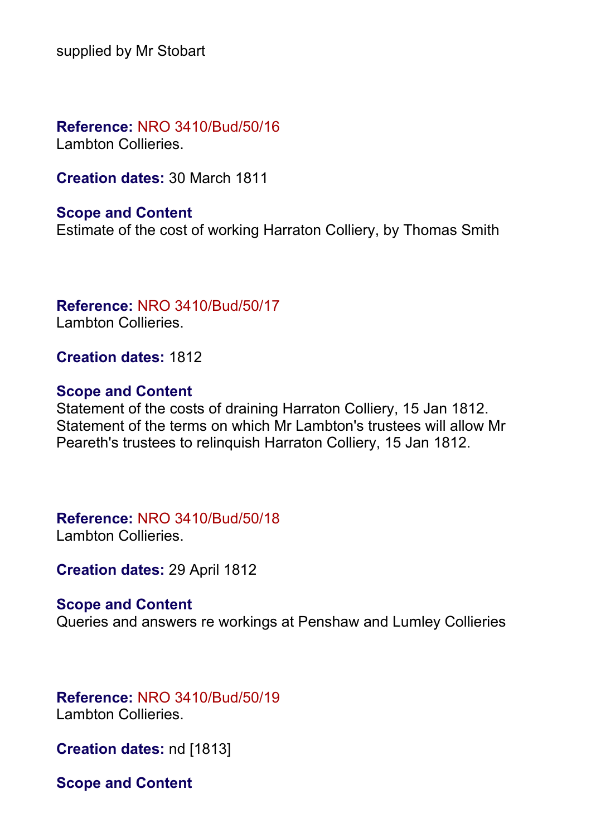supplied by Mr Stobart

**Reference:** NRO 3410/Bud/50/16 Lambton Collieries.

**Creation dates:** 30 March 1811

#### **Scope and Content**

Estimate of the cost of working Harraton Colliery, by Thomas Smith

#### **Reference:** NRO 3410/Bud/50/17 Lambton Collieries.

**Creation dates:** 1812

#### **Scope and Content**

Statement of the costs of draining Harraton Colliery, 15 Jan 1812. Statement of the terms on which Mr Lambton's trustees will allow Mr Peareth's trustees to relinquish Harraton Colliery, 15 Jan 1812.

# **Reference:** NRO 3410/Bud/50/18

Lambton Collieries.

**Creation dates:** 29 April 1812

#### **Scope and Content**

Queries and answers re workings at Penshaw and Lumley Collieries

# **Reference:** NRO 3410/Bud/50/19

Lambton Collieries.

**Creation dates:** nd [1813]

**Scope and Content**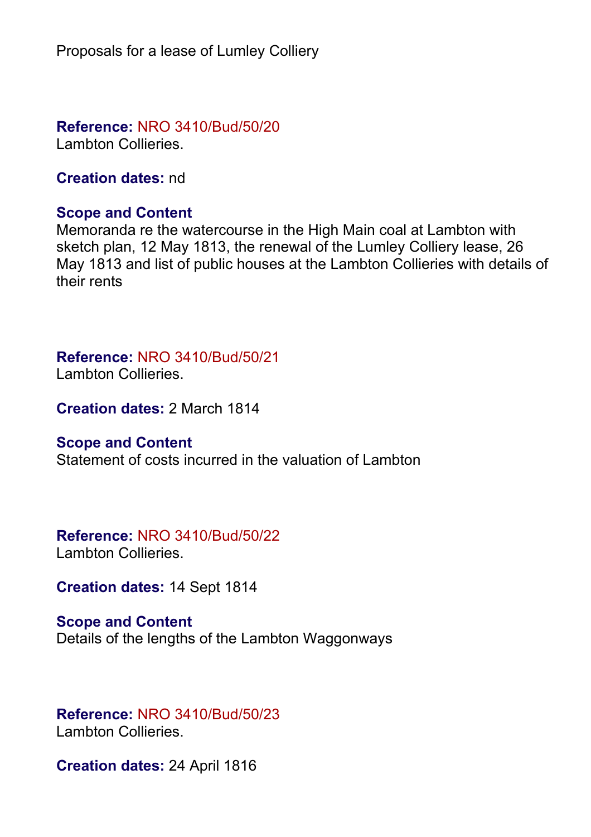Proposals for a lease of Lumley Colliery

**Reference:** NRO 3410/Bud/50/20

Lambton Collieries.

**Creation dates:** nd

# **Scope and Content**

Memoranda re the watercourse in the High Main coal at Lambton with sketch plan, 12 May 1813, the renewal of the Lumley Colliery lease, 26 May 1813 and list of public houses at the Lambton Collieries with details of their rents

# **Reference:** NRO 3410/Bud/50/21

Lambton Collieries.

**Creation dates:** 2 March 1814

# **Scope and Content**

Statement of costs incurred in the valuation of Lambton

# **Reference:** NRO 3410/Bud/50/22

Lambton Collieries.

**Creation dates:** 14 Sept 1814

# **Scope and Content** Details of the lengths of the Lambton Waggonways

# **Reference:** NRO 3410/Bud/50/23

Lambton Collieries.

**Creation dates:** 24 April 1816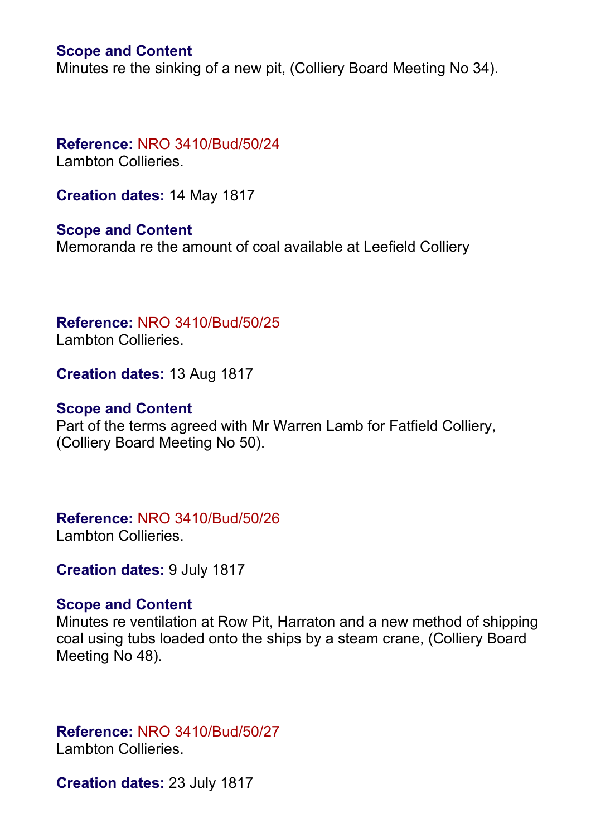## **Scope and Content**

Minutes re the sinking of a new pit, (Colliery Board Meeting No 34).

# **Reference:** NRO 3410/Bud/50/24

Lambton Collieries.

**Creation dates:** 14 May 1817

**Scope and Content** Memoranda re the amount of coal available at Leefield Colliery

**Reference:** NRO 3410/Bud/50/25 Lambton Collieries.

**Creation dates:** 13 Aug 1817

#### **Scope and Content**

Part of the terms agreed with Mr Warren Lamb for Fatfield Colliery, (Colliery Board Meeting No 50).

**Reference:** NRO 3410/Bud/50/26 Lambton Collieries.

**Creation dates:** 9 July 1817

# **Scope and Content**

Minutes re ventilation at Row Pit, Harraton and a new method of shipping coal using tubs loaded onto the ships by a steam crane, (Colliery Board Meeting No 48).

**Reference:** NRO 3410/Bud/50/27 Lambton Collieries.

**Creation dates:** 23 July 1817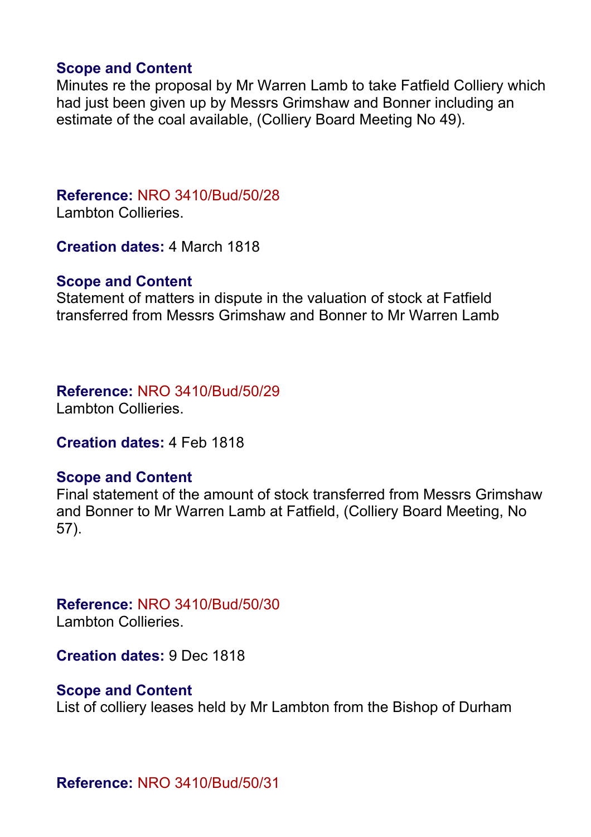# **Scope and Content**

Minutes re the proposal by Mr Warren Lamb to take Fatfield Colliery which had just been given up by Messrs Grimshaw and Bonner including an estimate of the coal available, (Colliery Board Meeting No 49).

# **Reference:** NRO 3410/Bud/50/28

Lambton Collieries.

**Creation dates:** 4 March 1818

# **Scope and Content**

Statement of matters in dispute in the valuation of stock at Fatfield transferred from Messrs Grimshaw and Bonner to Mr Warren Lamb

# **Reference:** NRO 3410/Bud/50/29

Lambton Collieries.

**Creation dates:** 4 Feb 1818

# **Scope and Content**

Final statement of the amount of stock transferred from Messrs Grimshaw and Bonner to Mr Warren Lamb at Fatfield, (Colliery Board Meeting, No 57).

# **Reference:** NRO 3410/Bud/50/30

Lambton Collieries.

**Creation dates:** 9 Dec 1818

# **Scope and Content**

List of colliery leases held by Mr Lambton from the Bishop of Durham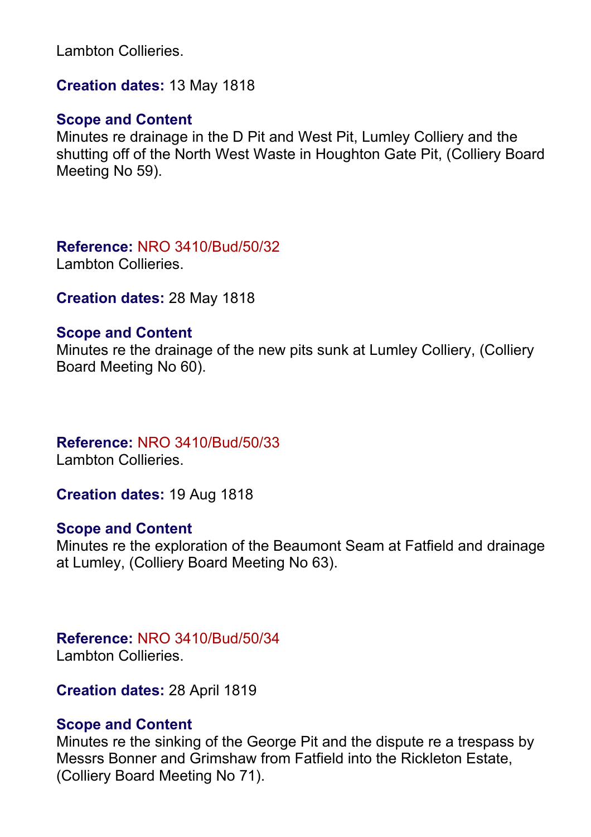Lambton Collieries.

**Creation dates:** 13 May 1818

#### **Scope and Content**

Minutes re drainage in the D Pit and West Pit, Lumley Colliery and the shutting off of the North West Waste in Houghton Gate Pit, (Colliery Board Meeting No 59).

**Reference:** NRO 3410/Bud/50/32

Lambton Collieries.

**Creation dates:** 28 May 1818

# **Scope and Content**

Minutes re the drainage of the new pits sunk at Lumley Colliery, (Colliery Board Meeting No 60).

# **Reference:** NRO 3410/Bud/50/33

Lambton Collieries.

**Creation dates:** 19 Aug 1818

# **Scope and Content**

Minutes re the exploration of the Beaumont Seam at Fatfield and drainage at Lumley, (Colliery Board Meeting No 63).

# **Reference:** NRO 3410/Bud/50/34

Lambton Collieries.

**Creation dates:** 28 April 1819

# **Scope and Content**

Minutes re the sinking of the George Pit and the dispute re a trespass by Messrs Bonner and Grimshaw from Fatfield into the Rickleton Estate, (Colliery Board Meeting No 71).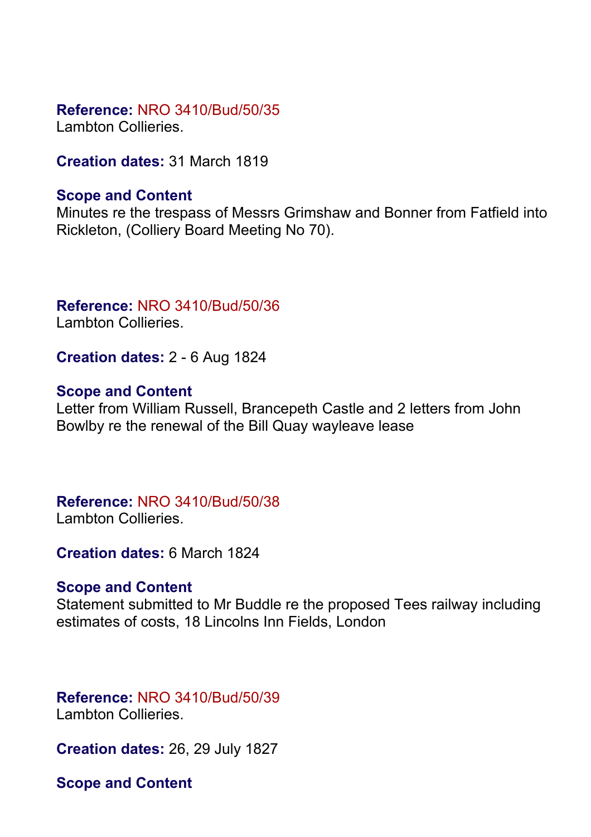**Reference:** NRO 3410/Bud/50/35

Lambton Collieries.

**Creation dates:** 31 March 1819

# **Scope and Content**

Minutes re the trespass of Messrs Grimshaw and Bonner from Fatfield into Rickleton, (Colliery Board Meeting No 70).

# **Reference:** NRO 3410/Bud/50/36

Lambton Collieries.

**Creation dates:** 2 - 6 Aug 1824

# **Scope and Content**

Letter from William Russell, Brancepeth Castle and 2 letters from John Bowlby re the renewal of the Bill Quay wayleave lease

# **Reference:** NRO 3410/Bud/50/38

Lambton Collieries.

**Creation dates:** 6 March 1824

# **Scope and Content**

Statement submitted to Mr Buddle re the proposed Tees railway including estimates of costs, 18 Lincolns Inn Fields, London

# **Reference:** NRO 3410/Bud/50/39

Lambton Collieries.

**Creation dates:** 26, 29 July 1827

**Scope and Content**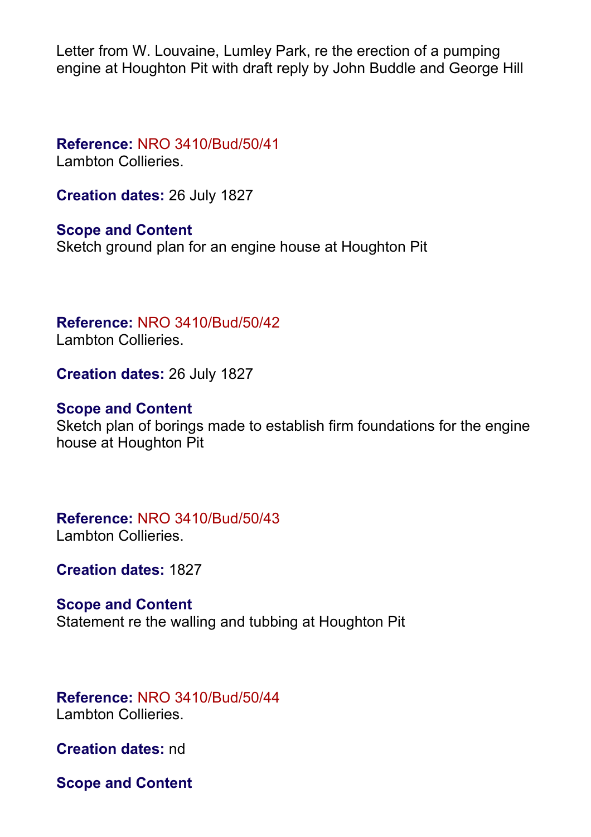Letter from W. Louvaine, Lumley Park, re the erection of a pumping engine at Houghton Pit with draft reply by John Buddle and George Hill

**Reference:** NRO 3410/Bud/50/41

Lambton Collieries.

**Creation dates:** 26 July 1827

**Scope and Content** Sketch ground plan for an engine house at Houghton Pit

**Reference:** NRO 3410/Bud/50/42 Lambton Collieries.

**Creation dates:** 26 July 1827

# **Scope and Content**

Sketch plan of borings made to establish firm foundations for the engine house at Houghton Pit

**Reference:** NRO 3410/Bud/50/43

Lambton Collieries.

**Creation dates:** 1827

# **Scope and Content**

Statement re the walling and tubbing at Houghton Pit

# **Reference:** NRO 3410/Bud/50/44

Lambton Collieries.

**Creation dates:** nd

**Scope and Content**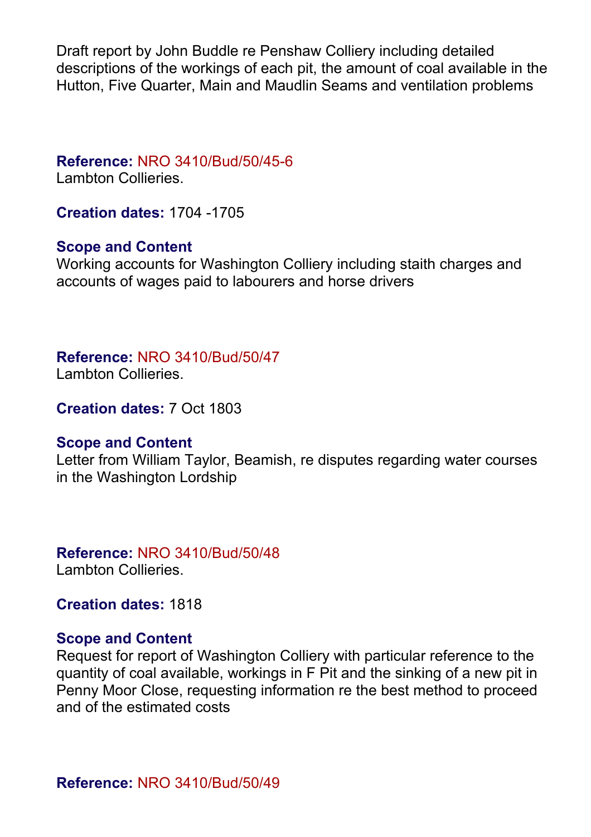Draft report by John Buddle re Penshaw Colliery including detailed descriptions of the workings of each pit, the amount of coal available in the Hutton, Five Quarter, Main and Maudlin Seams and ventilation problems

# **Reference:** NRO 3410/Bud/50/45-6

Lambton Collieries.

**Creation dates:** 1704 -1705

# **Scope and Content**

Working accounts for Washington Colliery including staith charges and accounts of wages paid to labourers and horse drivers

# **Reference:** NRO 3410/Bud/50/47

Lambton Collieries.

**Creation dates:** 7 Oct 1803

# **Scope and Content**

Letter from William Taylor, Beamish, re disputes regarding water courses in the Washington Lordship

# **Reference:** NRO 3410/Bud/50/48

Lambton Collieries.

**Creation dates:** 1818

# **Scope and Content**

Request for report of Washington Colliery with particular reference to the quantity of coal available, workings in F Pit and the sinking of a new pit in Penny Moor Close, requesting information re the best method to proceed and of the estimated costs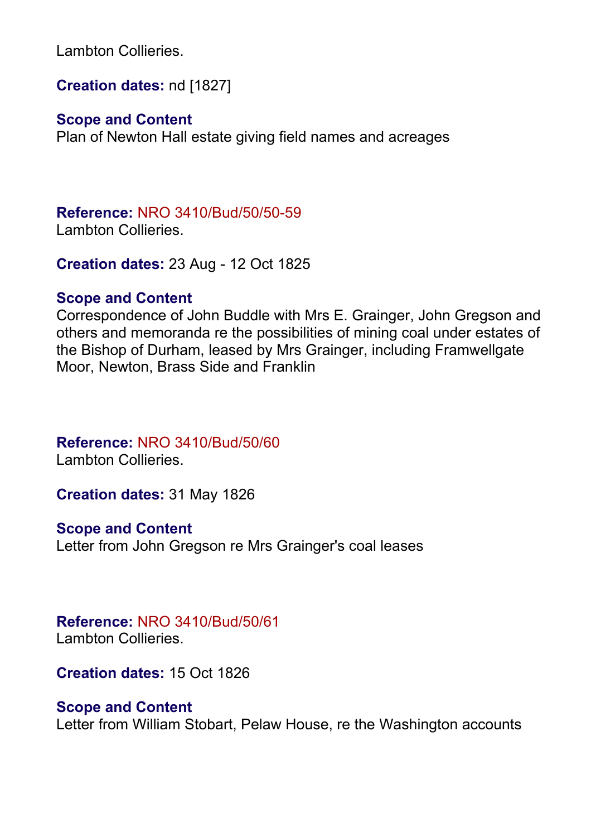Lambton Collieries.

**Creation dates:** nd [1827]

# **Scope and Content**

Plan of Newton Hall estate giving field names and acreages

**Reference:** NRO 3410/Bud/50/50-59

Lambton Collieries.

**Creation dates:** 23 Aug - 12 Oct 1825

# **Scope and Content**

Correspondence of John Buddle with Mrs E. Grainger, John Gregson and others and memoranda re the possibilities of mining coal under estates of the Bishop of Durham, leased by Mrs Grainger, including Framwellgate Moor, Newton, Brass Side and Franklin

**Reference:** NRO 3410/Bud/50/60 Lambton Collieries.

**Creation dates:** 31 May 1826

**Scope and Content**

Letter from John Gregson re Mrs Grainger's coal leases

**Reference:** NRO 3410/Bud/50/61 Lambton Collieries.

**Creation dates:** 15 Oct 1826

# **Scope and Content**

Letter from William Stobart, Pelaw House, re the Washington accounts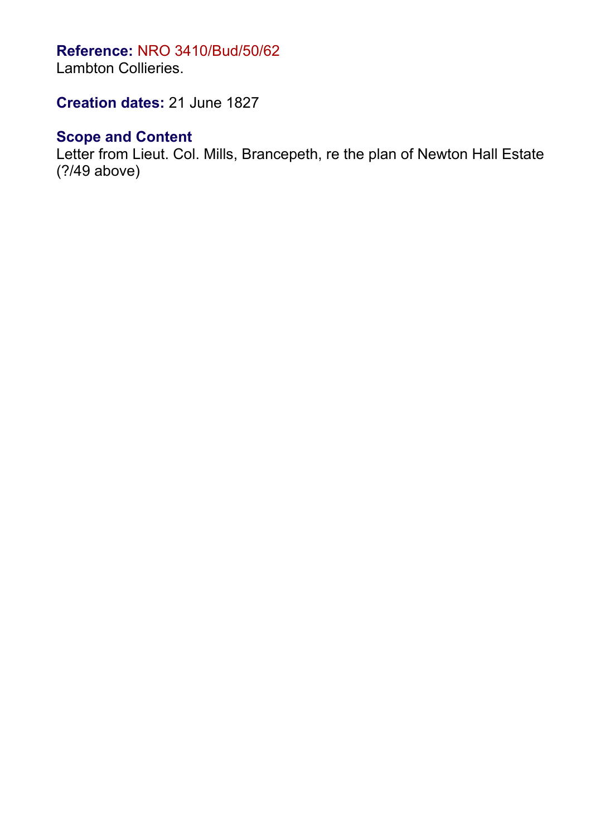# **Reference:** NRO 3410/Bud/50/62

Lambton Collieries.

**Creation dates:** 21 June 1827

# **Scope and Content**

Letter from Lieut. Col. Mills, Brancepeth, re the plan of Newton Hall Estate (?/49 above)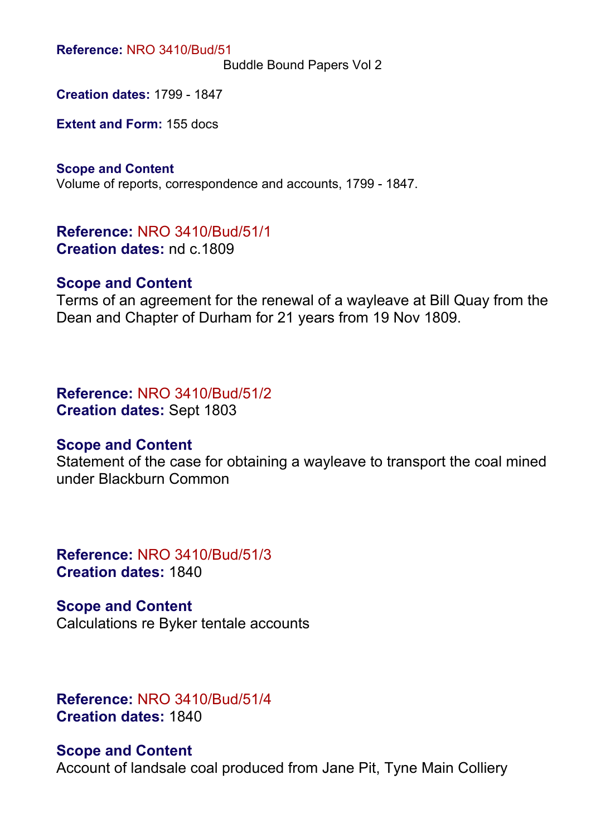**Reference:** NRO 3410/Bud/51

Buddle Bound Papers Vol 2

**Creation dates:** 1799 - 1847

**Extent and Form:** 155 docs

**Scope and Content** Volume of reports, correspondence and accounts, 1799 - 1847.

**Reference:** NRO 3410/Bud/51/1 **Creation dates:** nd c.1809

#### **Scope and Content**

Terms of an agreement for the renewal of a wayleave at Bill Quay from the Dean and Chapter of Durham for 21 years from 19 Nov 1809.

**Reference:** NRO 3410/Bud/51/2 **Creation dates:** Sept 1803

# **Scope and Content**

Statement of the case for obtaining a wayleave to transport the coal mined under Blackburn Common

**Reference:** NRO 3410/Bud/51/3 **Creation dates:** 1840

**Scope and Content** Calculations re Byker tentale accounts

**Reference:** NRO 3410/Bud/51/4 **Creation dates:** 1840

#### **Scope and Content**

Account of landsale coal produced from Jane Pit, Tyne Main Colliery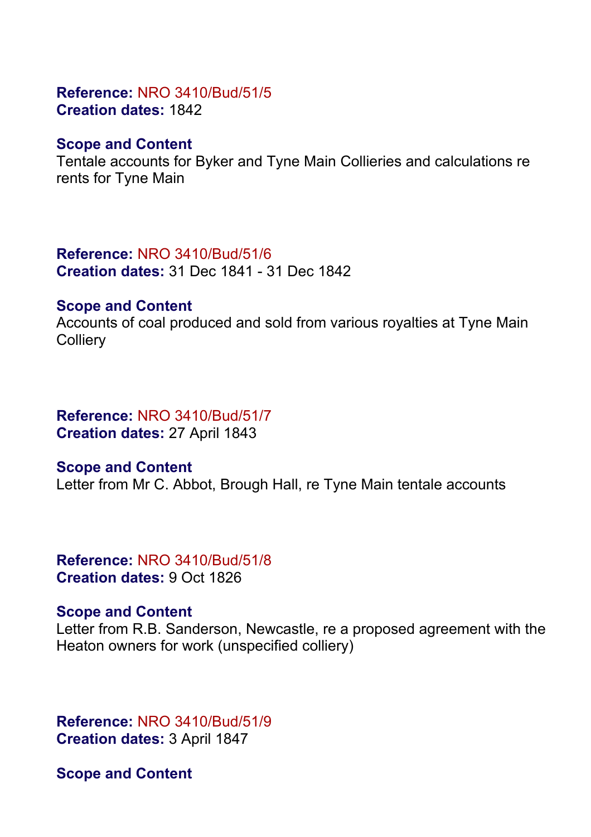# **Reference:** NRO 3410/Bud/51/5 **Creation dates:** 1842

# **Scope and Content**

Tentale accounts for Byker and Tyne Main Collieries and calculations re rents for Tyne Main

# **Reference:** NRO 3410/Bud/51/6

**Creation dates:** 31 Dec 1841 - 31 Dec 1842

# **Scope and Content**

Accounts of coal produced and sold from various royalties at Tyne Main **Colliery** 

# **Reference:** NRO 3410/Bud/51/7

**Creation dates:** 27 April 1843

# **Scope and Content**

Letter from Mr C. Abbot, Brough Hall, re Tyne Main tentale accounts

# **Reference:** NRO 3410/Bud/51/8 **Creation dates:** 9 Oct 1826

# **Scope and Content**

Letter from R.B. Sanderson, Newcastle, re a proposed agreement with the Heaton owners for work (unspecified colliery)

**Reference:** NRO 3410/Bud/51/9 **Creation dates:** 3 April 1847

**Scope and Content**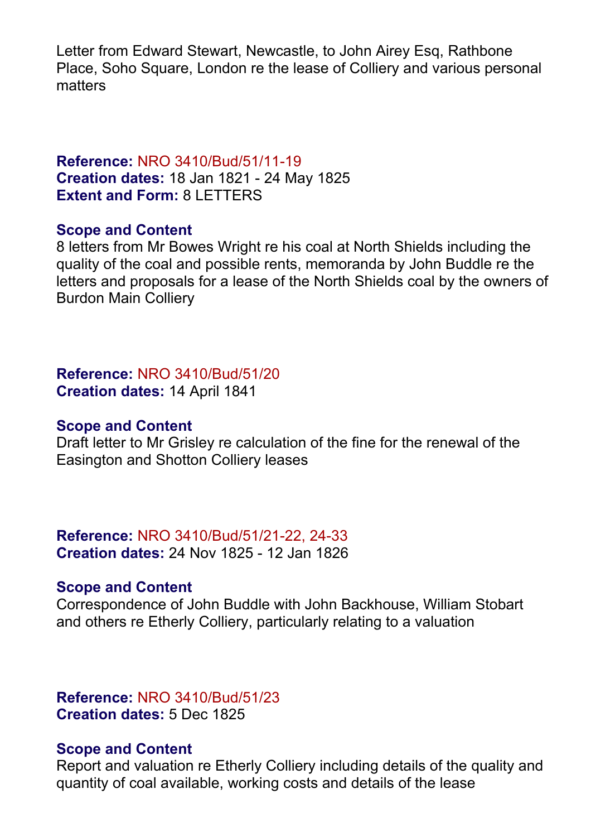Letter from Edward Stewart, Newcastle, to John Airey Esg. Rathbone Place, Soho Square, London re the lease of Colliery and various personal matters

# **Reference:** NRO 3410/Bud/51/11-19 **Creation dates:** 18 Jan 1821 - 24 May 1825 **Extent and Form:** 8 LETTERS

#### **Scope and Content**

8 letters from Mr Bowes Wright re his coal at North Shields including the quality of the coal and possible rents, memoranda by John Buddle re the letters and proposals for a lease of the North Shields coal by the owners of Burdon Main Colliery

**Reference:** NRO 3410/Bud/51/20 **Creation dates:** 14 April 1841

#### **Scope and Content**

Draft letter to Mr Grisley re calculation of the fine for the renewal of the Easington and Shotton Colliery leases

**Reference:** NRO 3410/Bud/51/21-22, 24-33 **Creation dates:** 24 Nov 1825 - 12 Jan 1826

#### **Scope and Content**

Correspondence of John Buddle with John Backhouse, William Stobart and others re Etherly Colliery, particularly relating to a valuation

**Reference:** NRO 3410/Bud/51/23 **Creation dates:** 5 Dec 1825

#### **Scope and Content**

Report and valuation re Etherly Colliery including details of the quality and quantity of coal available, working costs and details of the lease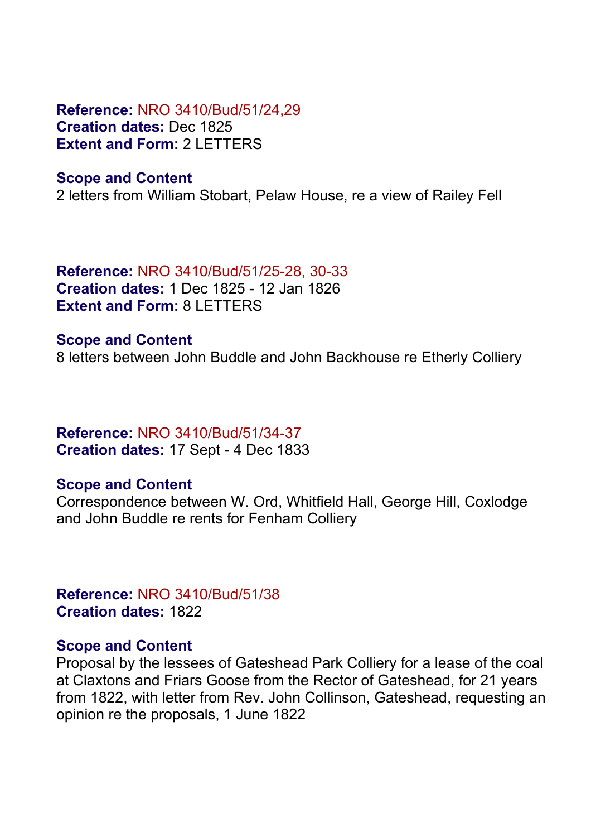**Reference:** NRO 3410/Bud/51/24,29 **Creation dates:** Dec 1825 **Extent and Form:** 2 LETTERS

#### **Scope and Content**

2 letters from William Stobart, Pelaw House, re a view of Railey Fell

**Reference:** NRO 3410/Bud/51/25-28, 30-33 **Creation dates:** 1 Dec 1825 - 12 Jan 1826 **Extent and Form:** 8 LETTERS

**Scope and Content** 8 letters between John Buddle and John Backhouse re Etherly Colliery

# **Reference:** NRO 3410/Bud/51/34-37 **Creation dates:** 17 Sept - 4 Dec 1833

#### **Scope and Content**

Correspondence between W. Ord, Whitfield Hall, George Hill, Coxlodge and John Buddle re rents for Fenham Colliery

**Reference:** NRO 3410/Bud/51/38 **Creation dates:** 1822

#### **Scope and Content**

Proposal by the lessees of Gateshead Park Colliery for a lease of the coal at Claxtons and Friars Goose from the Rector of Gateshead, for 21 years from 1822, with letter from Rev. John Collinson, Gateshead, requesting an opinion re the proposals, 1 June 1822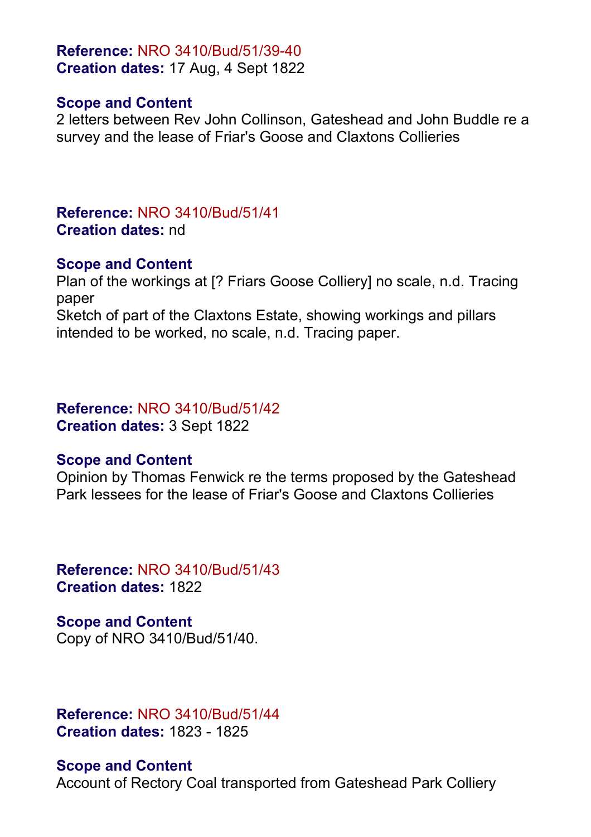**Reference:** NRO 3410/Bud/51/39-40 **Creation dates:** 17 Aug, 4 Sept 1822

#### **Scope and Content**

2 letters between Rev John Collinson, Gateshead and John Buddle re a survey and the lease of Friar's Goose and Claxtons Collieries

# **Reference:** NRO 3410/Bud/51/41 **Creation dates:** nd

# **Scope and Content**

Plan of the workings at [? Friars Goose Colliery] no scale, n.d. Tracing paper Sketch of part of the Claxtons Estate, showing workings and pillars intended to be worked, no scale, n.d. Tracing paper.

#### **Reference:** NRO 3410/Bud/51/42 **Creation dates:** 3 Sept 1822

# **Scope and Content**

Opinion by Thomas Fenwick re the terms proposed by the Gateshead Park lessees for the lease of Friar's Goose and Claxtons Collieries

**Reference:** NRO 3410/Bud/51/43 **Creation dates:** 1822

**Scope and Content** Copy of NRO 3410/Bud/51/40.

**Reference:** NRO 3410/Bud/51/44 **Creation dates:** 1823 - 1825

**Scope and Content** Account of Rectory Coal transported from Gateshead Park Colliery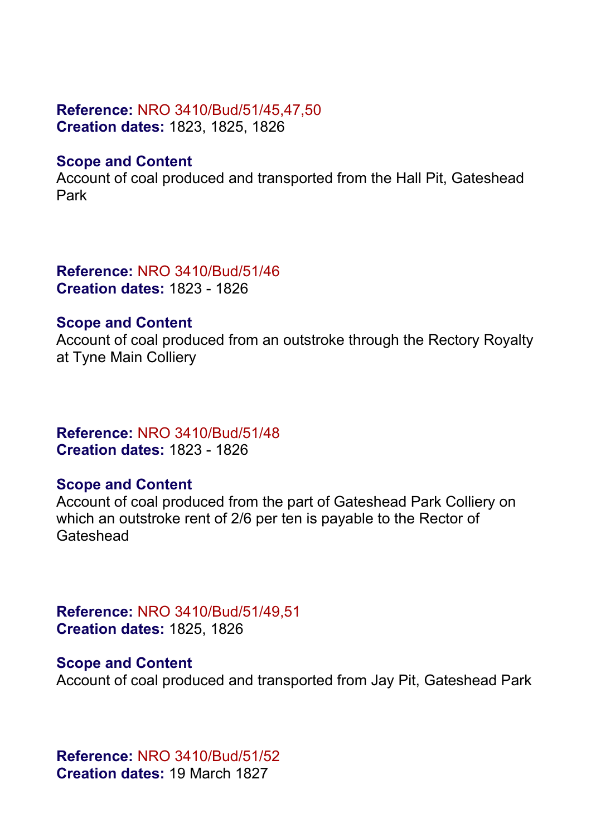#### **Reference:** NRO 3410/Bud/51/45,47,50 **Creation dates:** 1823, 1825, 1826

# **Scope and Content**

Account of coal produced and transported from the Hall Pit, Gateshead Park

**Reference:** NRO 3410/Bud/51/46 **Creation dates:** 1823 - 1826

#### **Scope and Content**

Account of coal produced from an outstroke through the Rectory Royalty at Tyne Main Colliery

**Reference:** NRO 3410/Bud/51/48 **Creation dates:** 1823 - 1826

# **Scope and Content**

Account of coal produced from the part of Gateshead Park Colliery on which an outstroke rent of 2/6 per ten is payable to the Rector of **Gateshead** 

**Reference:** NRO 3410/Bud/51/49,51 **Creation dates:** 1825, 1826

#### **Scope and Content**

Account of coal produced and transported from Jay Pit, Gateshead Park

**Reference:** NRO 3410/Bud/51/52 **Creation dates:** 19 March 1827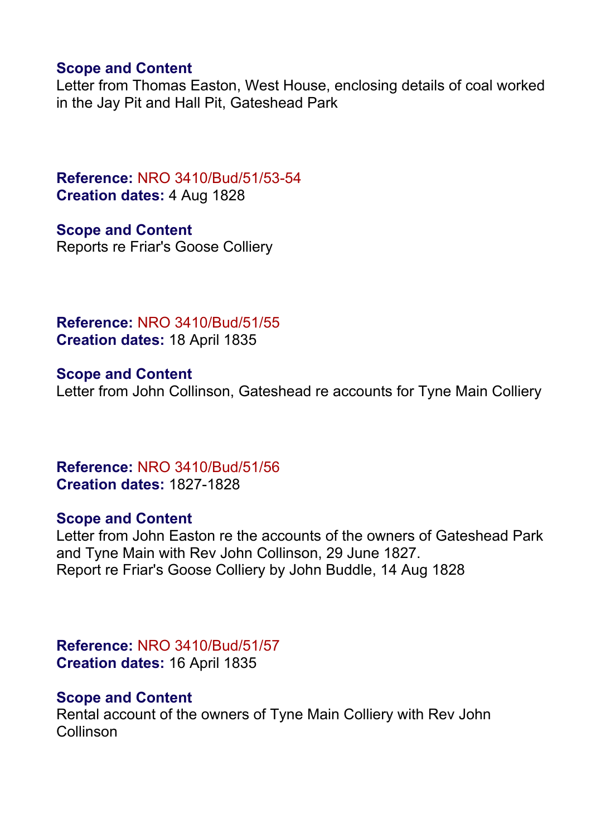## **Scope and Content**

Letter from Thomas Easton, West House, enclosing details of coal worked in the Jay Pit and Hall Pit, Gateshead Park

**Reference:** NRO 3410/Bud/51/53-54 **Creation dates:** 4 Aug 1828

**Scope and Content** Reports re Friar's Goose Colliery

**Reference:** NRO 3410/Bud/51/55 **Creation dates:** 18 April 1835

**Scope and Content** Letter from John Collinson, Gateshead re accounts for Tyne Main Colliery

**Reference:** NRO 3410/Bud/51/56 **Creation dates:** 1827-1828

#### **Scope and Content**

Letter from John Easton re the accounts of the owners of Gateshead Park and Tyne Main with Rev John Collinson, 29 June 1827. Report re Friar's Goose Colliery by John Buddle, 14 Aug 1828

**Reference:** NRO 3410/Bud/51/57 **Creation dates:** 16 April 1835

# **Scope and Content**

Rental account of the owners of Tyne Main Colliery with Rev John Collinson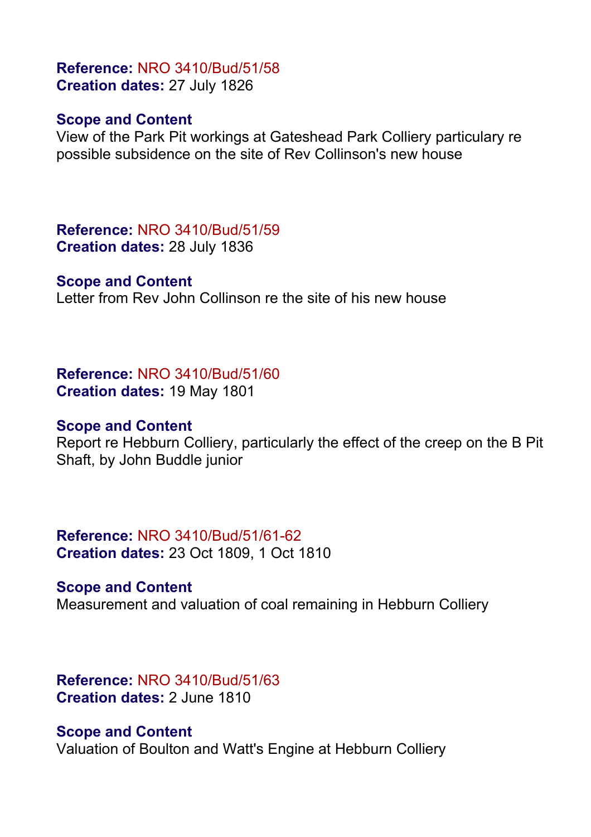# **Reference:** NRO 3410/Bud/51/58 **Creation dates:** 27 July 1826

#### **Scope and Content**

View of the Park Pit workings at Gateshead Park Colliery particulary re possible subsidence on the site of Rev Collinson's new house

**Reference:** NRO 3410/Bud/51/59 **Creation dates:** 28 July 1836

#### **Scope and Content**

Letter from Rev John Collinson re the site of his new house

**Reference:** NRO 3410/Bud/51/60 **Creation dates:** 19 May 1801

#### **Scope and Content**

Report re Hebburn Colliery, particularly the effect of the creep on the B Pit Shaft, by John Buddle junior

**Reference:** NRO 3410/Bud/51/61-62 **Creation dates:** 23 Oct 1809, 1 Oct 1810

#### **Scope and Content**

Measurement and valuation of coal remaining in Hebburn Colliery

**Reference:** NRO 3410/Bud/51/63 **Creation dates:** 2 June 1810

#### **Scope and Content**

Valuation of Boulton and Watt's Engine at Hebburn Colliery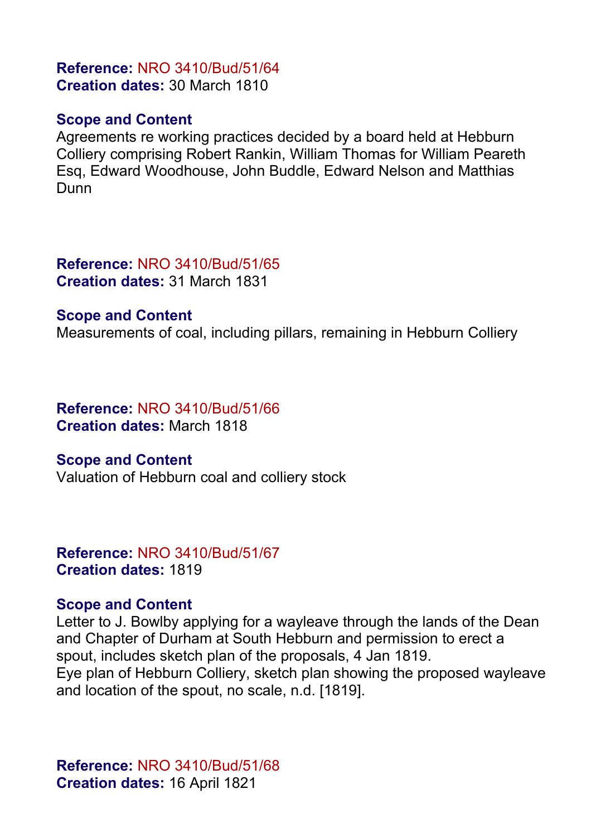# **Reference:** NRO 3410/Bud/51/64 **Creation dates:** 30 March 1810

# **Scope and Content**

Agreements re working practices decided by a board held at Hebburn Colliery comprising Robert Rankin, William Thomas for William Peareth Esq, Edward Woodhouse, John Buddle, Edward Nelson and Matthias Dunn

**Reference:** NRO 3410/Bud/51/65 **Creation dates:** 31 March 1831

#### **Scope and Content**

Measurements of coal, including pillars, remaining in Hebburn Colliery

# **Reference:** NRO 3410/Bud/51/66 **Creation dates:** March 1818

# **Scope and Content**

Valuation of Hebburn coal and colliery stock

#### **Reference:** NRO 3410/Bud/51/67 **Creation dates:** 1819

# **Scope and Content**

Letter to J. Bowlby applying for a wayleave through the lands of the Dean and Chapter of Durham at South Hebburn and permission to erect a spout, includes sketch plan of the proposals, 4 Jan 1819. Eye plan of Hebburn Colliery, sketch plan showing the proposed wayleave and location of the spout, no scale, n.d. [1819].

**Reference:** NRO 3410/Bud/51/68 **Creation dates:** 16 April 1821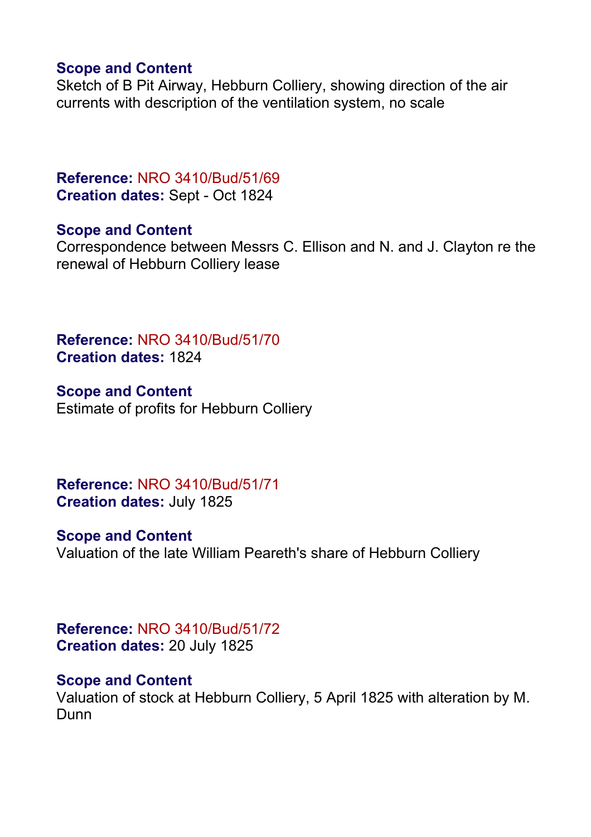# **Scope and Content**

Sketch of B Pit Airway, Hebburn Colliery, showing direction of the air currents with description of the ventilation system, no scale

# **Reference:** NRO 3410/Bud/51/69 **Creation dates:** Sept - Oct 1824

# **Scope and Content**

Correspondence between Messrs C. Ellison and N. and J. Clayton re the renewal of Hebburn Colliery lease

**Reference:** NRO 3410/Bud/51/70 **Creation dates:** 1824

**Scope and Content** Estimate of profits for Hebburn Colliery

**Reference:** NRO 3410/Bud/51/71 **Creation dates:** July 1825

**Scope and Content** Valuation of the late William Peareth's share of Hebburn Colliery

**Reference:** NRO 3410/Bud/51/72 **Creation dates:** 20 July 1825

#### **Scope and Content**

Valuation of stock at Hebburn Colliery, 5 April 1825 with alteration by M. Dunn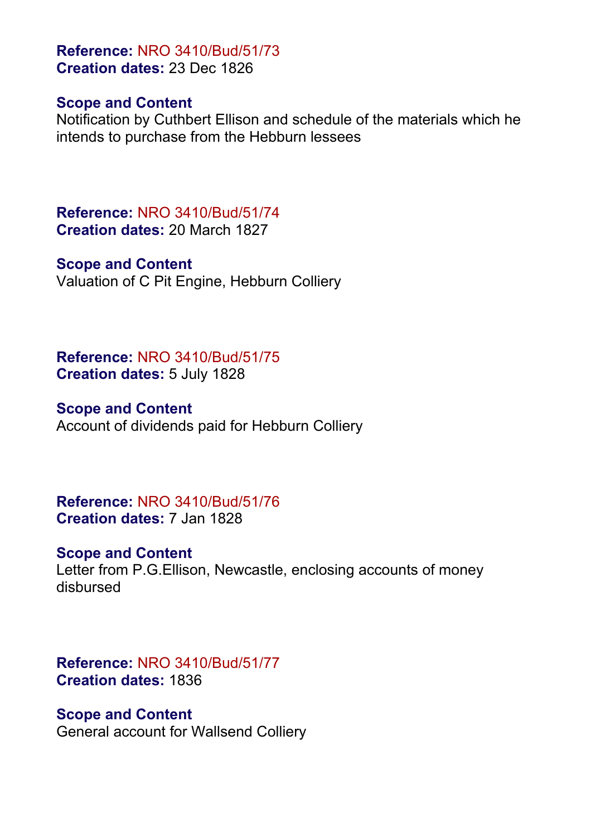**Reference:** NRO 3410/Bud/51/73 **Creation dates:** 23 Dec 1826

#### **Scope and Content**

Notification by Cuthbert Ellison and schedule of the materials which he intends to purchase from the Hebburn lessees

**Reference:** NRO 3410/Bud/51/74 **Creation dates:** 20 March 1827

#### **Scope and Content**

Valuation of C Pit Engine, Hebburn Colliery

**Reference:** NRO 3410/Bud/51/75 **Creation dates:** 5 July 1828

#### **Scope and Content**

Account of dividends paid for Hebburn Colliery

**Reference:** NRO 3410/Bud/51/76 **Creation dates:** 7 Jan 1828

#### **Scope and Content**

Letter from P.G.Ellison, Newcastle, enclosing accounts of money disbursed

**Reference:** NRO 3410/Bud/51/77 **Creation dates:** 1836

#### **Scope and Content**

General account for Wallsend Colliery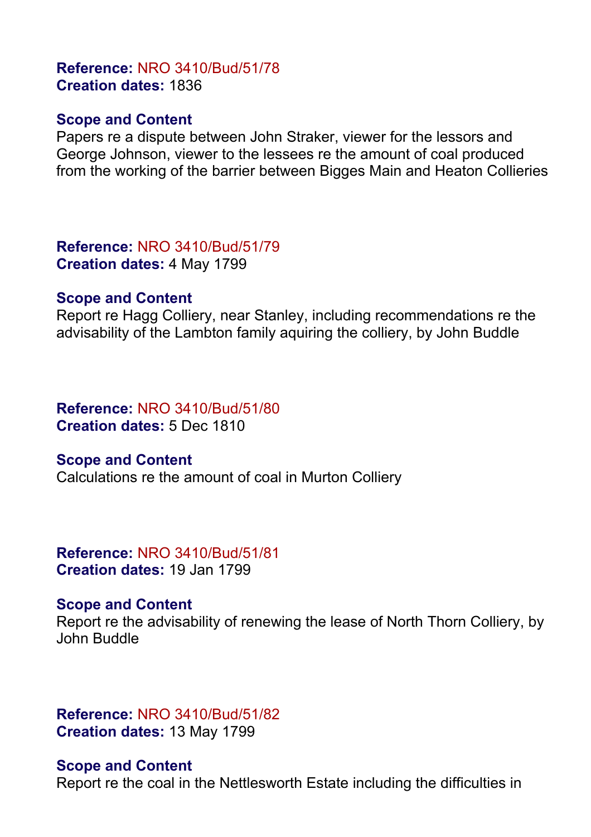# **Reference:** NRO 3410/Bud/51/78 **Creation dates:** 1836

#### **Scope and Content**

Papers re a dispute between John Straker, viewer for the lessors and George Johnson, viewer to the lessees re the amount of coal produced from the working of the barrier between Bigges Main and Heaton Collieries

**Reference:** NRO 3410/Bud/51/79 **Creation dates:** 4 May 1799

#### **Scope and Content**

Report re Hagg Colliery, near Stanley, including recommendations re the advisability of the Lambton family aquiring the colliery, by John Buddle

# **Reference:** NRO 3410/Bud/51/80 **Creation dates:** 5 Dec 1810

#### **Scope and Content**

Calculations re the amount of coal in Murton Colliery

#### **Reference:** NRO 3410/Bud/51/81 **Creation dates:** 19 Jan 1799

#### **Scope and Content**

Report re the advisability of renewing the lease of North Thorn Colliery, by John Buddle

**Reference:** NRO 3410/Bud/51/82 **Creation dates:** 13 May 1799

#### **Scope and Content**

Report re the coal in the Nettlesworth Estate including the difficulties in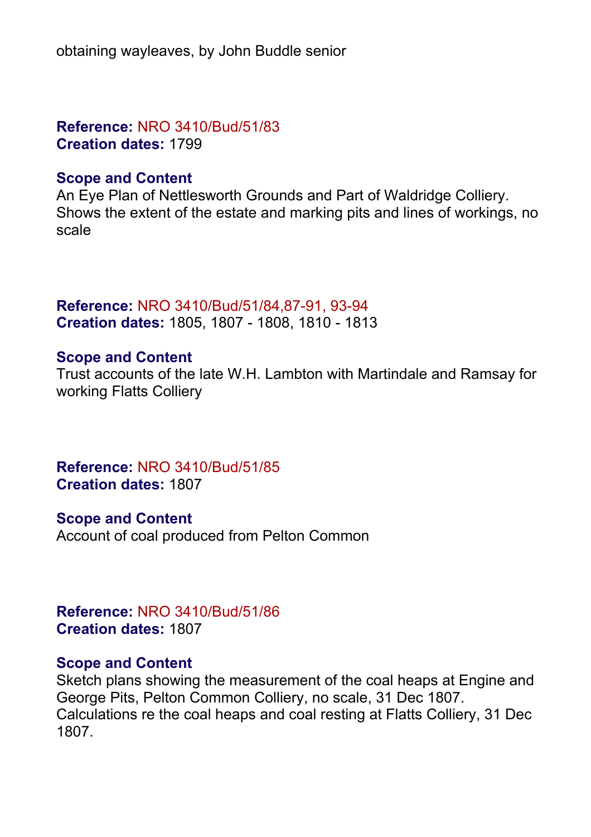obtaining wayleaves, by John Buddle senior

**Reference:** NRO 3410/Bud/51/83 **Creation dates:** 1799

#### **Scope and Content**

An Eye Plan of Nettlesworth Grounds and Part of Waldridge Colliery. Shows the extent of the estate and marking pits and lines of workings, no scale

**Reference:** NRO 3410/Bud/51/84,87-91, 93-94 **Creation dates:** 1805, 1807 - 1808, 1810 - 1813

# **Scope and Content**

Trust accounts of the late W.H. Lambton with Martindale and Ramsay for working Flatts Colliery

**Reference:** NRO 3410/Bud/51/85 **Creation dates:** 1807

**Scope and Content** Account of coal produced from Pelton Common

**Reference:** NRO 3410/Bud/51/86 **Creation dates:** 1807

#### **Scope and Content**

Sketch plans showing the measurement of the coal heaps at Engine and George Pits, Pelton Common Colliery, no scale, 31 Dec 1807. Calculations re the coal heaps and coal resting at Flatts Colliery, 31 Dec 1807.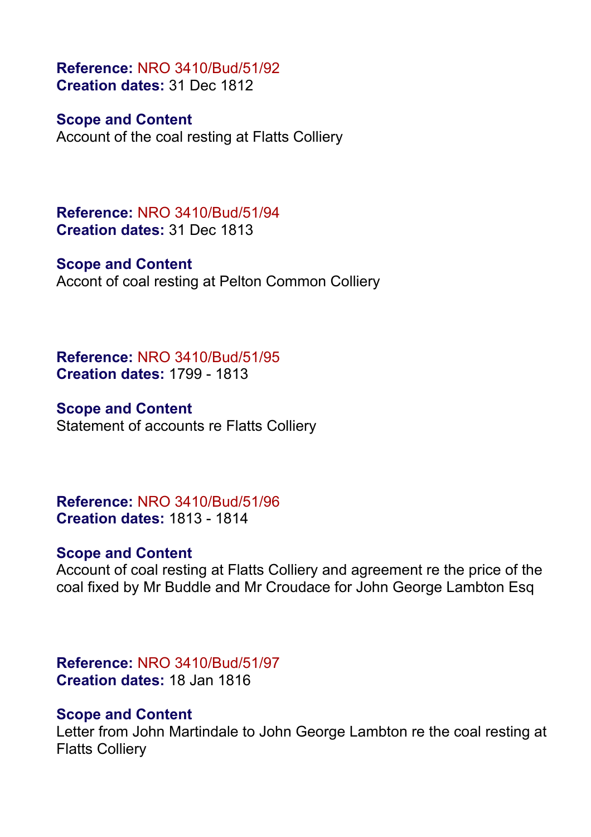**Reference:** NRO 3410/Bud/51/92 **Creation dates:** 31 Dec 1812

**Scope and Content** Account of the coal resting at Flatts Colliery

**Reference:** NRO 3410/Bud/51/94 **Creation dates:** 31 Dec 1813

**Scope and Content** Accont of coal resting at Pelton Common Colliery

**Reference:** NRO 3410/Bud/51/95 **Creation dates:** 1799 - 1813

**Scope and Content** Statement of accounts re Flatts Colliery

**Reference:** NRO 3410/Bud/51/96 **Creation dates:** 1813 - 1814

# **Scope and Content**

Account of coal resting at Flatts Colliery and agreement re the price of the coal fixed by Mr Buddle and Mr Croudace for John George Lambton Esq

**Reference:** NRO 3410/Bud/51/97 **Creation dates:** 18 Jan 1816

#### **Scope and Content**

Letter from John Martindale to John George Lambton re the coal resting at Flatts Colliery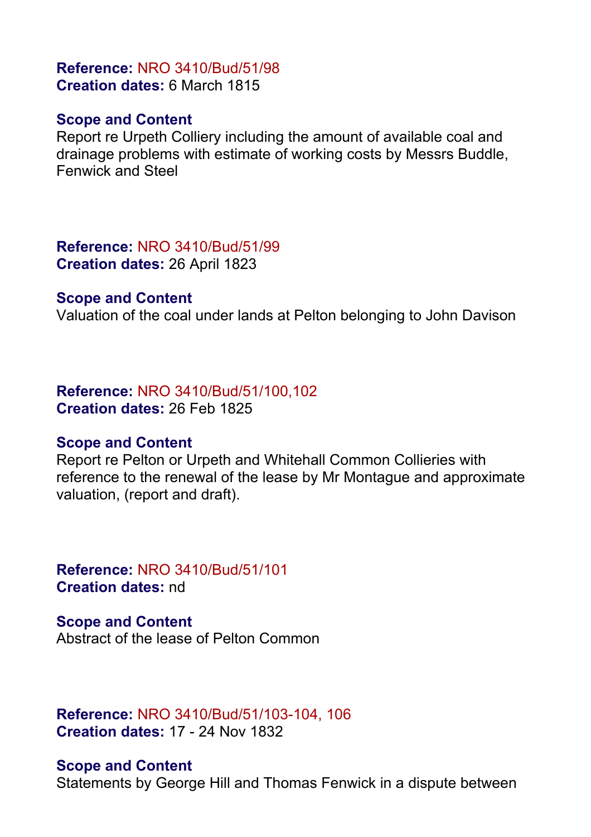# **Reference:** NRO 3410/Bud/51/98 **Creation dates:** 6 March 1815

#### **Scope and Content**

Report re Urpeth Colliery including the amount of available coal and drainage problems with estimate of working costs by Messrs Buddle, Fenwick and Steel

**Reference:** NRO 3410/Bud/51/99 **Creation dates:** 26 April 1823

#### **Scope and Content**

Valuation of the coal under lands at Pelton belonging to John Davison

#### **Reference:** NRO 3410/Bud/51/100,102 **Creation dates:** 26 Feb 1825

#### **Scope and Content**

Report re Pelton or Urpeth and Whitehall Common Collieries with reference to the renewal of the lease by Mr Montague and approximate valuation, (report and draft).

**Reference:** NRO 3410/Bud/51/101 **Creation dates:** nd

**Scope and Content** Abstract of the lease of Pelton Common

**Reference:** NRO 3410/Bud/51/103-104, 106 **Creation dates:** 17 - 24 Nov 1832

#### **Scope and Content**

Statements by George Hill and Thomas Fenwick in a dispute between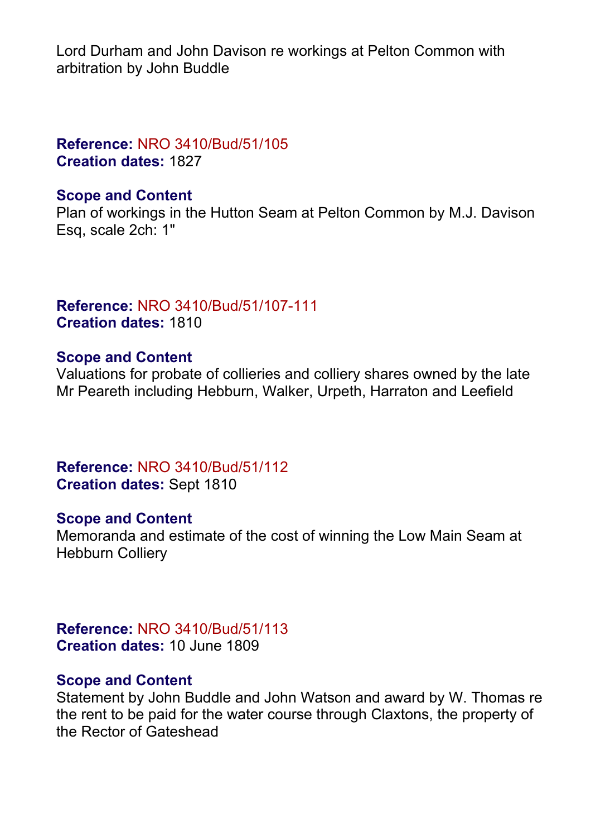Lord Durham and John Davison re workings at Pelton Common with arbitration by John Buddle

# **Reference:** NRO 3410/Bud/51/105 **Creation dates:** 1827

# **Scope and Content**

Plan of workings in the Hutton Seam at Pelton Common by M.J. Davison Esq, scale 2ch: 1"

# **Reference:** NRO 3410/Bud/51/107-111 **Creation dates:** 1810

# **Scope and Content**

Valuations for probate of collieries and colliery shares owned by the late Mr Peareth including Hebburn, Walker, Urpeth, Harraton and Leefield

**Reference:** NRO 3410/Bud/51/112 **Creation dates:** Sept 1810

# **Scope and Content**

Memoranda and estimate of the cost of winning the Low Main Seam at Hebburn Colliery

**Reference:** NRO 3410/Bud/51/113 **Creation dates:** 10 June 1809

#### **Scope and Content**

Statement by John Buddle and John Watson and award by W. Thomas re the rent to be paid for the water course through Claxtons, the property of the Rector of Gateshead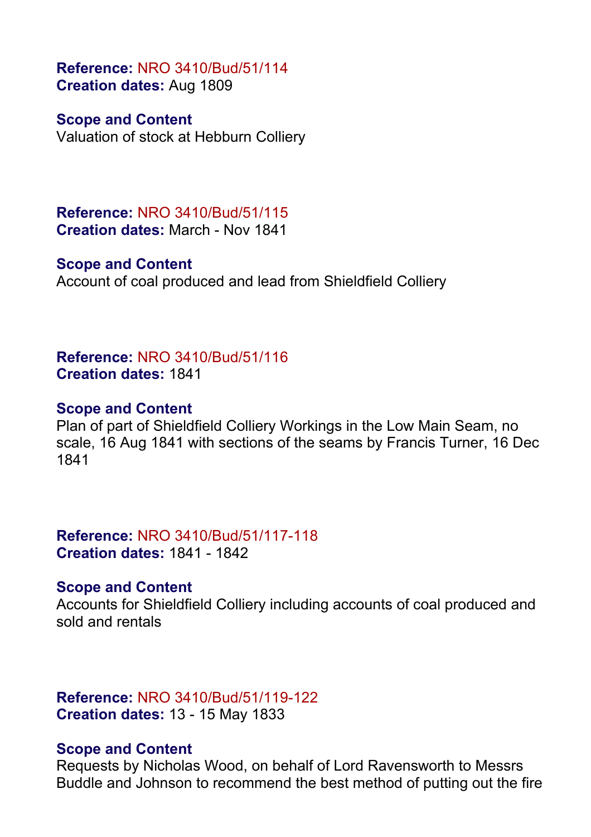**Reference:** NRO 3410/Bud/51/114 **Creation dates:** Aug 1809

**Scope and Content**

Valuation of stock at Hebburn Colliery

**Reference:** NRO 3410/Bud/51/115 **Creation dates:** March - Nov 1841

#### **Scope and Content**

Account of coal produced and lead from Shieldfield Colliery

**Reference:** NRO 3410/Bud/51/116 **Creation dates:** 1841

# **Scope and Content**

Plan of part of Shieldfield Colliery Workings in the Low Main Seam, no scale, 16 Aug 1841 with sections of the seams by Francis Turner, 16 Dec 1841

**Reference:** NRO 3410/Bud/51/117-118 **Creation dates:** 1841 - 1842

# **Scope and Content**

Accounts for Shieldfield Colliery including accounts of coal produced and sold and rentals

# **Reference:** NRO 3410/Bud/51/119-122 **Creation dates:** 13 - 15 May 1833

# **Scope and Content**

Requests by Nicholas Wood, on behalf of Lord Ravensworth to Messrs Buddle and Johnson to recommend the best method of putting out the fire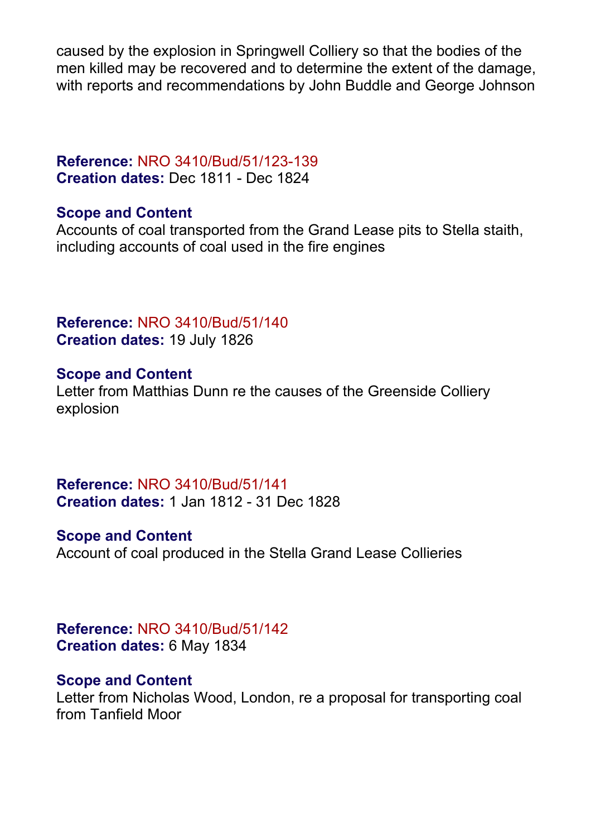caused by the explosion in Springwell Colliery so that the bodies of the men killed may be recovered and to determine the extent of the damage, with reports and recommendations by John Buddle and George Johnson

# **Reference:** NRO 3410/Bud/51/123-139 **Creation dates:** Dec 1811 - Dec 1824

# **Scope and Content**

Accounts of coal transported from the Grand Lease pits to Stella staith, including accounts of coal used in the fire engines

# **Reference:** NRO 3410/Bud/51/140 **Creation dates:** 19 July 1826

# **Scope and Content**

Letter from Matthias Dunn re the causes of the Greenside Colliery explosion

**Reference:** NRO 3410/Bud/51/141 **Creation dates:** 1 Jan 1812 - 31 Dec 1828

# **Scope and Content**

Account of coal produced in the Stella Grand Lease Collieries

# **Reference:** NRO 3410/Bud/51/142 **Creation dates:** 6 May 1834

# **Scope and Content**

Letter from Nicholas Wood, London, re a proposal for transporting coal from Tanfield Moor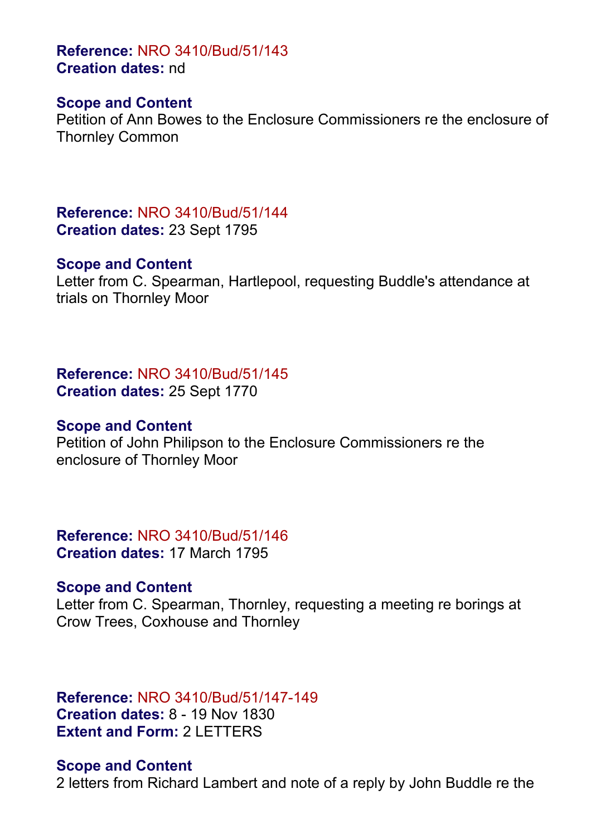**Reference:** NRO 3410/Bud/51/143 **Creation dates:** nd

#### **Scope and Content**

Petition of Ann Bowes to the Enclosure Commissioners re the enclosure of Thornley Common

**Reference:** NRO 3410/Bud/51/144 **Creation dates:** 23 Sept 1795

#### **Scope and Content**

Letter from C. Spearman, Hartlepool, requesting Buddle's attendance at trials on Thornley Moor

**Reference:** NRO 3410/Bud/51/145 **Creation dates:** 25 Sept 1770

# **Scope and Content**

Petition of John Philipson to the Enclosure Commissioners re the enclosure of Thornley Moor

**Reference:** NRO 3410/Bud/51/146 **Creation dates:** 17 March 1795

#### **Scope and Content**

Letter from C. Spearman, Thornley, requesting a meeting re borings at Crow Trees, Coxhouse and Thornley

# **Reference:** NRO 3410/Bud/51/147-149 **Creation dates:** 8 - 19 Nov 1830 **Extent and Form:** 2 LETTERS

#### **Scope and Content**

2 letters from Richard Lambert and note of a reply by John Buddle re the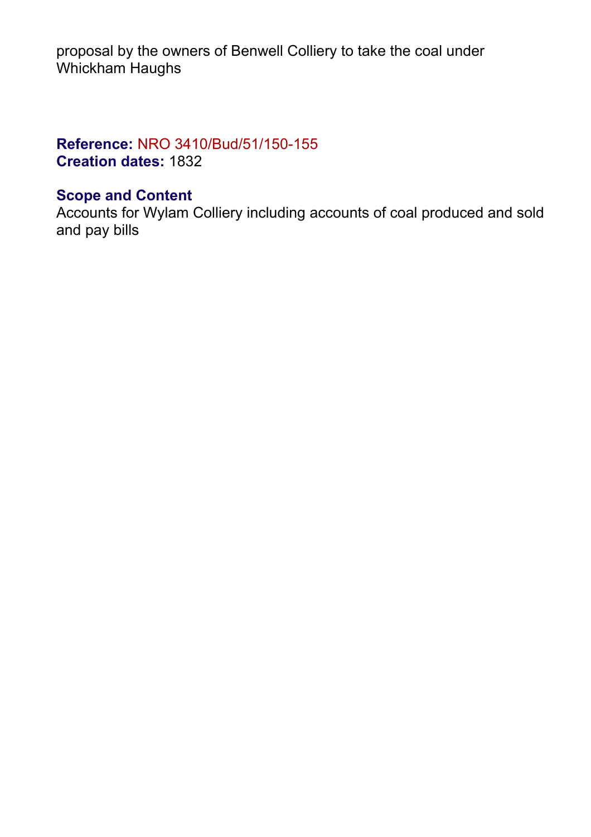proposal by the owners of Benwell Colliery to take the coal under Whickham Haughs

# **Reference:** NRO 3410/Bud/51/150-155 **Creation dates:** 1832

# **Scope and Content**

Accounts for Wylam Colliery including accounts of coal produced and sold and pay bills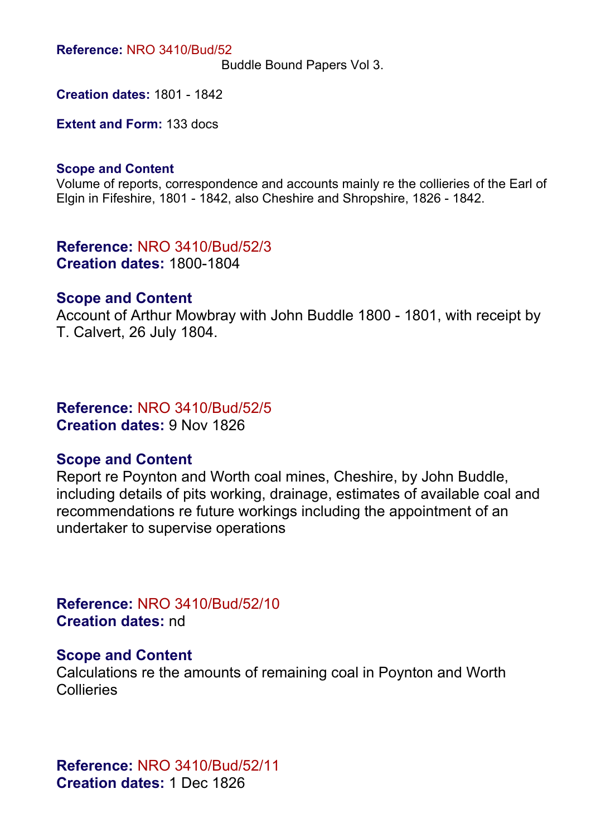**Reference:** NRO 3410/Bud/52

Buddle Bound Papers Vol 3.

**Creation dates:** 1801 - 1842

**Extent and Form:** 133 docs

#### **Scope and Content**

Volume of reports, correspondence and accounts mainly re the collieries of the Earl of Elgin in Fifeshire, 1801 - 1842, also Cheshire and Shropshire, 1826 - 1842.

**Reference:** NRO 3410/Bud/52/3 **Creation dates:** 1800-1804

#### **Scope and Content**

Account of Arthur Mowbray with John Buddle 1800 - 1801, with receipt by T. Calvert, 26 July 1804.

**Reference:** NRO 3410/Bud/52/5 **Creation dates:** 9 Nov 1826

#### **Scope and Content**

Report re Poynton and Worth coal mines, Cheshire, by John Buddle, including details of pits working, drainage, estimates of available coal and recommendations re future workings including the appointment of an undertaker to supervise operations

**Reference:** NRO 3410/Bud/52/10 **Creation dates:** nd

#### **Scope and Content**

Calculations re the amounts of remaining coal in Poynton and Worth **Collieries** 

**Reference:** NRO 3410/Bud/52/11 **Creation dates:** 1 Dec 1826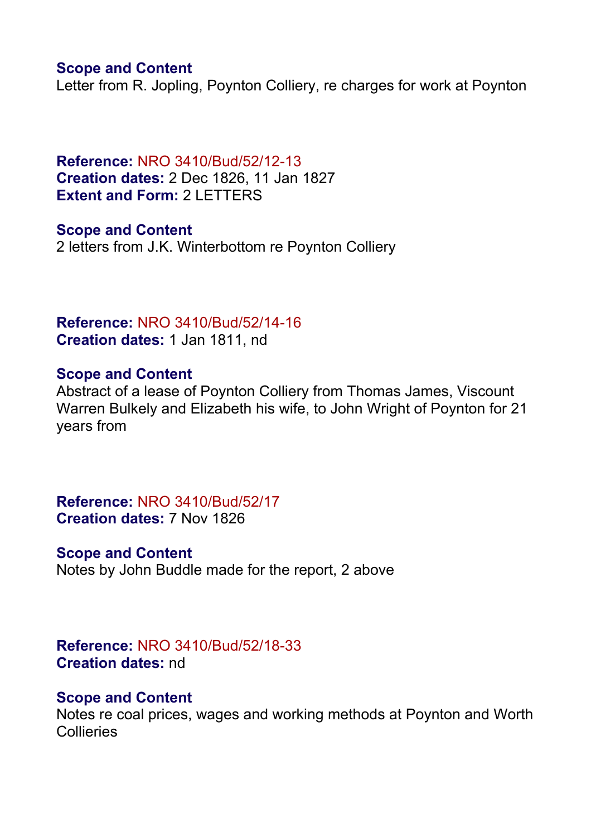#### **Scope and Content**

Letter from R. Jopling, Poynton Colliery, re charges for work at Poynton

**Reference:** NRO 3410/Bud/52/12-13 **Creation dates:** 2 Dec 1826, 11 Jan 1827 **Extent and Form:** 2 LETTERS

**Scope and Content** 2 letters from J.K. Winterbottom re Poynton Colliery

**Reference:** NRO 3410/Bud/52/14-16 **Creation dates:** 1 Jan 1811, nd

#### **Scope and Content**

Abstract of a lease of Poynton Colliery from Thomas James, Viscount Warren Bulkely and Elizabeth his wife, to John Wright of Poynton for 21 years from

**Reference:** NRO 3410/Bud/52/17 **Creation dates:** 7 Nov 1826

#### **Scope and Content**

Notes by John Buddle made for the report, 2 above

**Reference:** NRO 3410/Bud/52/18-33 **Creation dates:** nd

#### **Scope and Content**

Notes re coal prices, wages and working methods at Poynton and Worth **Collieries**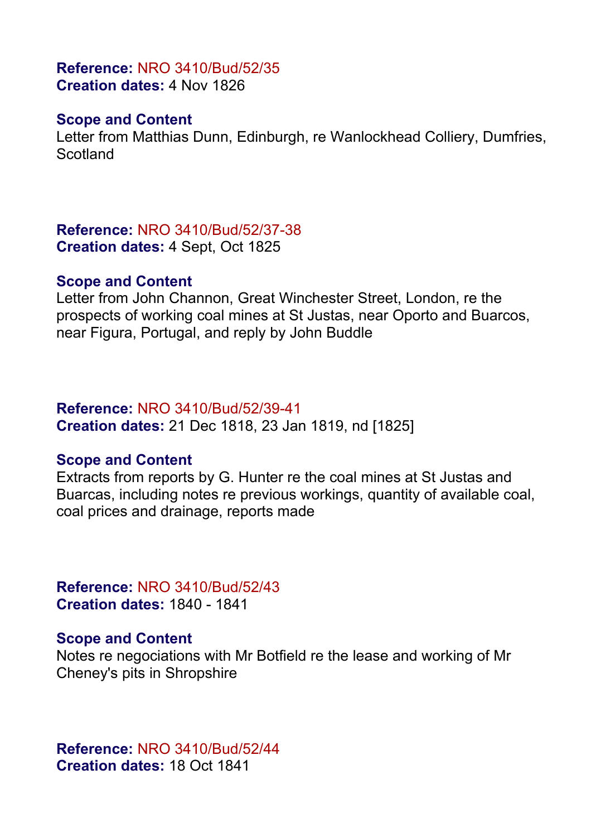#### **Reference:** NRO 3410/Bud/52/35 **Creation dates:** 4 Nov 1826

### **Scope and Content**

Letter from Matthias Dunn, Edinburgh, re Wanlockhead Colliery, Dumfries, **Scotland** 

**Reference:** NRO 3410/Bud/52/37-38 **Creation dates:** 4 Sept, Oct 1825

#### **Scope and Content**

Letter from John Channon, Great Winchester Street, London, re the prospects of working coal mines at St Justas, near Oporto and Buarcos, near Figura, Portugal, and reply by John Buddle

#### **Reference:** NRO 3410/Bud/52/39-41

**Creation dates:** 21 Dec 1818, 23 Jan 1819, nd [1825]

### **Scope and Content**

Extracts from reports by G. Hunter re the coal mines at St Justas and Buarcas, including notes re previous workings, quantity of available coal, coal prices and drainage, reports made

**Reference:** NRO 3410/Bud/52/43 **Creation dates:** 1840 - 1841

### **Scope and Content**

Notes re negociations with Mr Botfield re the lease and working of Mr Cheney's pits in Shropshire

**Reference:** NRO 3410/Bud/52/44 **Creation dates:** 18 Oct 1841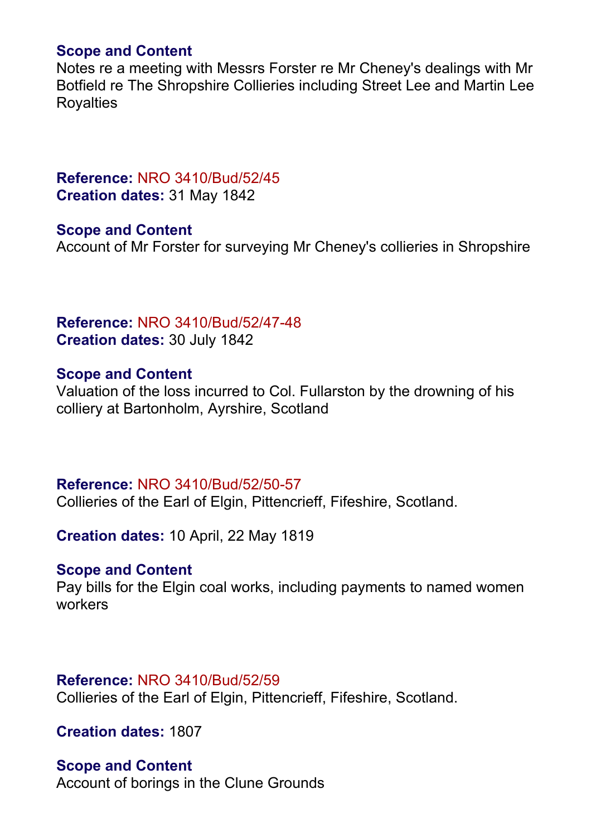#### **Scope and Content**

Notes re a meeting with Messrs Forster re Mr Cheney's dealings with Mr Botfield re The Shropshire Collieries including Street Lee and Martin Lee Royalties

## **Reference:** NRO 3410/Bud/52/45 **Creation dates:** 31 May 1842

**Scope and Content** Account of Mr Forster for surveying Mr Cheney's collieries in Shropshire

# **Reference:** NRO 3410/Bud/52/47-48 **Creation dates:** 30 July 1842

### **Scope and Content**

Valuation of the loss incurred to Col. Fullarston by the drowning of his colliery at Bartonholm, Ayrshire, Scotland

### **Reference:** NRO 3410/Bud/52/50-57

Collieries of the Earl of Elgin, Pittencrieff, Fifeshire, Scotland.

**Creation dates:** 10 April, 22 May 1819

#### **Scope and Content**

Pay bills for the Elgin coal works, including payments to named women workers

#### **Reference:** NRO 3410/Bud/52/59

Collieries of the Earl of Elgin, Pittencrieff, Fifeshire, Scotland.

**Creation dates:** 1807

#### **Scope and Content**

Account of borings in the Clune Grounds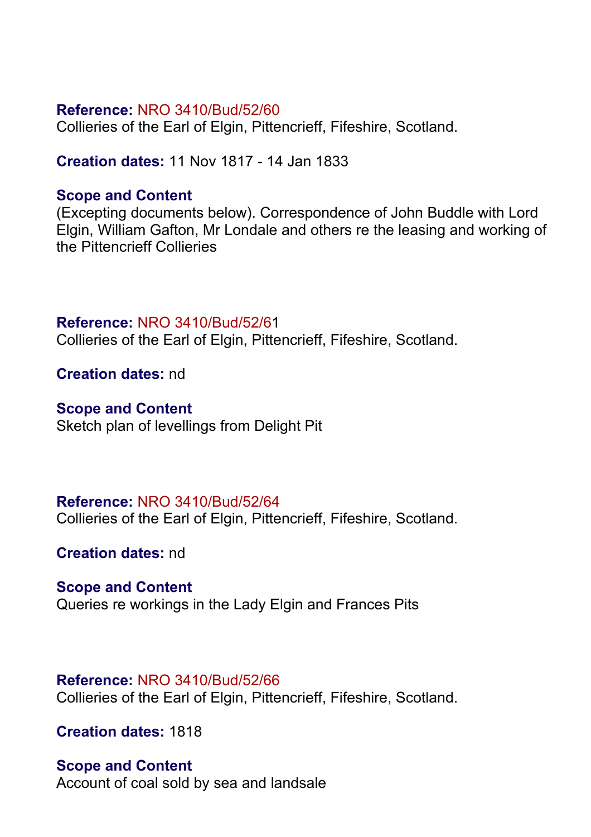Collieries of the Earl of Elgin, Pittencrieff, Fifeshire, Scotland.

**Creation dates:** 11 Nov 1817 - 14 Jan 1833

# **Scope and Content**

(Excepting documents below). Correspondence of John Buddle with Lord Elgin, William Gafton, Mr Londale and others re the leasing and working of the Pittencrieff Collieries

# **Reference:** NRO 3410/Bud/52/61

Collieries of the Earl of Elgin, Pittencrieff, Fifeshire, Scotland.

**Creation dates:** nd

# **Scope and Content**

Sketch plan of levellings from Delight Pit

# **Reference:** NRO 3410/Bud/52/64

Collieries of the Earl of Elgin, Pittencrieff, Fifeshire, Scotland.

**Creation dates:** nd

### **Scope and Content**

Queries re workings in the Lady Elgin and Frances Pits

#### **Reference:** NRO 3410/Bud/52/66

Collieries of the Earl of Elgin, Pittencrieff, Fifeshire, Scotland.

**Creation dates:** 1818

# **Scope and Content**

Account of coal sold by sea and landsale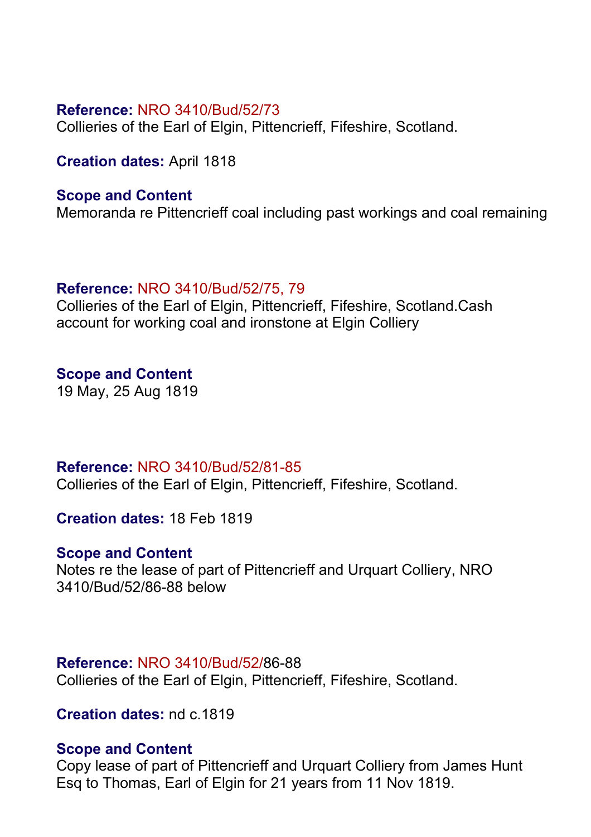Collieries of the Earl of Elgin, Pittencrieff, Fifeshire, Scotland.

**Creation dates:** April 1818

## **Scope and Content**

Memoranda re Pittencrieff coal including past workings and coal remaining

# **Reference:** NRO 3410/Bud/52/75, 79

Collieries of the Earl of Elgin, Pittencrieff, Fifeshire, Scotland.Cash account for working coal and ironstone at Elgin Colliery

# **Scope and Content**

19 May, 25 Aug 1819

### **Reference:** NRO 3410/Bud/52/81-85

Collieries of the Earl of Elgin, Pittencrieff, Fifeshire, Scotland.

**Creation dates:** 18 Feb 1819

# **Scope and Content**

Notes re the lease of part of Pittencrieff and Urquart Colliery, NRO 3410/Bud/52/86-88 below

### **Reference:** NRO 3410/Bud/52/86-88

Collieries of the Earl of Elgin, Pittencrieff, Fifeshire, Scotland.

**Creation dates:** nd c.1819

### **Scope and Content**

Copy lease of part of Pittencrieff and Urquart Colliery from James Hunt Esq to Thomas, Earl of Elgin for 21 years from 11 Nov 1819.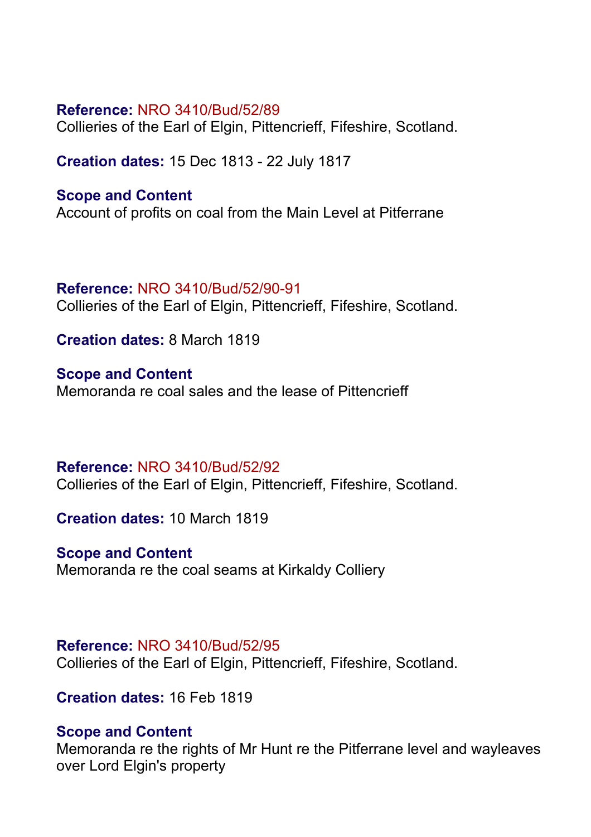Collieries of the Earl of Elgin, Pittencrieff, Fifeshire, Scotland.

**Creation dates:** 15 Dec 1813 - 22 July 1817

#### **Scope and Content**

Account of profits on coal from the Main Level at Pitferrane

#### **Reference:** NRO 3410/Bud/52/90-91

Collieries of the Earl of Elgin, Pittencrieff, Fifeshire, Scotland.

**Creation dates:** 8 March 1819

**Scope and Content** Memoranda re coal sales and the lease of Pittencrieff

### **Reference:** NRO 3410/Bud/52/92

Collieries of the Earl of Elgin, Pittencrieff, Fifeshire, Scotland.

**Creation dates:** 10 March 1819

### **Scope and Content**

Memoranda re the coal seams at Kirkaldy Colliery

#### **Reference:** NRO 3410/Bud/52/95

Collieries of the Earl of Elgin, Pittencrieff, Fifeshire, Scotland.

**Creation dates:** 16 Feb 1819

### **Scope and Content**

Memoranda re the rights of Mr Hunt re the Pitferrane level and wayleaves over Lord Elgin's property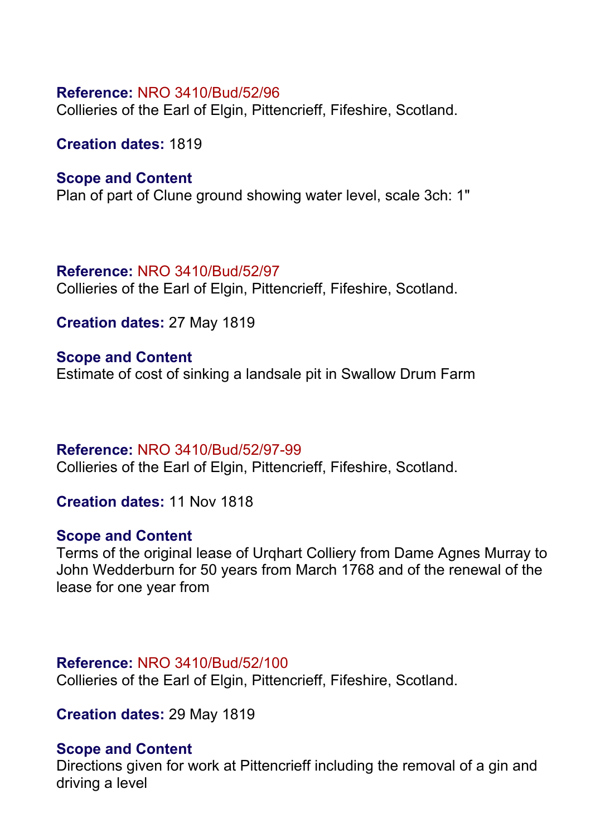Collieries of the Earl of Elgin, Pittencrieff, Fifeshire, Scotland.

**Creation dates:** 1819

#### **Scope and Content**

Plan of part of Clune ground showing water level, scale 3ch: 1"

### **Reference:** NRO 3410/Bud/52/97

Collieries of the Earl of Elgin, Pittencrieff, Fifeshire, Scotland.

**Creation dates:** 27 May 1819

#### **Scope and Content**

Estimate of cost of sinking a landsale pit in Swallow Drum Farm

### **Reference:** NRO 3410/Bud/52/97-99

Collieries of the Earl of Elgin, Pittencrieff, Fifeshire, Scotland.

**Creation dates:** 11 Nov 1818

### **Scope and Content**

Terms of the original lease of Urqhart Colliery from Dame Agnes Murray to John Wedderburn for 50 years from March 1768 and of the renewal of the lease for one year from

#### **Reference:** NRO 3410/Bud/52/100

Collieries of the Earl of Elgin, Pittencrieff, Fifeshire, Scotland.

**Creation dates:** 29 May 1819

#### **Scope and Content**

Directions given for work at Pittencrieff including the removal of a gin and driving a level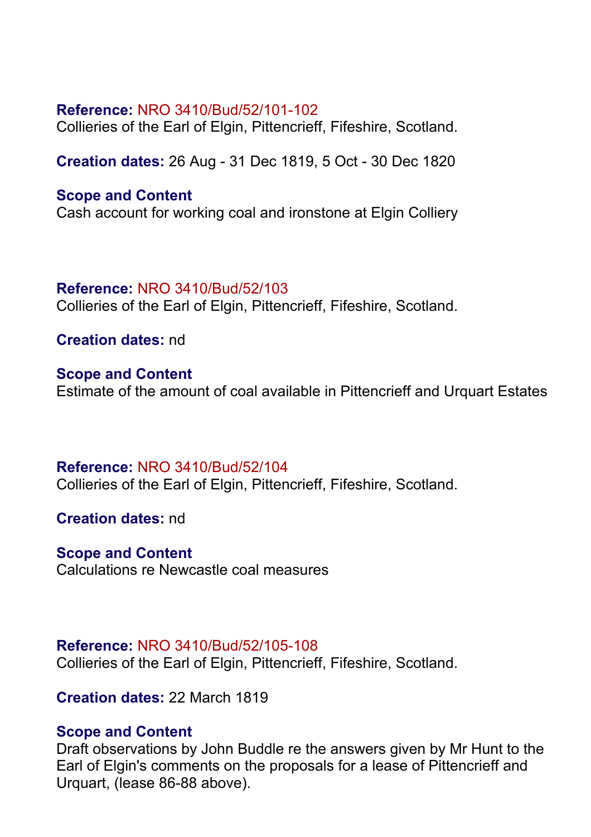Collieries of the Earl of Elgin, Pittencrieff, Fifeshire, Scotland.

**Creation dates:** 26 Aug - 31 Dec 1819, 5 Oct - 30 Dec 1820

### **Scope and Content**

Cash account for working coal and ironstone at Elgin Colliery

### **Reference:** NRO 3410/Bud/52/103

Collieries of the Earl of Elgin, Pittencrieff, Fifeshire, Scotland.

**Creation dates:** nd

**Scope and Content** Estimate of the amount of coal available in Pittencrieff and Urquart Estates

**Reference:** NRO 3410/Bud/52/104 Collieries of the Earl of Elgin, Pittencrieff, Fifeshire, Scotland.

**Creation dates:** nd

# **Scope and Content**

Calculations re Newcastle coal measures

### **Reference:** NRO 3410/Bud/52/105-108

Collieries of the Earl of Elgin, Pittencrieff, Fifeshire, Scotland.

**Creation dates:** 22 March 1819

### **Scope and Content**

Draft observations by John Buddle re the answers given by Mr Hunt to the Earl of Elgin's comments on the proposals for a lease of Pittencrieff and Urquart, (lease 86-88 above).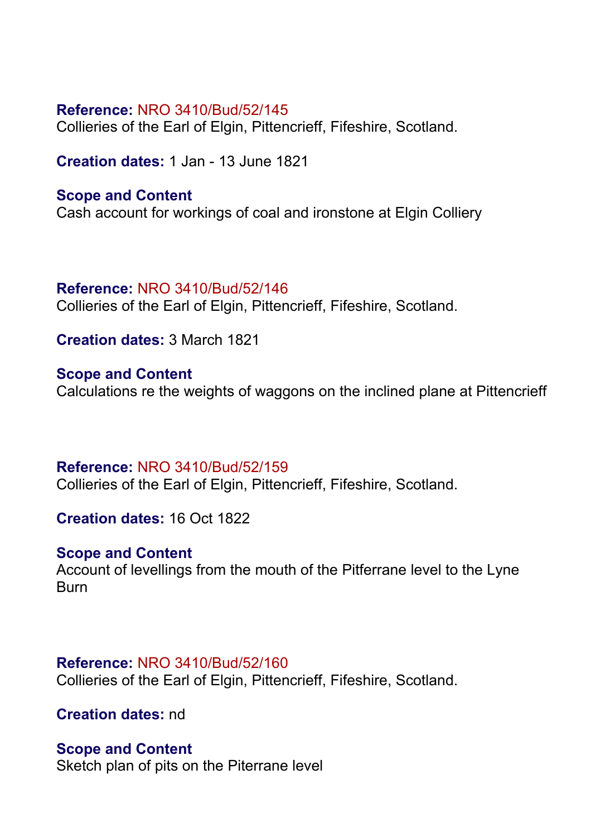Collieries of the Earl of Elgin, Pittencrieff, Fifeshire, Scotland.

**Creation dates:** 1 Jan - 13 June 1821

### **Scope and Content**

Cash account for workings of coal and ironstone at Elgin Colliery

### **Reference:** NRO 3410/Bud/52/146

Collieries of the Earl of Elgin, Pittencrieff, Fifeshire, Scotland.

**Creation dates:** 3 March 1821

**Scope and Content** Calculations re the weights of waggons on the inclined plane at Pittencrieff

### **Reference:** NRO 3410/Bud/52/159

Collieries of the Earl of Elgin, Pittencrieff, Fifeshire, Scotland.

**Creation dates:** 16 Oct 1822

# **Scope and Content**

Account of levellings from the mouth of the Pitferrane level to the Lyne **Burn** 

### **Reference:** NRO 3410/Bud/52/160

Collieries of the Earl of Elgin, Pittencrieff, Fifeshire, Scotland.

**Creation dates:** nd

#### **Scope and Content**

Sketch plan of pits on the Piterrane level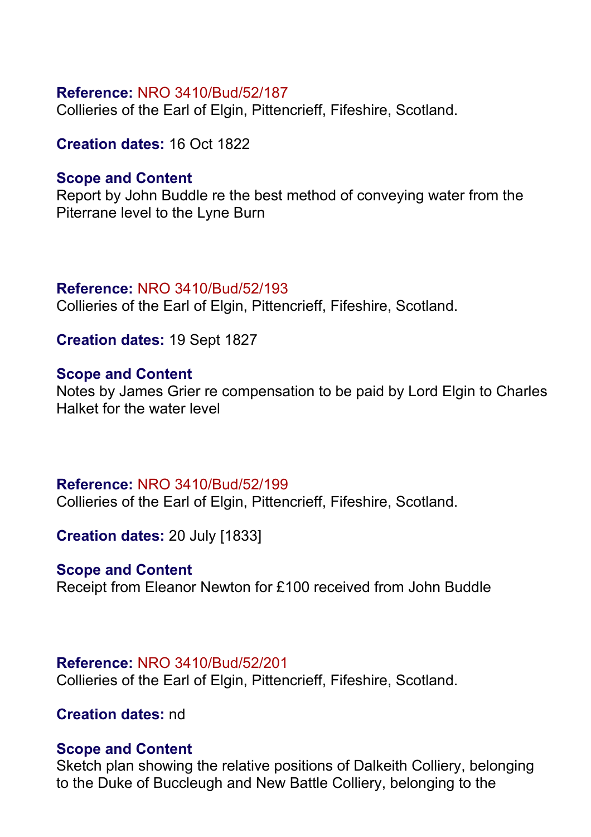Collieries of the Earl of Elgin, Pittencrieff, Fifeshire, Scotland.

**Creation dates:** 16 Oct 1822

# **Scope and Content**

Report by John Buddle re the best method of conveying water from the Piterrane level to the Lyne Burn

# **Reference:** NRO 3410/Bud/52/193

Collieries of the Earl of Elgin, Pittencrieff, Fifeshire, Scotland.

**Creation dates:** 19 Sept 1827

# **Scope and Content**

Notes by James Grier re compensation to be paid by Lord Elgin to Charles Halket for the water level

# **Reference:** NRO 3410/Bud/52/199

Collieries of the Earl of Elgin, Pittencrieff, Fifeshire, Scotland.

**Creation dates:** 20 July [1833]

# **Scope and Content**

Receipt from Eleanor Newton for £100 received from John Buddle

### **Reference:** NRO 3410/Bud/52/201

Collieries of the Earl of Elgin, Pittencrieff, Fifeshire, Scotland.

# **Creation dates:** nd

### **Scope and Content**

Sketch plan showing the relative positions of Dalkeith Colliery, belonging to the Duke of Buccleugh and New Battle Colliery, belonging to the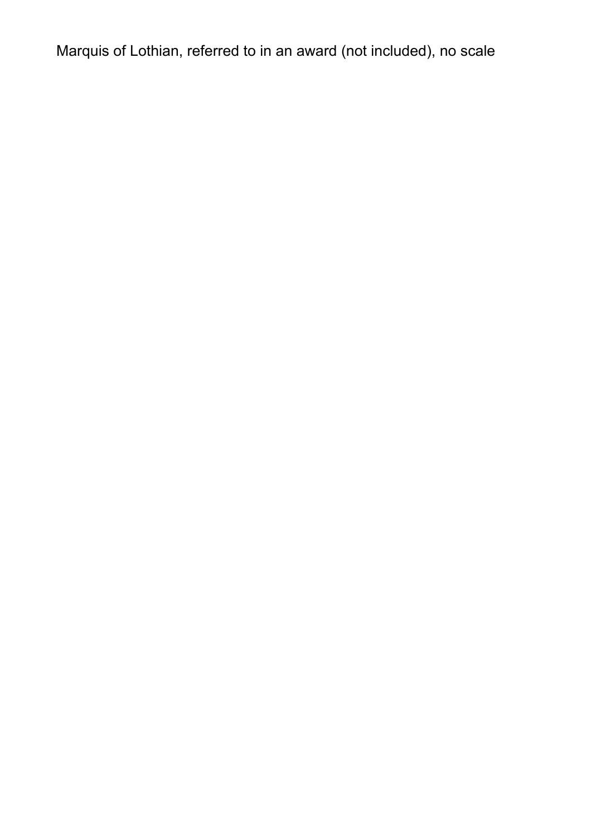Marquis of Lothian, referred to in an award (not included), no scale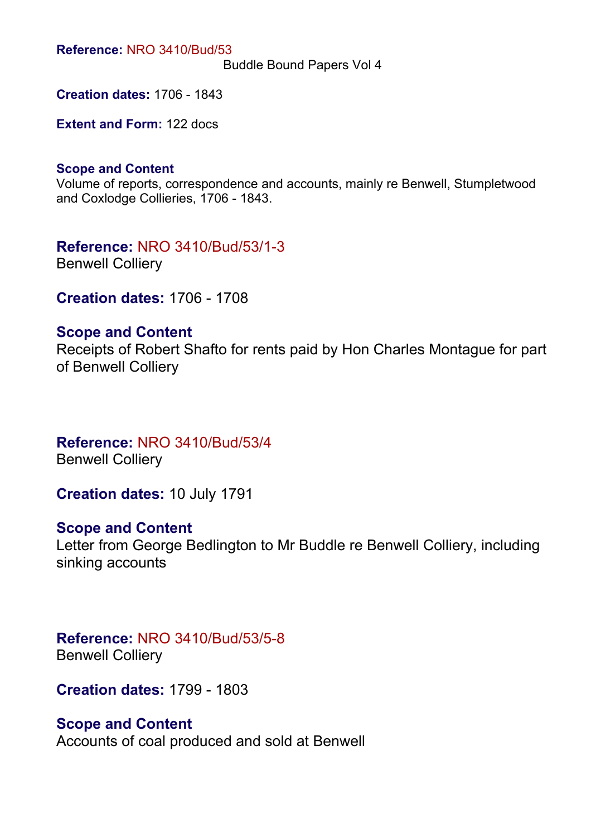Buddle Bound Papers Vol 4

**Creation dates:** 1706 - 1843

**Extent and Form:** 122 docs

#### **Scope and Content**

Volume of reports, correspondence and accounts, mainly re Benwell, Stumpletwood and Coxlodge Collieries, 1706 - 1843.

**Reference:** NRO 3410/Bud/53/1-3 Benwell Colliery

**Creation dates:** 1706 - 1708

#### **Scope and Content**

Receipts of Robert Shafto for rents paid by Hon Charles Montague for part of Benwell Colliery

#### **Reference:** NRO 3410/Bud/53/4 Benwell Colliery

**Creation dates:** 10 July 1791

#### **Scope and Content**

Letter from George Bedlington to Mr Buddle re Benwell Colliery, including sinking accounts

#### **Reference:** NRO 3410/Bud/53/5-8 Benwell Colliery

**Creation dates:** 1799 - 1803

#### **Scope and Content**

Accounts of coal produced and sold at Benwell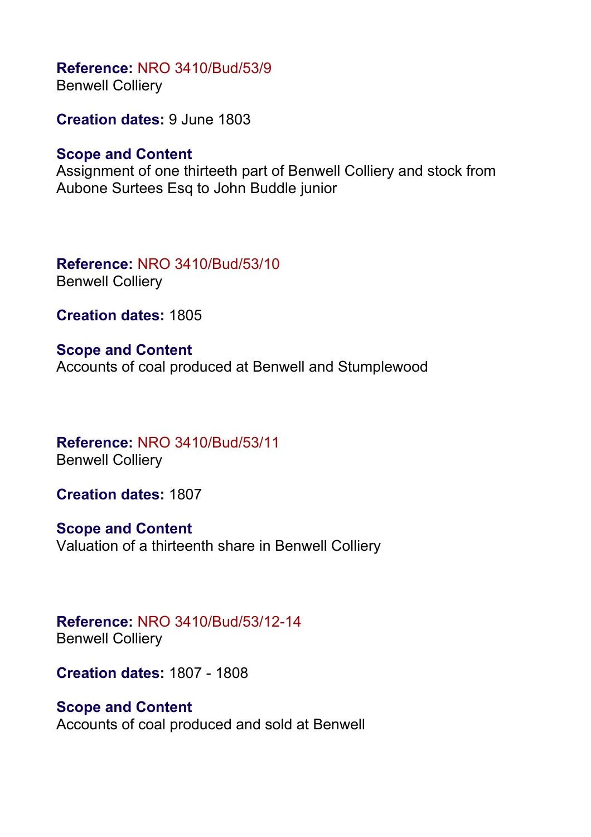**Reference:** NRO 3410/Bud/53/9 Benwell Colliery

**Creation dates:** 9 June 1803

### **Scope and Content**

Assignment of one thirteeth part of Benwell Colliery and stock from Aubone Surtees Esq to John Buddle junior

**Reference:** NRO 3410/Bud/53/10 Benwell Colliery

**Creation dates:** 1805

**Scope and Content** Accounts of coal produced at Benwell and Stumplewood

**Reference:** NRO 3410/Bud/53/11 Benwell Colliery

**Creation dates:** 1807

**Scope and Content** Valuation of a thirteenth share in Benwell Colliery

**Reference:** NRO 3410/Bud/53/12-14 Benwell Colliery

**Creation dates:** 1807 - 1808

### **Scope and Content**

Accounts of coal produced and sold at Benwell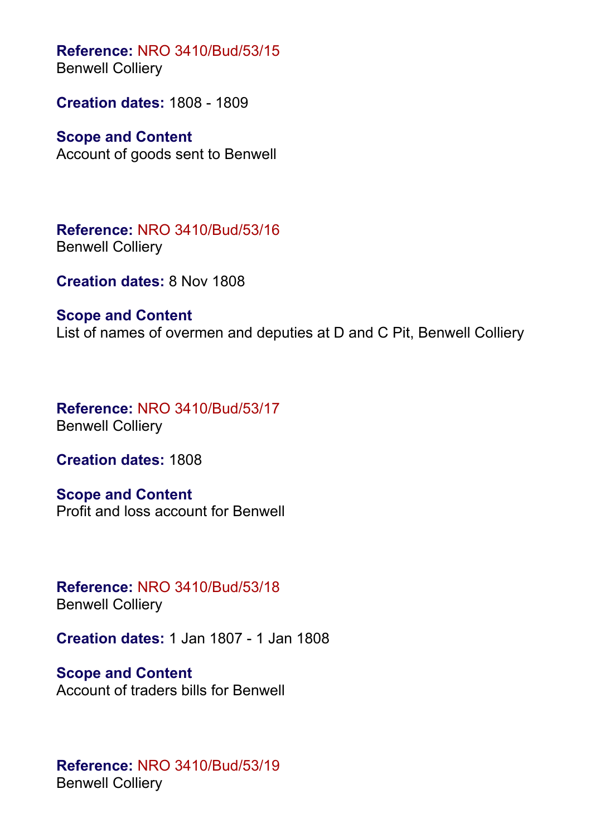**Reference:** NRO 3410/Bud/53/15 Benwell Colliery

**Creation dates:** 1808 - 1809

# **Scope and Content**

Account of goods sent to Benwell

**Reference:** NRO 3410/Bud/53/16 Benwell Colliery

**Creation dates:** 8 Nov 1808

#### **Scope and Content**

List of names of overmen and deputies at D and C Pit, Benwell Colliery

**Reference:** NRO 3410/Bud/53/17 Benwell Colliery

**Creation dates:** 1808

**Scope and Content** Profit and loss account for Benwell

**Reference:** NRO 3410/Bud/53/18 Benwell Colliery

**Creation dates:** 1 Jan 1807 - 1 Jan 1808

**Scope and Content** Account of traders bills for Benwell

**Reference:** NRO 3410/Bud/53/19 Benwell Colliery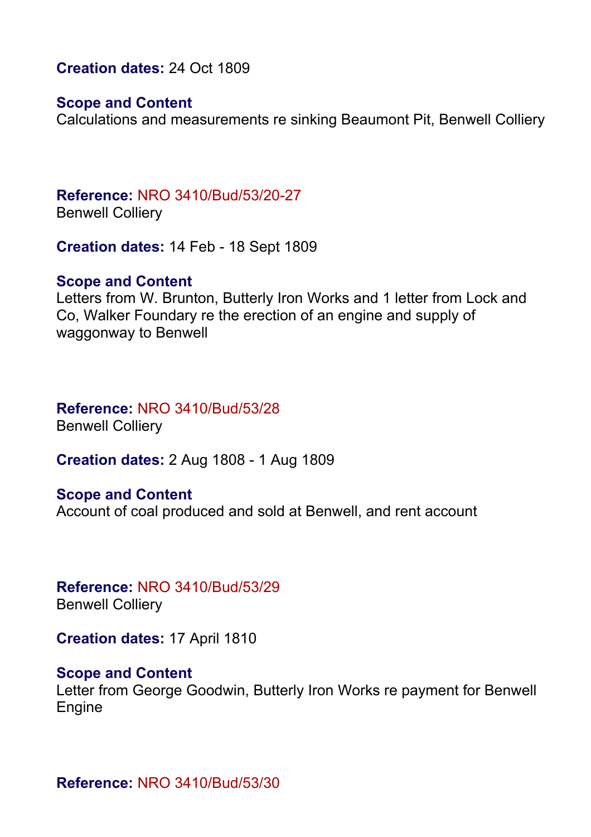**Creation dates:** 24 Oct 1809

#### **Scope and Content**

Calculations and measurements re sinking Beaumont Pit, Benwell Colliery

**Reference:** NRO 3410/Bud/53/20-27 Benwell Colliery

**Creation dates:** 14 Feb - 18 Sept 1809

#### **Scope and Content**

Letters from W. Brunton, Butterly Iron Works and 1 letter from Lock and Co, Walker Foundary re the erection of an engine and supply of waggonway to Benwell

#### **Reference:** NRO 3410/Bud/53/28 Benwell Colliery

**Creation dates:** 2 Aug 1808 - 1 Aug 1809

#### **Scope and Content**

Account of coal produced and sold at Benwell, and rent account

**Reference:** NRO 3410/Bud/53/29 Benwell Colliery

**Creation dates:** 17 April 1810

#### **Scope and Content**

Letter from George Goodwin, Butterly Iron Works re payment for Benwell Engine

**Reference:** NRO 3410/Bud/53/30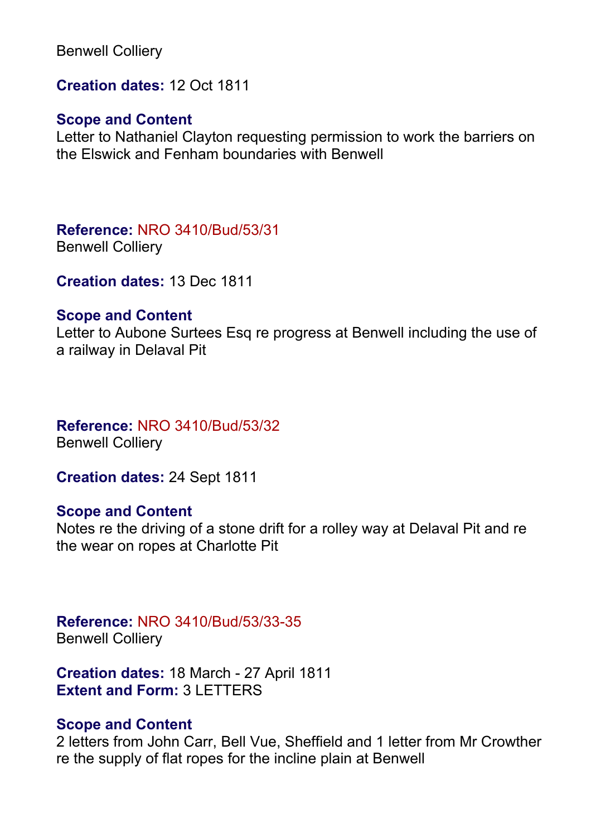Benwell Colliery

**Creation dates:** 12 Oct 1811

#### **Scope and Content**

Letter to Nathaniel Clayton requesting permission to work the barriers on the Elswick and Fenham boundaries with Benwell

**Reference:** NRO 3410/Bud/53/31 Benwell Colliery

**Creation dates:** 13 Dec 1811

#### **Scope and Content**

Letter to Aubone Surtees Esq re progress at Benwell including the use of a railway in Delaval Pit

### **Reference:** NRO 3410/Bud/53/32

Benwell Colliery

**Creation dates:** 24 Sept 1811

### **Scope and Content**

Notes re the driving of a stone drift for a rolley way at Delaval Pit and re the wear on ropes at Charlotte Pit

#### **Reference:** NRO 3410/Bud/53/33-35 Benwell Colliery

**Creation dates:** 18 March - 27 April 1811 **Extent and Form:** 3 LETTERS

### **Scope and Content**

2 letters from John Carr, Bell Vue, Sheffield and 1 letter from Mr Crowther re the supply of flat ropes for the incline plain at Benwell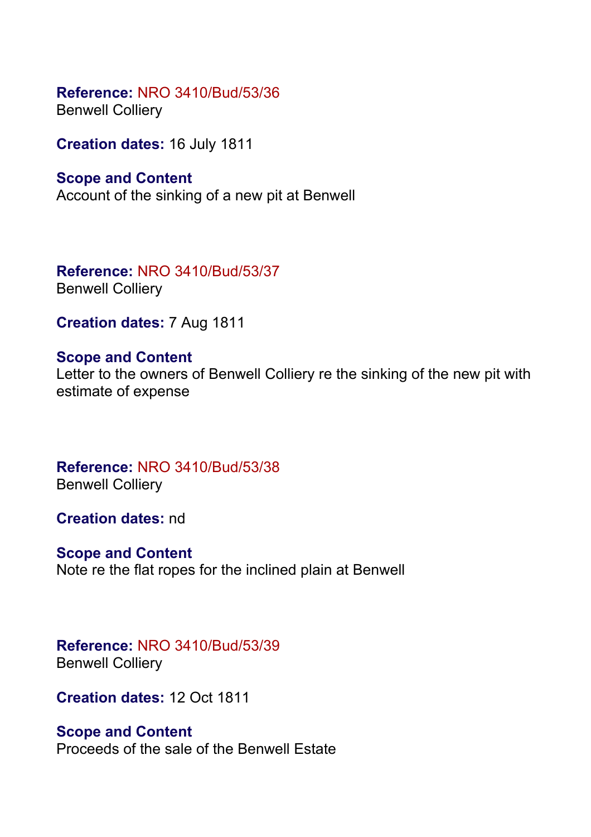#### **Reference:** NRO 3410/Bud/53/36 Benwell Colliery

**Creation dates:** 16 July 1811

### **Scope and Content** Account of the sinking of a new pit at Benwell

**Reference:** NRO 3410/Bud/53/37 Benwell Colliery

**Creation dates:** 7 Aug 1811

# **Scope and Content**

Letter to the owners of Benwell Colliery re the sinking of the new pit with estimate of expense

**Reference:** NRO 3410/Bud/53/38 Benwell Colliery

**Creation dates:** nd

### **Scope and Content**

Note re the flat ropes for the inclined plain at Benwell

## **Reference:** NRO 3410/Bud/53/39 Benwell Colliery

**Creation dates:** 12 Oct 1811

### **Scope and Content**

Proceeds of the sale of the Benwell Estate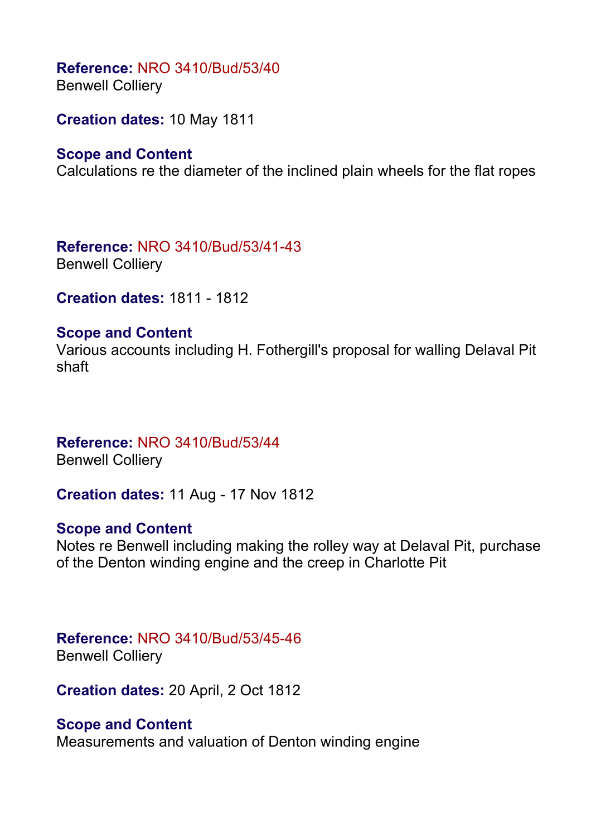**Reference:** NRO 3410/Bud/53/40 Benwell Colliery

**Creation dates:** 10 May 1811

# **Scope and Content**

Calculations re the diameter of the inclined plain wheels for the flat ropes

**Reference:** NRO 3410/Bud/53/41-43 Benwell Colliery

**Creation dates:** 1811 - 1812

#### **Scope and Content**

Various accounts including H. Fothergill's proposal for walling Delaval Pit shaft

#### **Reference:** NRO 3410/Bud/53/44 Benwell Colliery

**Creation dates:** 11 Aug - 17 Nov 1812

### **Scope and Content**

Notes re Benwell including making the rolley way at Delaval Pit, purchase of the Denton winding engine and the creep in Charlotte Pit

# **Reference:** NRO 3410/Bud/53/45-46

Benwell Colliery

**Creation dates:** 20 April, 2 Oct 1812

### **Scope and Content**

Measurements and valuation of Denton winding engine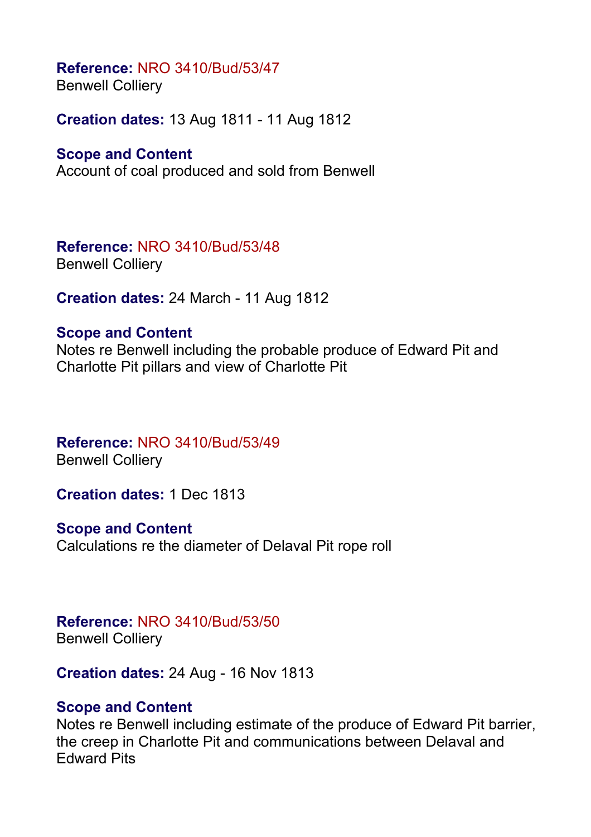Benwell Colliery

**Creation dates:** 13 Aug 1811 - 11 Aug 1812

# **Scope and Content**

Account of coal produced and sold from Benwell

**Reference:** NRO 3410/Bud/53/48 Benwell Colliery

**Creation dates:** 24 March - 11 Aug 1812

### **Scope and Content**

Notes re Benwell including the probable produce of Edward Pit and Charlotte Pit pillars and view of Charlotte Pit

**Reference:** NRO 3410/Bud/53/49 Benwell Colliery

**Creation dates:** 1 Dec 1813

**Scope and Content** Calculations re the diameter of Delaval Pit rope roll

# **Reference:** NRO 3410/Bud/53/50

Benwell Colliery

**Creation dates:** 24 Aug - 16 Nov 1813

# **Scope and Content**

Notes re Benwell including estimate of the produce of Edward Pit barrier, the creep in Charlotte Pit and communications between Delaval and Edward Pits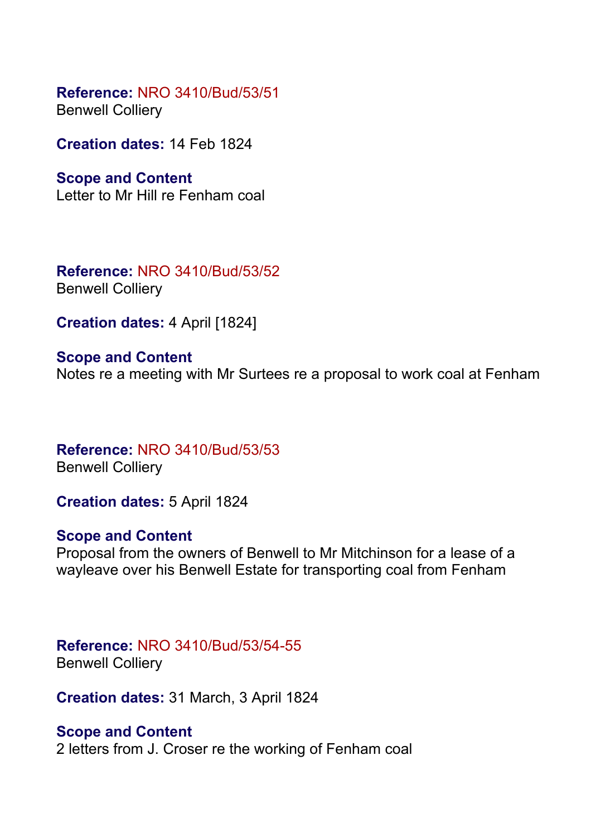**Reference:** NRO 3410/Bud/53/51 Benwell Colliery

**Creation dates:** 14 Feb 1824

**Scope and Content**

Letter to Mr Hill re Fenham coal

**Reference:** NRO 3410/Bud/53/52 Benwell Colliery

**Creation dates:** 4 April [1824]

**Scope and Content** Notes re a meeting with Mr Surtees re a proposal to work coal at Fenham

**Reference:** NRO 3410/Bud/53/53 Benwell Colliery

**Creation dates:** 5 April 1824

#### **Scope and Content**

Proposal from the owners of Benwell to Mr Mitchinson for a lease of a wayleave over his Benwell Estate for transporting coal from Fenham

# **Reference:** NRO 3410/Bud/53/54-55

Benwell Colliery

**Creation dates:** 31 March, 3 April 1824

#### **Scope and Content**

2 letters from J. Croser re the working of Fenham coal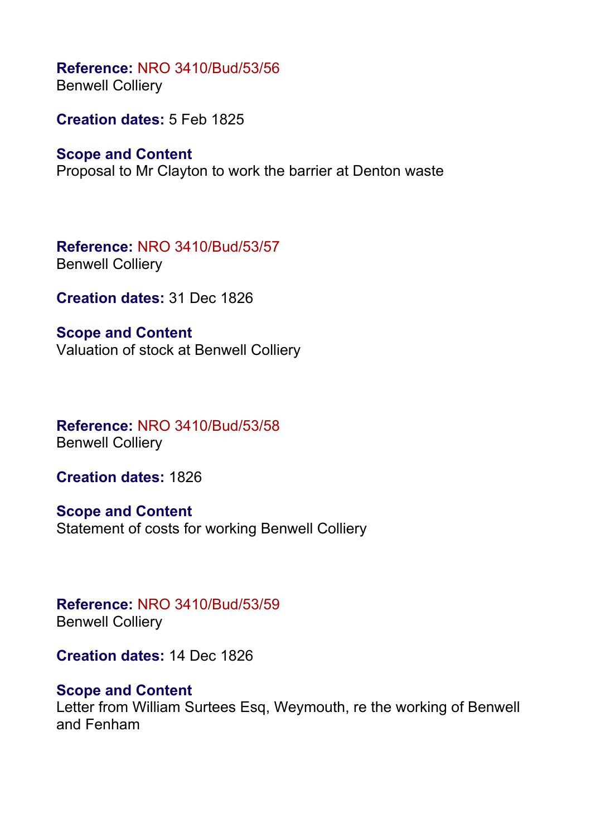**Reference:** NRO 3410/Bud/53/56 Benwell Colliery

**Creation dates:** 5 Feb 1825

#### **Scope and Content**

Proposal to Mr Clayton to work the barrier at Denton waste

**Reference:** NRO 3410/Bud/53/57 Benwell Colliery

**Creation dates:** 31 Dec 1826

**Scope and Content** Valuation of stock at Benwell Colliery

**Reference:** NRO 3410/Bud/53/58 Benwell Colliery

**Creation dates:** 1826

**Scope and Content** Statement of costs for working Benwell Colliery

**Reference:** NRO 3410/Bud/53/59 Benwell Colliery

**Creation dates:** 14 Dec 1826

### **Scope and Content**

Letter from William Surtees Esq, Weymouth, re the working of Benwell and Fenham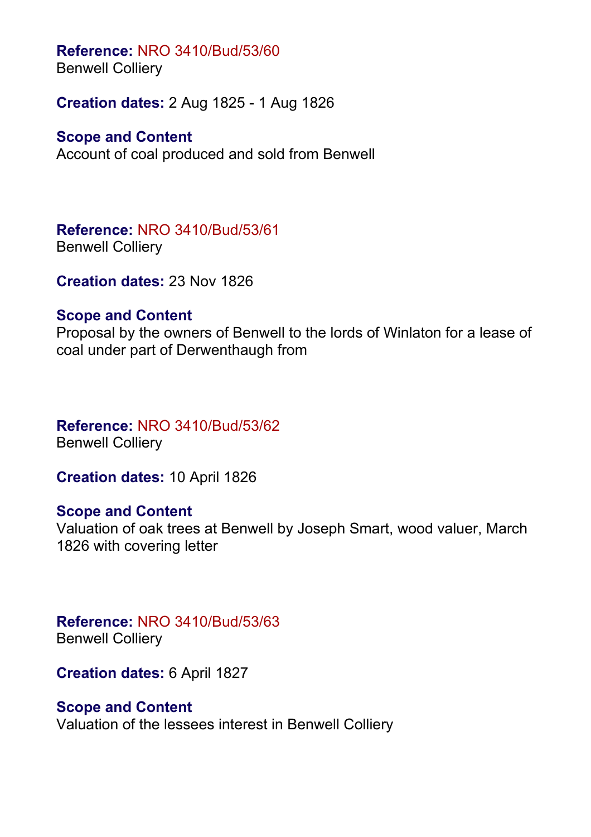Benwell Colliery

**Creation dates:** 2 Aug 1825 - 1 Aug 1826

# **Scope and Content**

Account of coal produced and sold from Benwell

**Reference:** NRO 3410/Bud/53/61 Benwell Colliery

**Creation dates:** 23 Nov 1826

### **Scope and Content**

Proposal by the owners of Benwell to the lords of Winlaton for a lease of coal under part of Derwenthaugh from

# **Reference:** NRO 3410/Bud/53/62

Benwell Colliery

**Creation dates:** 10 April 1826

# **Scope and Content**

Valuation of oak trees at Benwell by Joseph Smart, wood valuer, March 1826 with covering letter

**Reference:** NRO 3410/Bud/53/63 Benwell Colliery

**Creation dates:** 6 April 1827

# **Scope and Content**

Valuation of the lessees interest in Benwell Colliery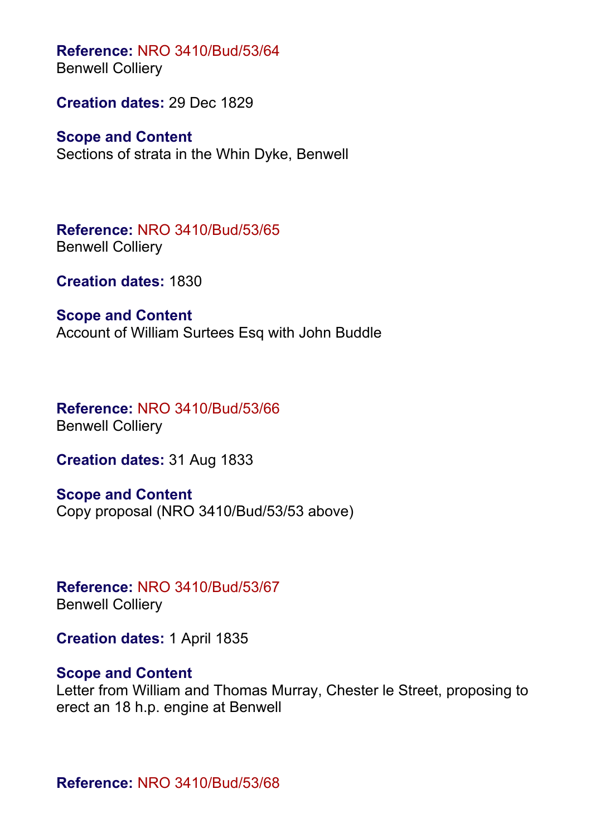**Reference:** NRO 3410/Bud/53/64 Benwell Colliery

**Creation dates:** 29 Dec 1829

**Scope and Content** Sections of strata in the Whin Dyke, Benwell

**Reference:** NRO 3410/Bud/53/65 Benwell Colliery

**Creation dates:** 1830

**Scope and Content** Account of William Surtees Esq with John Buddle

**Reference:** NRO 3410/Bud/53/66 Benwell Colliery

**Creation dates:** 31 Aug 1833

**Scope and Content** Copy proposal (NRO 3410/Bud/53/53 above)

**Reference:** NRO 3410/Bud/53/67 Benwell Colliery

**Creation dates:** 1 April 1835

#### **Scope and Content**

Letter from William and Thomas Murray, Chester le Street, proposing to erect an 18 h.p. engine at Benwell

**Reference:** NRO 3410/Bud/53/68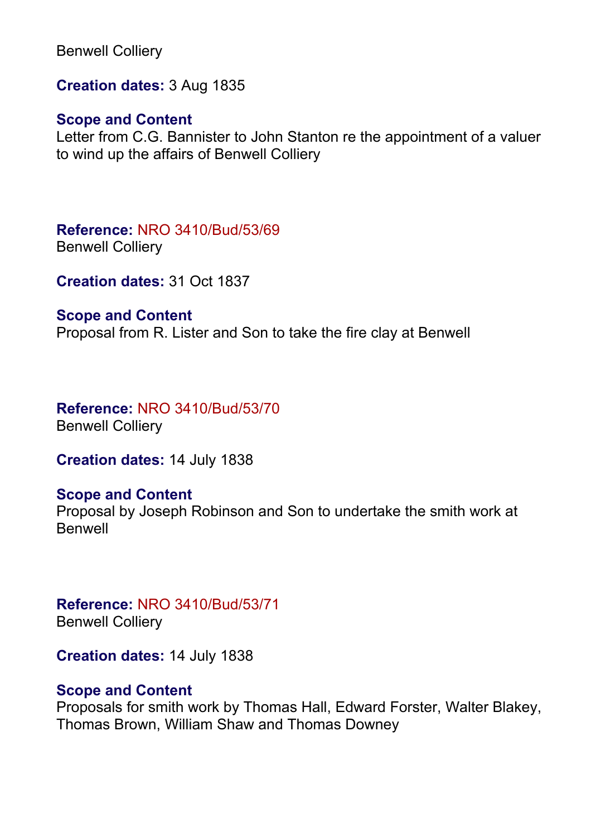Benwell Colliery

**Creation dates:** 3 Aug 1835

### **Scope and Content**

Letter from C.G. Bannister to John Stanton re the appointment of a valuer to wind up the affairs of Benwell Colliery

**Reference:** NRO 3410/Bud/53/69 Benwell Colliery

**Creation dates:** 31 Oct 1837

#### **Scope and Content**

Proposal from R. Lister and Son to take the fire clay at Benwell

**Reference:** NRO 3410/Bud/53/70 Benwell Colliery

**Creation dates:** 14 July 1838

### **Scope and Content**

Proposal by Joseph Robinson and Son to undertake the smith work at Benwell

**Reference:** NRO 3410/Bud/53/71 Benwell Colliery

**Creation dates:** 14 July 1838

### **Scope and Content**

Proposals for smith work by Thomas Hall, Edward Forster, Walter Blakey, Thomas Brown, William Shaw and Thomas Downey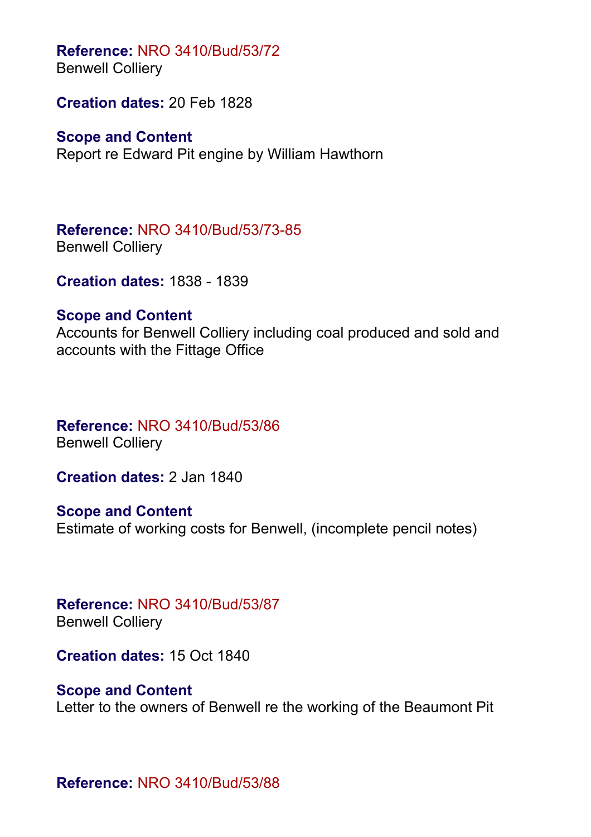Benwell Colliery

**Creation dates:** 20 Feb 1828

**Scope and Content**

Report re Edward Pit engine by William Hawthorn

**Reference:** NRO 3410/Bud/53/73-85 Benwell Colliery

**Creation dates:** 1838 - 1839

# **Scope and Content**

Accounts for Benwell Colliery including coal produced and sold and accounts with the Fittage Office

# **Reference:** NRO 3410/Bud/53/86

Benwell Colliery

**Creation dates:** 2 Jan 1840

**Scope and Content** Estimate of working costs for Benwell, (incomplete pencil notes)

**Reference:** NRO 3410/Bud/53/87 Benwell Colliery

**Creation dates:** 15 Oct 1840

# **Scope and Content**

Letter to the owners of Benwell re the working of the Beaumont Pit

**Reference:** NRO 3410/Bud/53/88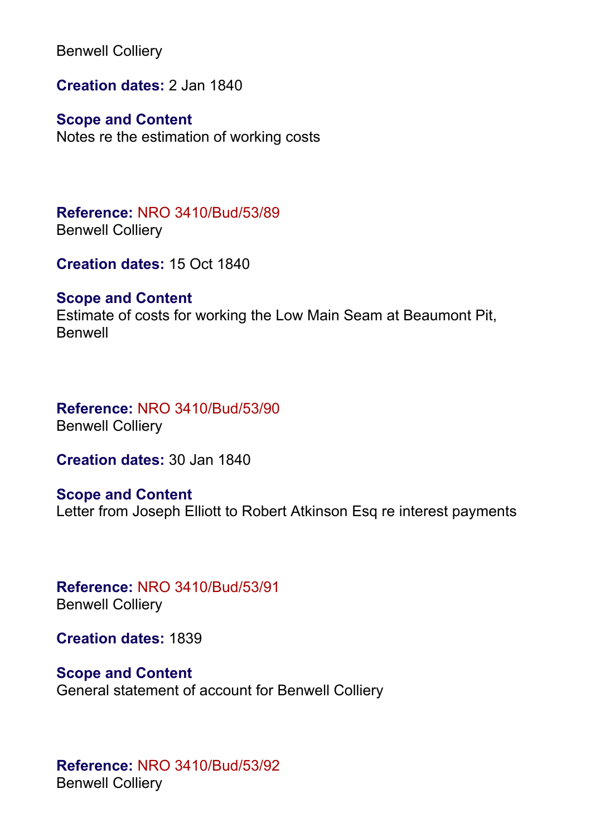Benwell Colliery

**Creation dates:** 2 Jan 1840

**Scope and Content**

Notes re the estimation of working costs

**Reference:** NRO 3410/Bud/53/89 Benwell Colliery

**Creation dates:** 15 Oct 1840

#### **Scope and Content**

Estimate of costs for working the Low Main Seam at Beaumont Pit, Benwell

**Reference:** NRO 3410/Bud/53/90 Benwell Colliery

**Creation dates:** 30 Jan 1840

**Scope and Content** Letter from Joseph Elliott to Robert Atkinson Esq re interest payments

**Reference:** NRO 3410/Bud/53/91 Benwell Colliery

**Creation dates:** 1839

**Scope and Content** General statement of account for Benwell Colliery

**Reference:** NRO 3410/Bud/53/92 Benwell Colliery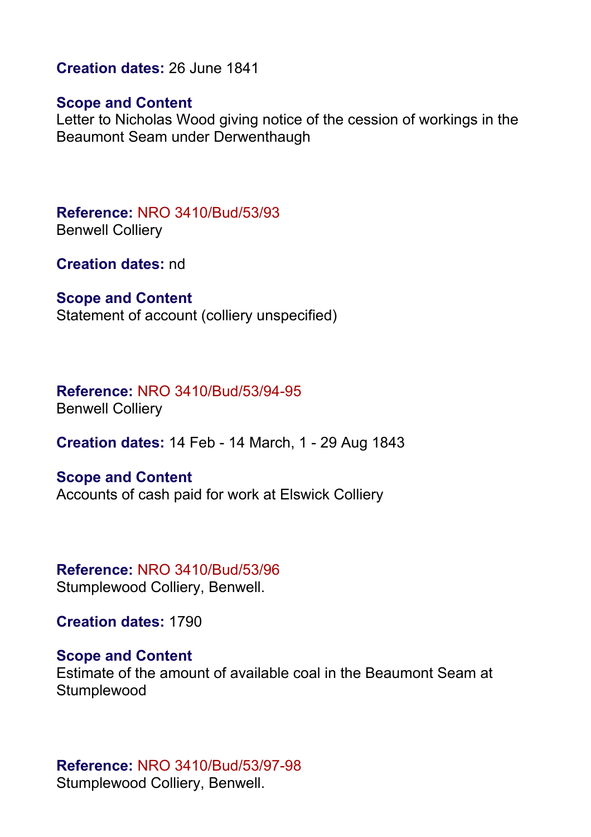**Creation dates:** 26 June 1841

#### **Scope and Content**

Letter to Nicholas Wood giving notice of the cession of workings in the Beaumont Seam under Derwenthaugh

**Reference:** NRO 3410/Bud/53/93 Benwell Colliery

**Creation dates:** nd

#### **Scope and Content**

Statement of account (colliery unspecified)

# **Reference:** NRO 3410/Bud/53/94-95

Benwell Colliery

**Creation dates:** 14 Feb - 14 March, 1 - 29 Aug 1843

#### **Scope and Content**

Accounts of cash paid for work at Elswick Colliery

#### **Reference:** NRO 3410/Bud/53/96 Stumplewood Colliery, Benwell.

**Creation dates:** 1790

#### **Scope and Content**

Estimate of the amount of available coal in the Beaumont Seam at **Stumplewood** 

#### **Reference:** NRO 3410/Bud/53/97-98 Stumplewood Colliery, Benwell.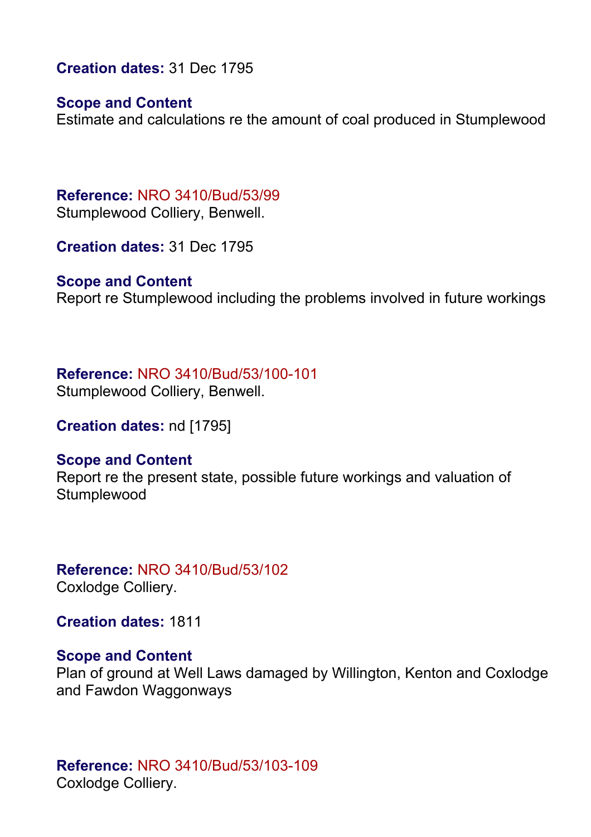**Creation dates:** 31 Dec 1795

#### **Scope and Content**

Estimate and calculations re the amount of coal produced in Stumplewood

**Reference:** NRO 3410/Bud/53/99 Stumplewood Colliery, Benwell.

**Creation dates:** 31 Dec 1795

#### **Scope and Content**

Report re Stumplewood including the problems involved in future workings

#### **Reference:** NRO 3410/Bud/53/100-101

Stumplewood Colliery, Benwell.

**Creation dates:** nd [1795]

#### **Scope and Content**

Report re the present state, possible future workings and valuation of **Stumplewood** 

#### **Reference:** NRO 3410/Bud/53/102 Coxlodge Colliery.

**Creation dates:** 1811

#### **Scope and Content**

Plan of ground at Well Laws damaged by Willington, Kenton and Coxlodge and Fawdon Waggonways

### **Reference:** NRO 3410/Bud/53/103-109 Coxlodge Colliery.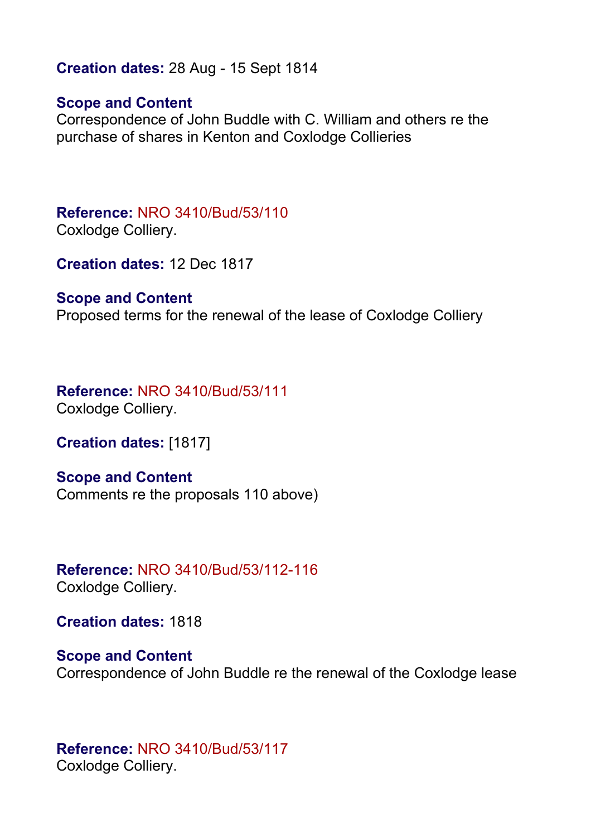#### **Creation dates:** 28 Aug - 15 Sept 1814

#### **Scope and Content**

Correspondence of John Buddle with C. William and others re the purchase of shares in Kenton and Coxlodge Collieries

**Reference:** NRO 3410/Bud/53/110 Coxlodge Colliery.

**Creation dates:** 12 Dec 1817

#### **Scope and Content**

Proposed terms for the renewal of the lease of Coxlodge Colliery

**Reference:** NRO 3410/Bud/53/111 Coxlodge Colliery.

**Creation dates:** [1817]

**Scope and Content**

Comments re the proposals 110 above)

**Reference:** NRO 3410/Bud/53/112-116 Coxlodge Colliery.

**Creation dates:** 1818

**Scope and Content** Correspondence of John Buddle re the renewal of the Coxlodge lease

**Reference:** NRO 3410/Bud/53/117 Coxlodge Colliery.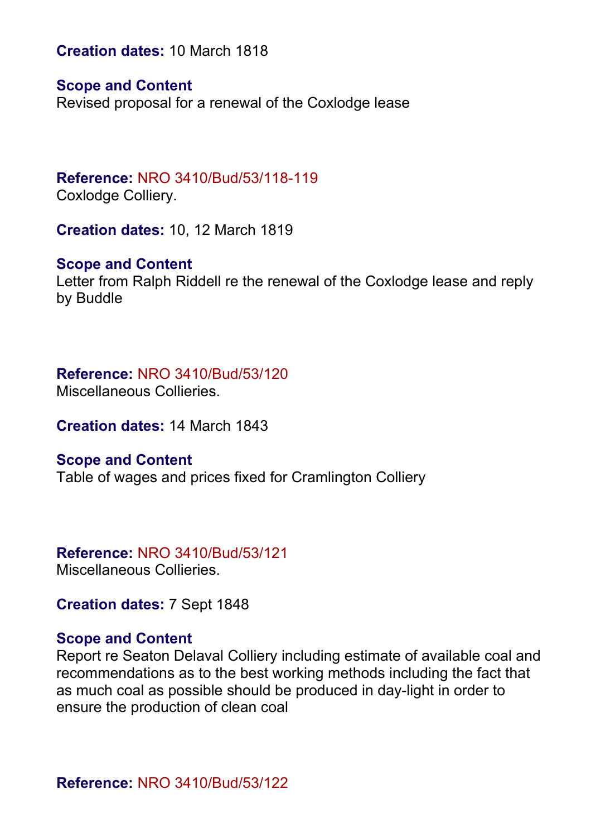**Creation dates:** 10 March 1818

#### **Scope and Content**

Revised proposal for a renewal of the Coxlodge lease

# **Reference:** NRO 3410/Bud/53/118-119

Coxlodge Colliery.

**Creation dates:** 10, 12 March 1819

#### **Scope and Content**

Letter from Ralph Riddell re the renewal of the Coxlodge lease and reply by Buddle

#### **Reference:** NRO 3410/Bud/53/120

Miscellaneous Collieries.

**Creation dates:** 14 March 1843

#### **Scope and Content**

Table of wages and prices fixed for Cramlington Colliery

# **Reference:** NRO 3410/Bud/53/121

Miscellaneous Collieries.

**Creation dates:** 7 Sept 1848

#### **Scope and Content**

Report re Seaton Delaval Colliery including estimate of available coal and recommendations as to the best working methods including the fact that as much coal as possible should be produced in day-light in order to ensure the production of clean coal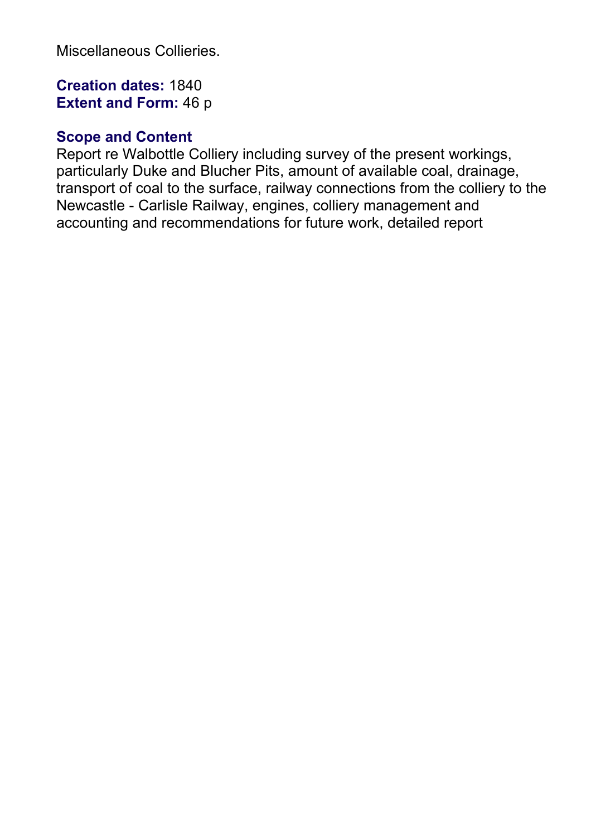Miscellaneous Collieries.

# **Creation dates:** 1840 **Extent and Form:** 46 p

## **Scope and Content**

Report re Walbottle Colliery including survey of the present workings, particularly Duke and Blucher Pits, amount of available coal, drainage, transport of coal to the surface, railway connections from the colliery to the Newcastle - Carlisle Railway, engines, colliery management and accounting and recommendations for future work, detailed report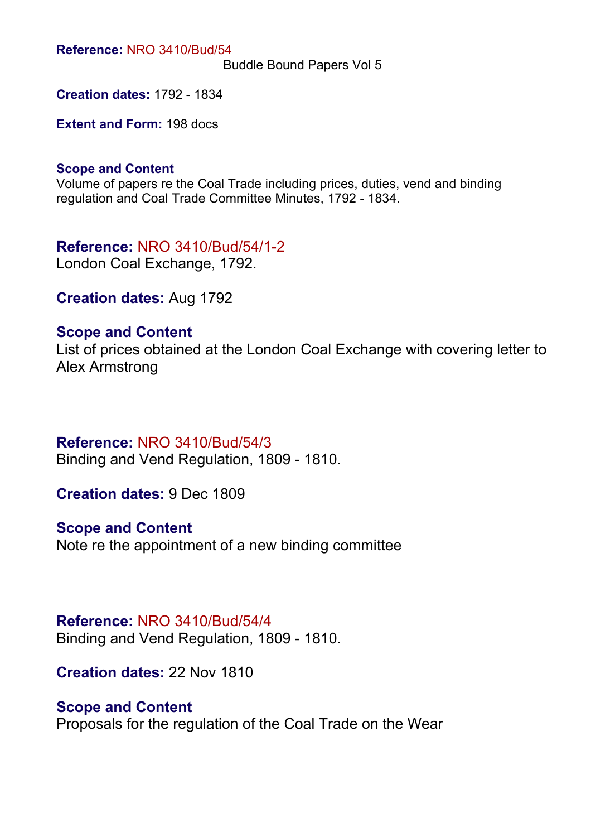Buddle Bound Papers Vol 5

**Creation dates:** 1792 - 1834

**Extent and Form:** 198 docs

#### **Scope and Content**

Volume of papers re the Coal Trade including prices, duties, vend and binding regulation and Coal Trade Committee Minutes, 1792 - 1834.

**Reference:** NRO 3410/Bud/54/1-2 London Coal Exchange, 1792.

**Creation dates:** Aug 1792

#### **Scope and Content**

List of prices obtained at the London Coal Exchange with covering letter to Alex Armstrong

#### **Reference:** NRO 3410/Bud/54/3

Binding and Vend Regulation, 1809 - 1810.

**Creation dates:** 9 Dec 1809

**Scope and Content**

Note re the appointment of a new binding committee

#### **Reference:** NRO 3410/Bud/54/4

Binding and Vend Regulation, 1809 - 1810.

**Creation dates:** 22 Nov 1810

#### **Scope and Content**

Proposals for the regulation of the Coal Trade on the Wear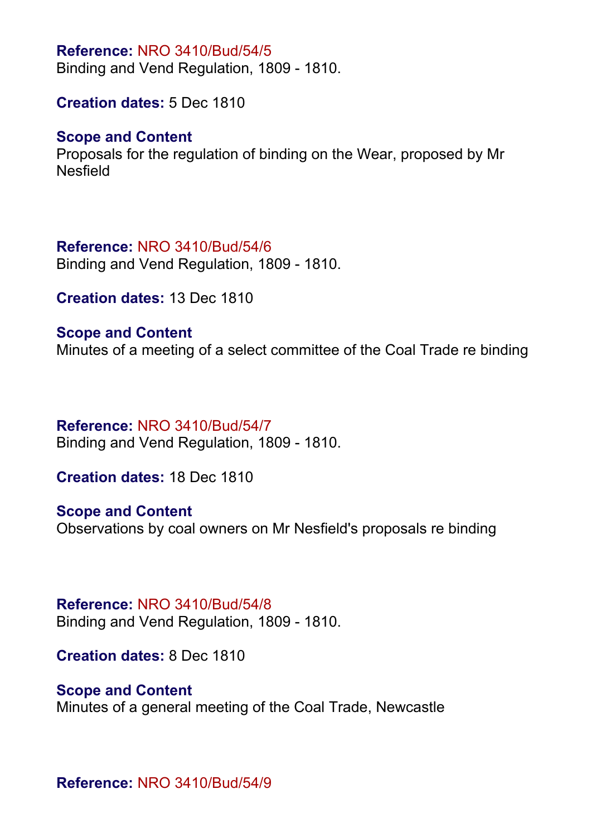Binding and Vend Regulation, 1809 - 1810.

**Creation dates:** 5 Dec 1810

#### **Scope and Content**

Proposals for the regulation of binding on the Wear, proposed by Mr Nesfield

#### **Reference:** NRO 3410/Bud/54/6

Binding and Vend Regulation, 1809 - 1810.

**Creation dates:** 13 Dec 1810

## **Scope and Content** Minutes of a meeting of a select committee of the Coal Trade re binding

### **Reference:** NRO 3410/Bud/54/7

Binding and Vend Regulation, 1809 - 1810.

**Creation dates:** 18 Dec 1810

### **Scope and Content**

Observations by coal owners on Mr Nesfield's proposals re binding

#### **Reference:** NRO 3410/Bud/54/8

Binding and Vend Regulation, 1809 - 1810.

**Creation dates:** 8 Dec 1810

### **Scope and Content**

Minutes of a general meeting of the Coal Trade, Newcastle

**Reference:** NRO 3410/Bud/54/9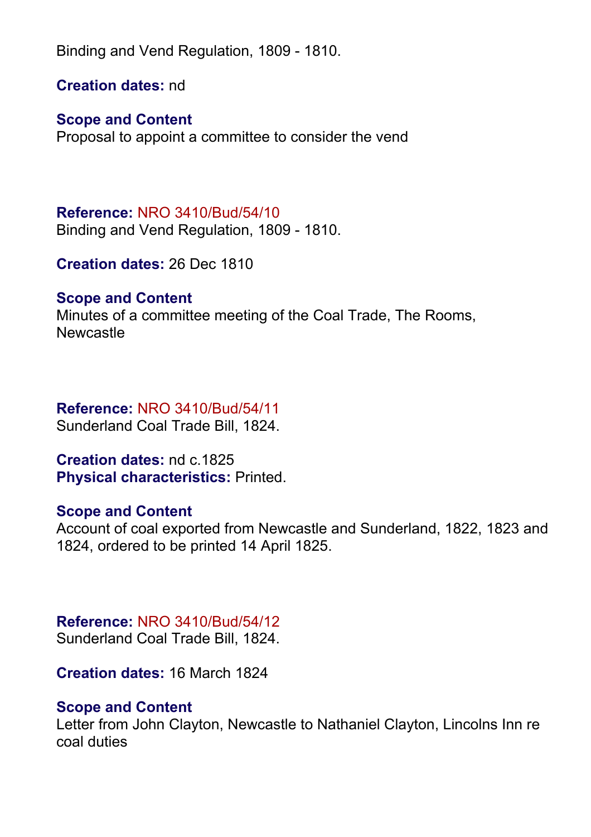Binding and Vend Regulation, 1809 - 1810.

**Creation dates:** nd

# **Scope and Content**

Proposal to appoint a committee to consider the vend

# **Reference:** NRO 3410/Bud/54/10

Binding and Vend Regulation, 1809 - 1810.

**Creation dates:** 26 Dec 1810

# **Scope and Content**

Minutes of a committee meeting of the Coal Trade, The Rooms, Newcastle

# **Reference:** NRO 3410/Bud/54/11

Sunderland Coal Trade Bill, 1824.

**Creation dates:** nd c.1825 **Physical characteristics:** Printed.

# **Scope and Content**

Account of coal exported from Newcastle and Sunderland, 1822, 1823 and 1824, ordered to be printed 14 April 1825.

# **Reference:** NRO 3410/Bud/54/12

Sunderland Coal Trade Bill, 1824.

**Creation dates:** 16 March 1824

# **Scope and Content**

Letter from John Clayton, Newcastle to Nathaniel Clayton, Lincolns Inn re coal duties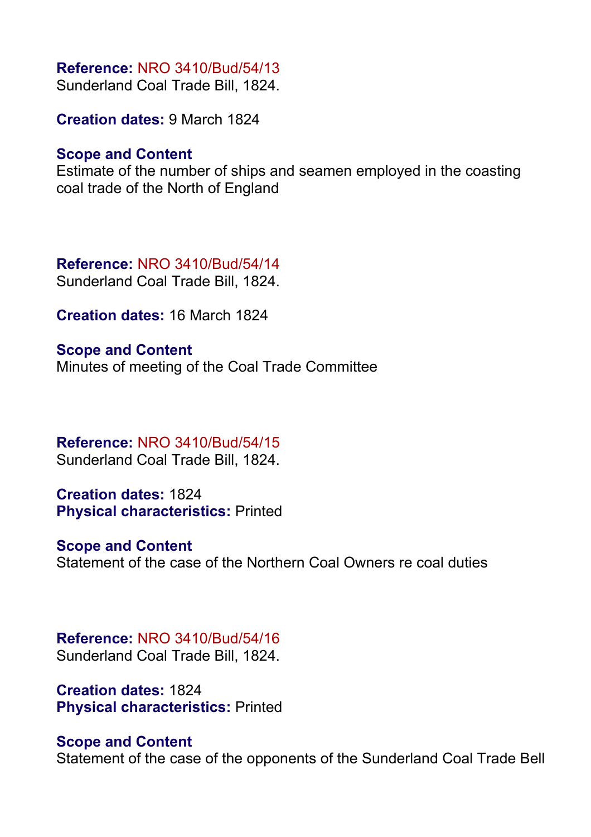Sunderland Coal Trade Bill, 1824.

**Creation dates:** 9 March 1824

#### **Scope and Content**

Estimate of the number of ships and seamen employed in the coasting coal trade of the North of England

**Reference:** NRO 3410/Bud/54/14 Sunderland Coal Trade Bill, 1824.

**Creation dates:** 16 March 1824

**Scope and Content** Minutes of meeting of the Coal Trade Committee

#### **Reference:** NRO 3410/Bud/54/15 Sunderland Coal Trade Bill, 1824.

**Creation dates:** 1824 **Physical characteristics:** Printed

#### **Scope and Content**

Statement of the case of the Northern Coal Owners re coal duties

### **Reference:** NRO 3410/Bud/54/16

Sunderland Coal Trade Bill, 1824.

**Creation dates:** 1824 **Physical characteristics:** Printed

#### **Scope and Content**

Statement of the case of the opponents of the Sunderland Coal Trade Bell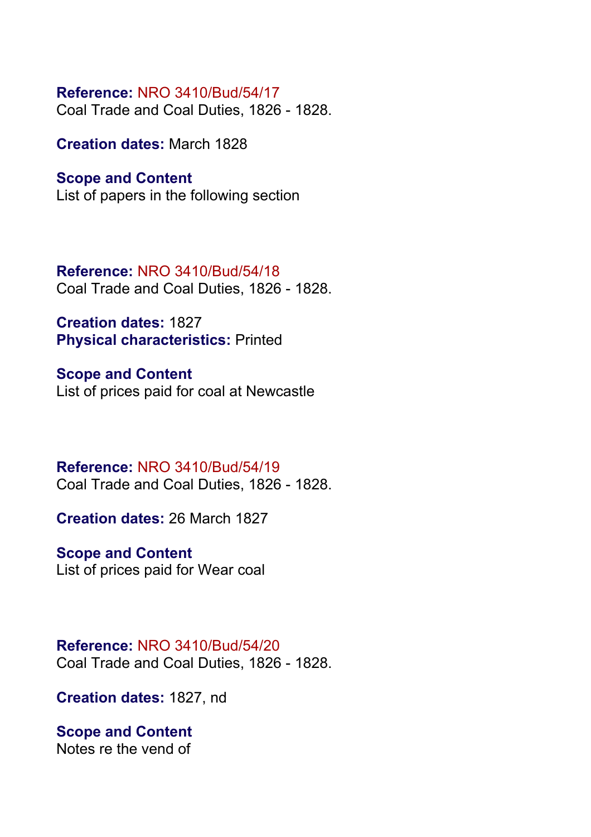Coal Trade and Coal Duties, 1826 - 1828.

**Creation dates:** March 1828

#### **Scope and Content**

List of papers in the following section

**Reference:** NRO 3410/Bud/54/18 Coal Trade and Coal Duties, 1826 - 1828.

**Creation dates:** 1827 **Physical characteristics:** Printed

**Scope and Content** List of prices paid for coal at Newcastle

**Reference:** NRO 3410/Bud/54/19 Coal Trade and Coal Duties, 1826 - 1828.

**Creation dates:** 26 March 1827

# **Scope and Content**

List of prices paid for Wear coal

#### **Reference:** NRO 3410/Bud/54/20 Coal Trade and Coal Duties, 1826 - 1828.

**Creation dates:** 1827, nd

#### **Scope and Content** Notes re the vend of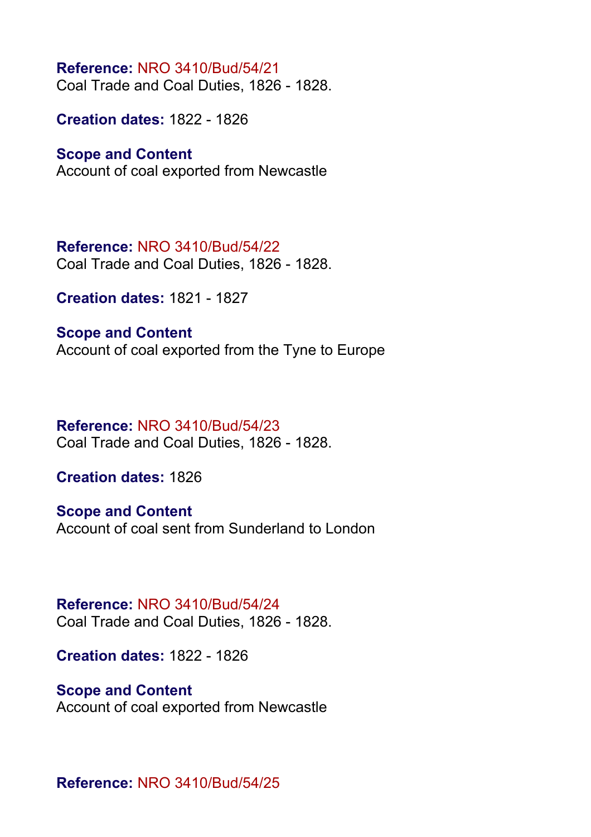**Reference:** NRO 3410/Bud/54/21 Coal Trade and Coal Duties, 1826 - 1828.

**Creation dates:** 1822 - 1826

#### **Scope and Content**

Account of coal exported from Newcastle

**Reference:** NRO 3410/Bud/54/22 Coal Trade and Coal Duties, 1826 - 1828.

**Creation dates:** 1821 - 1827

**Scope and Content** Account of coal exported from the Tyne to Europe

#### **Reference:** NRO 3410/Bud/54/23 Coal Trade and Coal Duties, 1826 - 1828.

**Creation dates:** 1826

**Scope and Content** Account of coal sent from Sunderland to London

#### **Reference:** NRO 3410/Bud/54/24 Coal Trade and Coal Duties, 1826 - 1828.

**Creation dates:** 1822 - 1826

# **Scope and Content**

Account of coal exported from Newcastle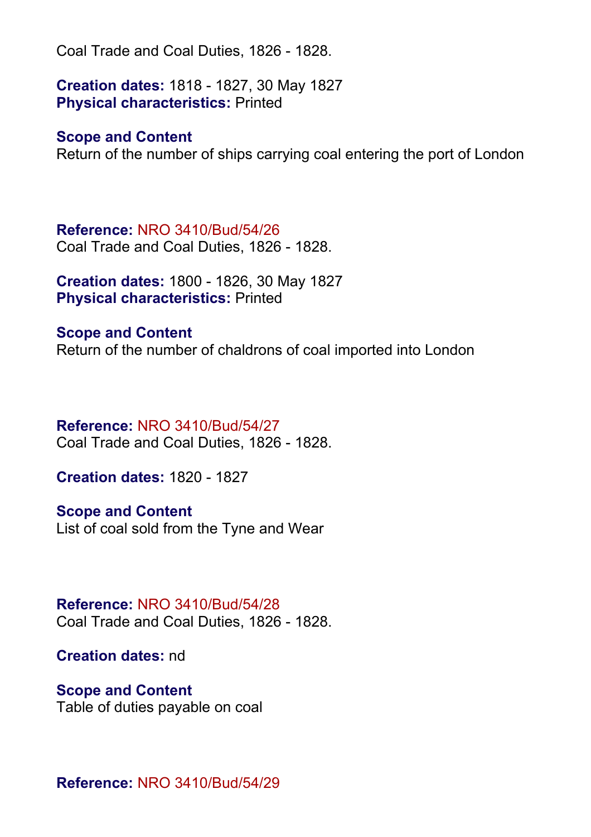**Creation dates:** 1818 - 1827, 30 May 1827 **Physical characteristics:** Printed

#### **Scope and Content**

Return of the number of ships carrying coal entering the port of London

**Reference:** NRO 3410/Bud/54/26 Coal Trade and Coal Duties, 1826 - 1828.

**Creation dates:** 1800 - 1826, 30 May 1827 **Physical characteristics:** Printed

**Scope and Content** Return of the number of chaldrons of coal imported into London

#### **Reference:** NRO 3410/Bud/54/27

Coal Trade and Coal Duties, 1826 - 1828.

**Creation dates:** 1820 - 1827

**Scope and Content** List of coal sold from the Tyne and Wear

**Reference:** NRO 3410/Bud/54/28 Coal Trade and Coal Duties, 1826 - 1828.

**Creation dates:** nd

**Scope and Content** Table of duties payable on coal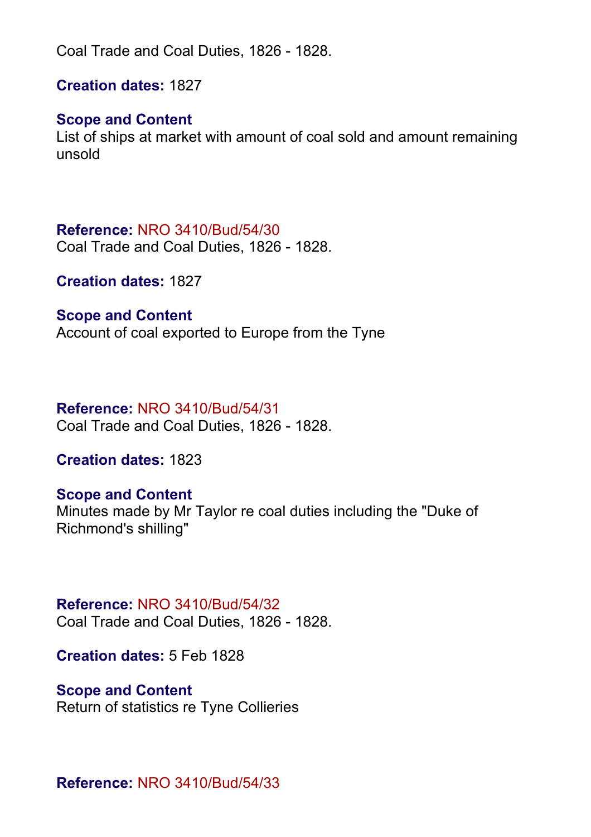**Creation dates:** 1827

#### **Scope and Content**

List of ships at market with amount of coal sold and amount remaining unsold

#### **Reference:** NRO 3410/Bud/54/30

Coal Trade and Coal Duties, 1826 - 1828.

**Creation dates:** 1827

#### **Scope and Content**

Account of coal exported to Europe from the Tyne

#### **Reference:** NRO 3410/Bud/54/31

Coal Trade and Coal Duties, 1826 - 1828.

**Creation dates:** 1823

#### **Scope and Content**

Minutes made by Mr Taylor re coal duties including the "Duke of Richmond's shilling"

#### **Reference:** NRO 3410/Bud/54/32

Coal Trade and Coal Duties, 1826 - 1828.

**Creation dates:** 5 Feb 1828

#### **Scope and Content**

Return of statistics re Tyne Collieries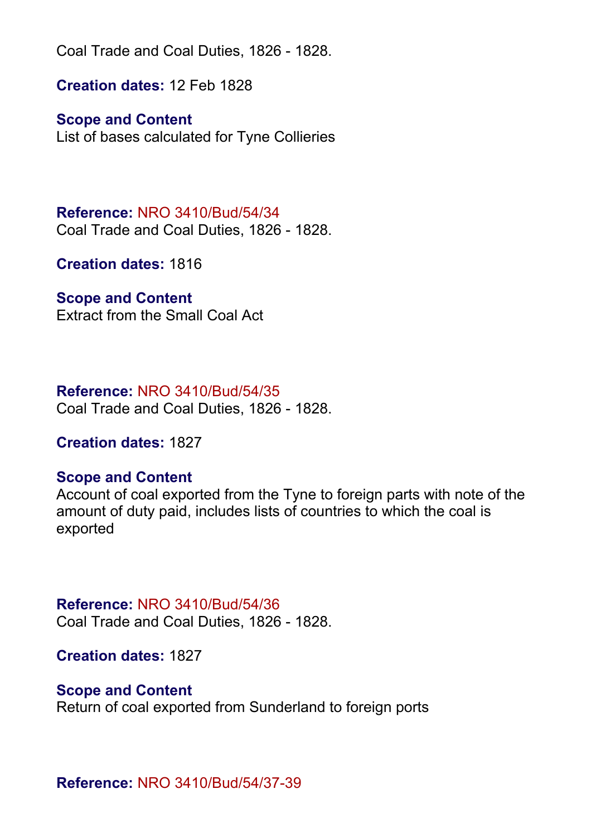**Creation dates:** 12 Feb 1828

**Scope and Content**

List of bases calculated for Tyne Collieries

**Reference:** NRO 3410/Bud/54/34 Coal Trade and Coal Duties, 1826 - 1828.

**Creation dates:** 1816

#### **Scope and Content**

Extract from the Small Coal Act

#### **Reference:** NRO 3410/Bud/54/35

Coal Trade and Coal Duties, 1826 - 1828.

#### **Creation dates:** 1827

#### **Scope and Content**

Account of coal exported from the Tyne to foreign parts with note of the amount of duty paid, includes lists of countries to which the coal is exported

#### **Reference:** NRO 3410/Bud/54/36

Coal Trade and Coal Duties, 1826 - 1828.

**Creation dates:** 1827

#### **Scope and Content**

Return of coal exported from Sunderland to foreign ports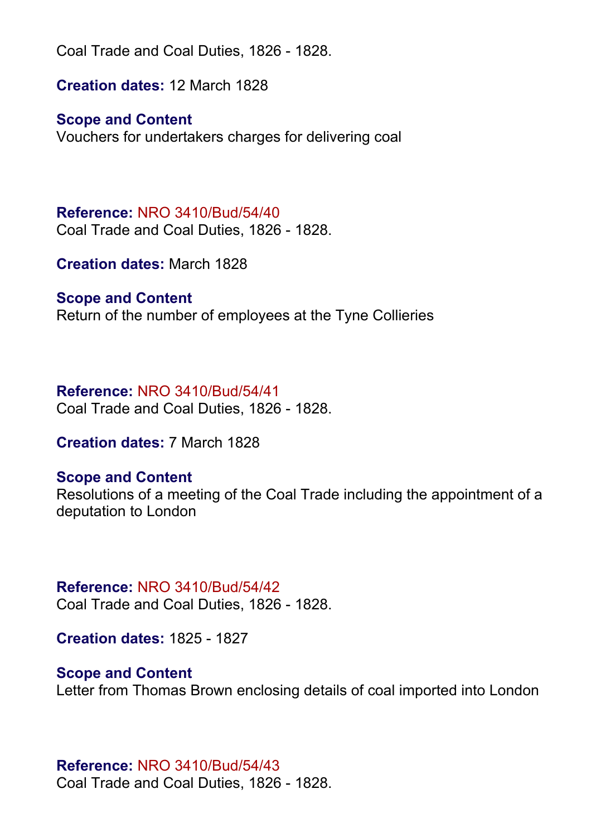**Creation dates:** 12 March 1828

### **Scope and Content**

Vouchers for undertakers charges for delivering coal

**Reference:** NRO 3410/Bud/54/40 Coal Trade and Coal Duties, 1826 - 1828.

**Creation dates:** March 1828

#### **Scope and Content**

Return of the number of employees at the Tyne Collieries

#### **Reference:** NRO 3410/Bud/54/41

Coal Trade and Coal Duties, 1826 - 1828.

**Creation dates:** 7 March 1828

#### **Scope and Content**

Resolutions of a meeting of the Coal Trade including the appointment of a deputation to London

### **Reference:** NRO 3410/Bud/54/42

Coal Trade and Coal Duties, 1826 - 1828.

**Creation dates:** 1825 - 1827

#### **Scope and Content**

Letter from Thomas Brown enclosing details of coal imported into London

#### **Reference:** NRO 3410/Bud/54/43

Coal Trade and Coal Duties, 1826 - 1828.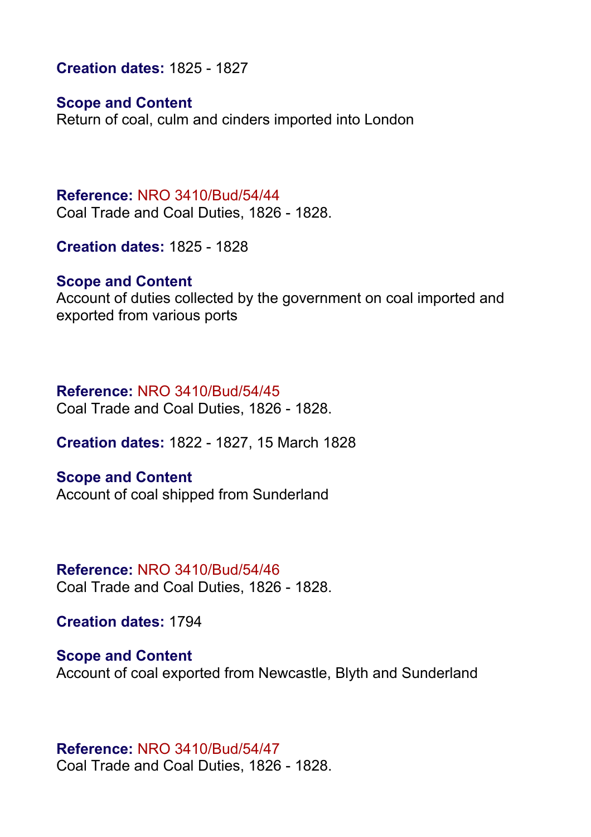**Creation dates:** 1825 - 1827

**Scope and Content**

Return of coal, culm and cinders imported into London

**Reference:** NRO 3410/Bud/54/44 Coal Trade and Coal Duties, 1826 - 1828.

**Creation dates:** 1825 - 1828

#### **Scope and Content**

Account of duties collected by the government on coal imported and exported from various ports

#### **Reference:** NRO 3410/Bud/54/45

Coal Trade and Coal Duties, 1826 - 1828.

**Creation dates:** 1822 - 1827, 15 March 1828

**Scope and Content** Account of coal shipped from Sunderland

**Reference:** NRO 3410/Bud/54/46 Coal Trade and Coal Duties, 1826 - 1828.

**Creation dates:** 1794

**Scope and Content** Account of coal exported from Newcastle, Blyth and Sunderland

**Reference:** NRO 3410/Bud/54/47 Coal Trade and Coal Duties, 1826 - 1828.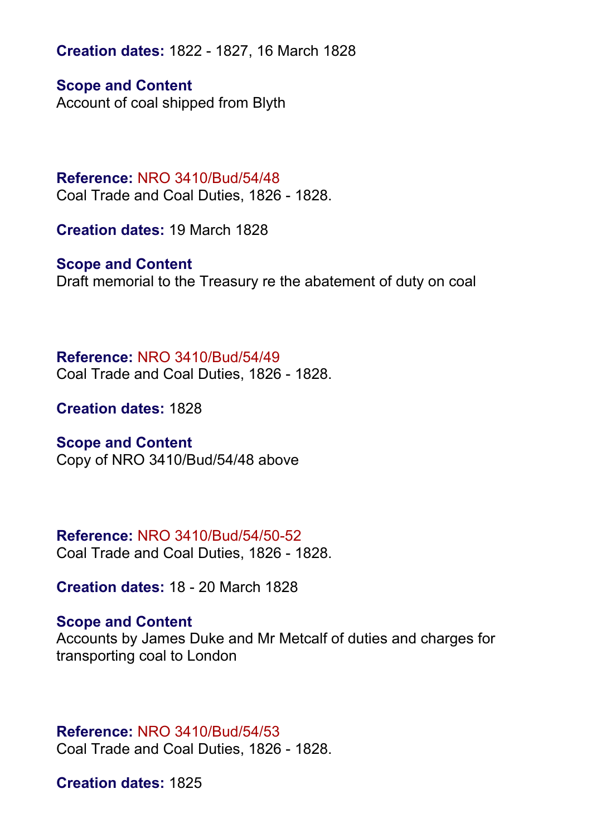**Creation dates:** 1822 - 1827, 16 March 1828

**Scope and Content** Account of coal shipped from Blyth

# **Reference:** NRO 3410/Bud/54/48

Coal Trade and Coal Duties, 1826 - 1828.

**Creation dates:** 19 March 1828

#### **Scope and Content**

Draft memorial to the Treasury re the abatement of duty on coal

**Reference:** NRO 3410/Bud/54/49 Coal Trade and Coal Duties, 1826 - 1828.

**Creation dates:** 1828

#### **Scope and Content**

Copy of NRO 3410/Bud/54/48 above

#### **Reference:** NRO 3410/Bud/54/50-52

Coal Trade and Coal Duties, 1826 - 1828.

**Creation dates:** 18 - 20 March 1828

#### **Scope and Content**

Accounts by James Duke and Mr Metcalf of duties and charges for transporting coal to London

**Reference:** NRO 3410/Bud/54/53 Coal Trade and Coal Duties, 1826 - 1828.

**Creation dates:** 1825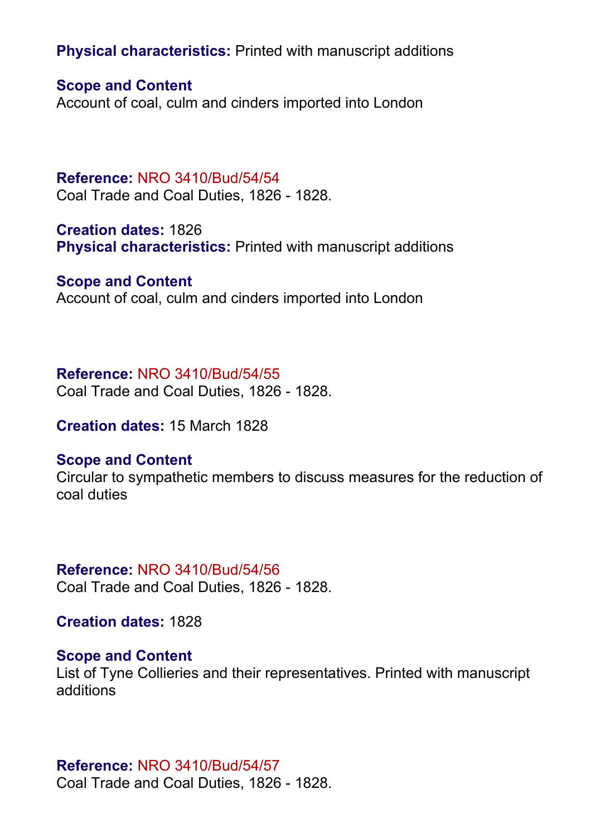**Physical characteristics:** Printed with manuscript additions

**Scope and Content**

Account of coal, culm and cinders imported into London

**Reference:** NRO 3410/Bud/54/54 Coal Trade and Coal Duties, 1826 - 1828.

**Creation dates:** 1826 **Physical characteristics:** Printed with manuscript additions

**Scope and Content** Account of coal, culm and cinders imported into London

#### **Reference:** NRO 3410/Bud/54/55

Coal Trade and Coal Duties, 1826 - 1828.

**Creation dates:** 15 March 1828

#### **Scope and Content**

Circular to sympathetic members to discuss measures for the reduction of coal duties

#### **Reference:** NRO 3410/Bud/54/56 Coal Trade and Coal Duties, 1826 - 1828.

**Creation dates:** 1828

#### **Scope and Content**

List of Tyne Collieries and their representatives. Printed with manuscript additions

#### **Reference:** NRO 3410/Bud/54/57

Coal Trade and Coal Duties, 1826 - 1828.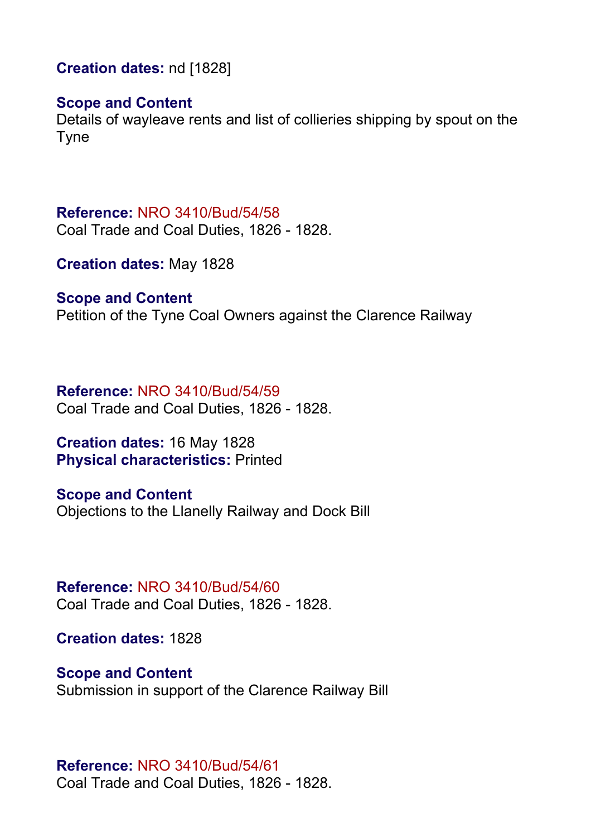**Creation dates:** nd [1828]

#### **Scope and Content**

Details of wayleave rents and list of collieries shipping by spout on the Tyne

**Reference:** NRO 3410/Bud/54/58 Coal Trade and Coal Duties, 1826 - 1828.

**Creation dates:** May 1828

**Scope and Content**

Petition of the Tyne Coal Owners against the Clarence Railway

**Reference:** NRO 3410/Bud/54/59 Coal Trade and Coal Duties, 1826 - 1828.

**Creation dates:** 16 May 1828 **Physical characteristics:** Printed

**Scope and Content** Objections to the Llanelly Railway and Dock Bill

**Reference:** NRO 3410/Bud/54/60 Coal Trade and Coal Duties, 1826 - 1828.

**Creation dates:** 1828

**Scope and Content** Submission in support of the Clarence Railway Bill

#### **Reference:** NRO 3410/Bud/54/61

Coal Trade and Coal Duties, 1826 - 1828.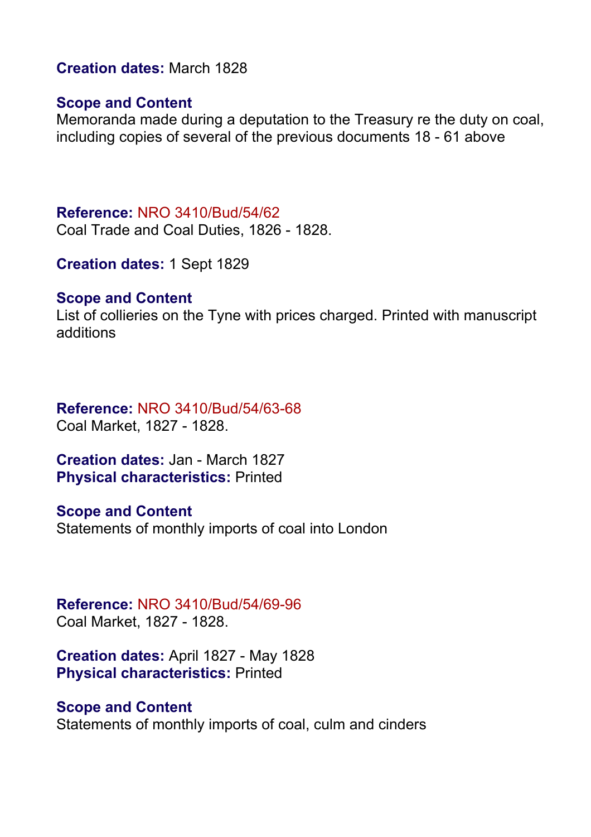#### **Creation dates:** March 1828

#### **Scope and Content**

Memoranda made during a deputation to the Treasury re the duty on coal, including copies of several of the previous documents 18 - 61 above

#### **Reference:** NRO 3410/Bud/54/62

Coal Trade and Coal Duties, 1826 - 1828.

**Creation dates:** 1 Sept 1829

#### **Scope and Content**

List of collieries on the Tyne with prices charged. Printed with manuscript additions

#### **Reference:** NRO 3410/Bud/54/63-68 Coal Market, 1827 - 1828.

**Creation dates:** Jan - March 1827 **Physical characteristics:** Printed

#### **Scope and Content** Statements of monthly imports of coal into London

#### **Reference:** NRO 3410/Bud/54/69-96 Coal Market, 1827 - 1828.

**Creation dates:** April 1827 - May 1828 **Physical characteristics:** Printed

#### **Scope and Content**

Statements of monthly imports of coal, culm and cinders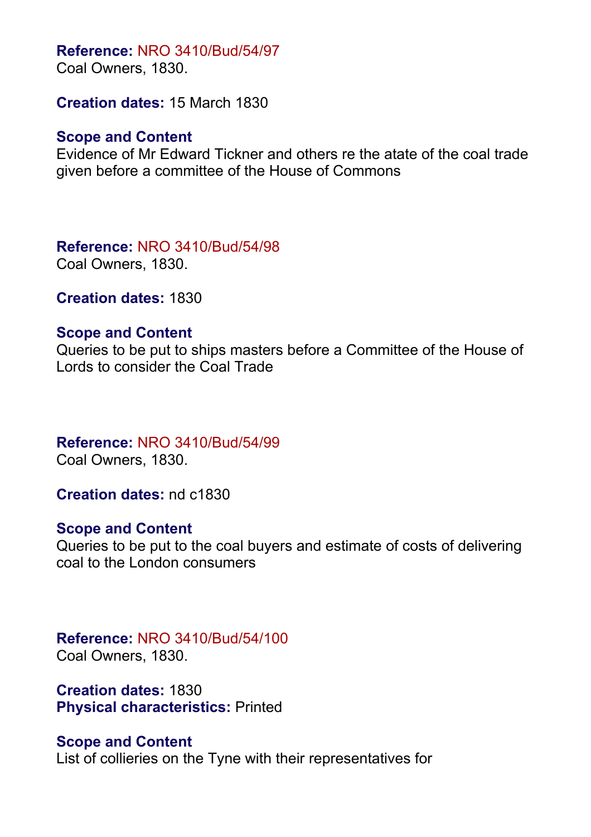#### **Reference:** NRO 3410/Bud/54/97

Coal Owners, 1830.

**Creation dates:** 15 March 1830

#### **Scope and Content**

Evidence of Mr Edward Tickner and others re the atate of the coal trade given before a committee of the House of Commons

**Reference:** NRO 3410/Bud/54/98 Coal Owners, 1830.

**Creation dates:** 1830

#### **Scope and Content**

Queries to be put to ships masters before a Committee of the House of Lords to consider the Coal Trade

### **Reference:** NRO 3410/Bud/54/99

Coal Owners, 1830.

**Creation dates:** nd c1830

#### **Scope and Content**

Queries to be put to the coal buyers and estimate of costs of delivering coal to the London consumers

# **Reference:** NRO 3410/Bud/54/100

Coal Owners, 1830.

**Creation dates:** 1830 **Physical characteristics:** Printed

#### **Scope and Content**

List of collieries on the Tyne with their representatives for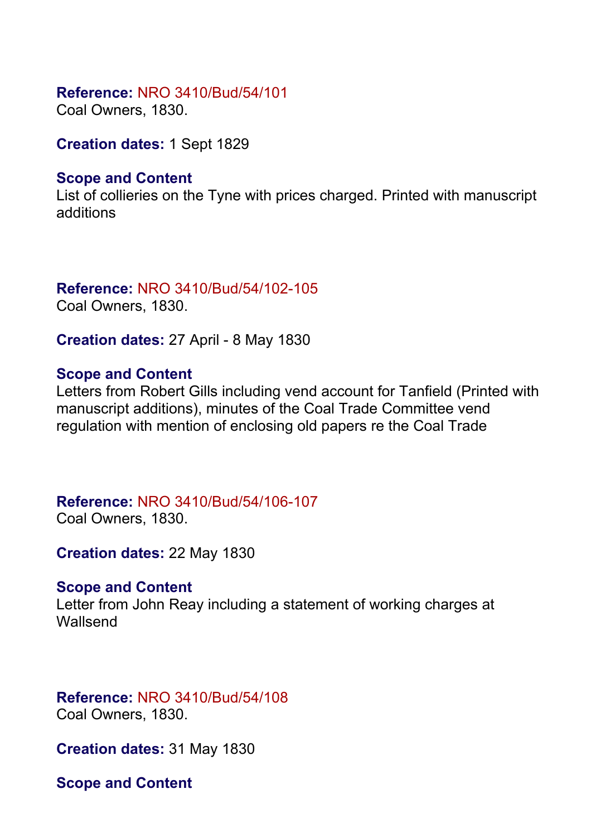#### **Reference:** NRO 3410/Bud/54/101

Coal Owners, 1830.

**Creation dates:** 1 Sept 1829

#### **Scope and Content**

List of collieries on the Tyne with prices charged. Printed with manuscript additions

### **Reference:** NRO 3410/Bud/54/102-105

Coal Owners, 1830.

**Creation dates:** 27 April - 8 May 1830

#### **Scope and Content**

Letters from Robert Gills including vend account for Tanfield (Printed with manuscript additions), minutes of the Coal Trade Committee vend regulation with mention of enclosing old papers re the Coal Trade

# **Reference:** NRO 3410/Bud/54/106-107

Coal Owners, 1830.

**Creation dates:** 22 May 1830

#### **Scope and Content**

Letter from John Reay including a statement of working charges at **Wallsend** 

# **Reference:** NRO 3410/Bud/54/108

Coal Owners, 1830.

**Creation dates:** 31 May 1830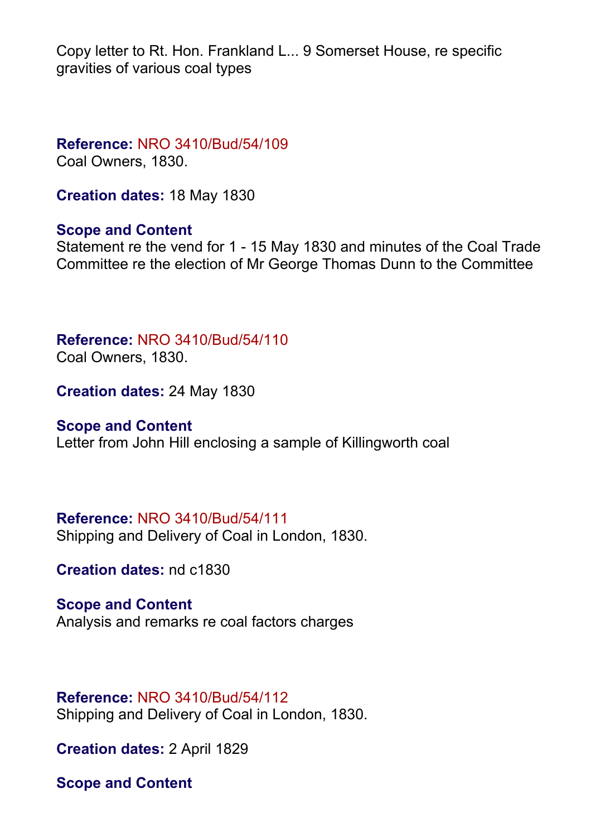Copy letter to Rt. Hon. Frankland L... 9 Somerset House, re specific gravities of various coal types

**Reference:** NRO 3410/Bud/54/109

Coal Owners, 1830.

**Creation dates:** 18 May 1830

#### **Scope and Content**

Statement re the vend for 1 - 15 May 1830 and minutes of the Coal Trade Committee re the election of Mr George Thomas Dunn to the Committee

**Reference:** NRO 3410/Bud/54/110

Coal Owners, 1830.

**Creation dates:** 24 May 1830

#### **Scope and Content**

Letter from John Hill enclosing a sample of Killingworth coal

**Reference:** NRO 3410/Bud/54/111

Shipping and Delivery of Coal in London, 1830.

**Creation dates:** nd c1830

**Scope and Content** Analysis and remarks re coal factors charges

#### **Reference:** NRO 3410/Bud/54/112

Shipping and Delivery of Coal in London, 1830.

**Creation dates:** 2 April 1829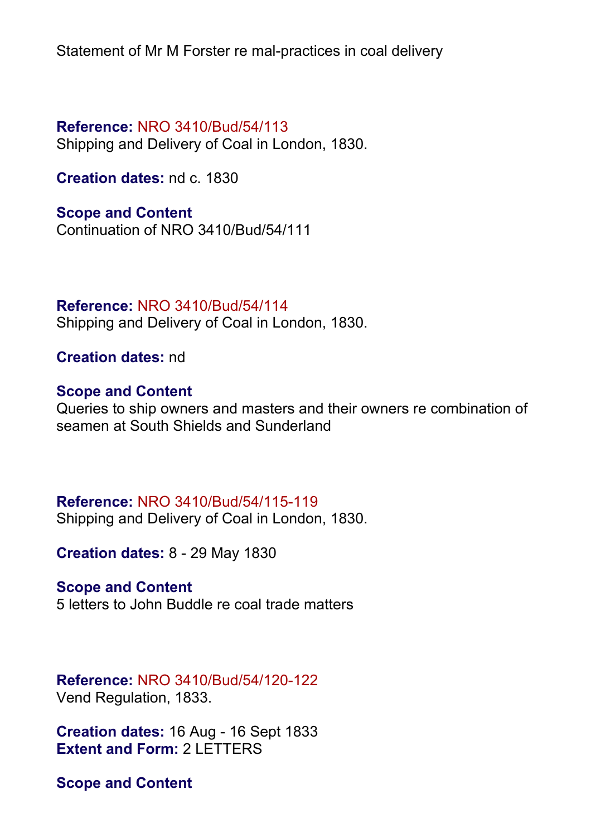Statement of Mr M Forster re mal-practices in coal delivery

#### **Reference:** NRO 3410/Bud/54/113

Shipping and Delivery of Coal in London, 1830.

**Creation dates:** nd c. 1830

#### **Scope and Content**

Continuation of NRO 3410/Bud/54/111

**Reference:** NRO 3410/Bud/54/114 Shipping and Delivery of Coal in London, 1830.

**Creation dates:** nd

#### **Scope and Content**

Queries to ship owners and masters and their owners re combination of seamen at South Shields and Sunderland

#### **Reference:** NRO 3410/Bud/54/115-119

Shipping and Delivery of Coal in London, 1830.

**Creation dates:** 8 - 29 May 1830

#### **Scope and Content**

5 letters to John Buddle re coal trade matters

#### **Reference:** NRO 3410/Bud/54/120-122 Vend Regulation, 1833.

**Creation dates:** 16 Aug - 16 Sept 1833 **Extent and Form:** 2 LETTERS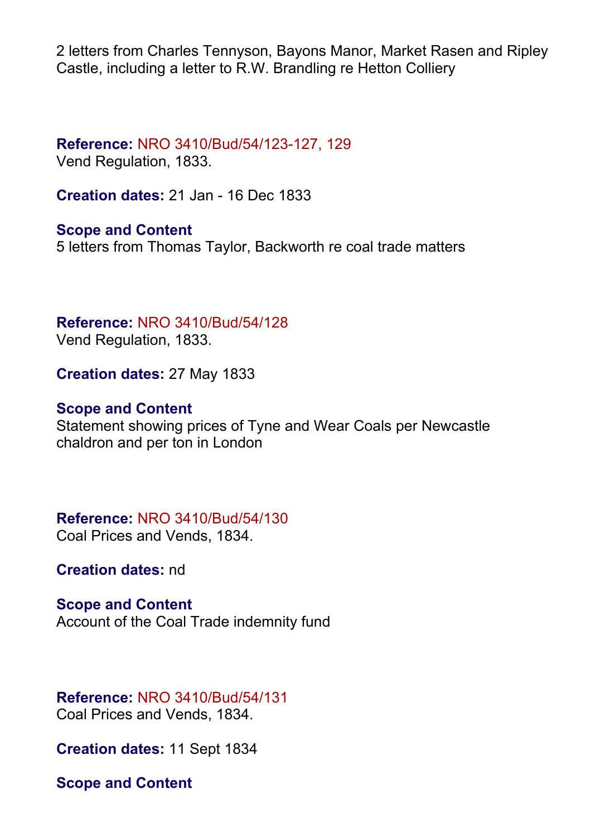2 letters from Charles Tennyson, Bayons Manor, Market Rasen and Ripley Castle, including a letter to R.W. Brandling re Hetton Colliery

# **Reference:** NRO 3410/Bud/54/123-127, 129

Vend Regulation, 1833.

**Creation dates:** 21 Jan - 16 Dec 1833

**Scope and Content** 5 letters from Thomas Taylor, Backworth re coal trade matters

# **Reference:** NRO 3410/Bud/54/128

Vend Regulation, 1833.

**Creation dates:** 27 May 1833

### **Scope and Content**

Statement showing prices of Tyne and Wear Coals per Newcastle chaldron and per ton in London

# **Reference:** NRO 3410/Bud/54/130

Coal Prices and Vends, 1834.

**Creation dates:** nd

#### **Scope and Content**

Account of the Coal Trade indemnity fund

#### **Reference:** NRO 3410/Bud/54/131 Coal Prices and Vends, 1834.

**Creation dates:** 11 Sept 1834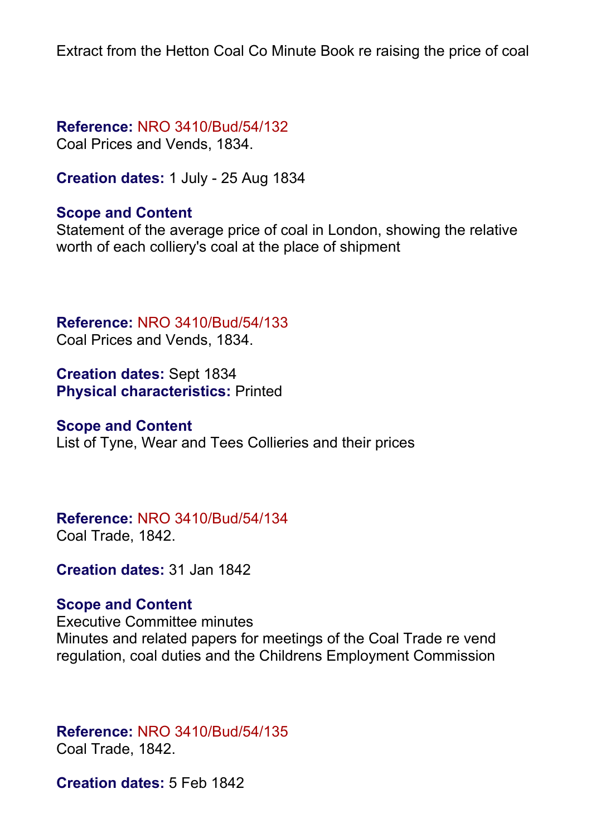Extract from the Hetton Coal Co Minute Book re raising the price of coal

**Reference:** NRO 3410/Bud/54/132 Coal Prices and Vends, 1834.

**Creation dates:** 1 July - 25 Aug 1834

#### **Scope and Content**

Statement of the average price of coal in London, showing the relative worth of each colliery's coal at the place of shipment

**Reference:** NRO 3410/Bud/54/133 Coal Prices and Vends, 1834.

**Creation dates:** Sept 1834 **Physical characteristics:** Printed

#### **Scope and Content**

List of Tyne, Wear and Tees Collieries and their prices

#### **Reference:** NRO 3410/Bud/54/134 Coal Trade, 1842.

**Creation dates:** 31 Jan 1842

#### **Scope and Content**

Executive Committee minutes Minutes and related papers for meetings of the Coal Trade re vend regulation, coal duties and the Childrens Employment Commission

**Reference:** NRO 3410/Bud/54/135 Coal Trade, 1842.

**Creation dates:** 5 Feb 1842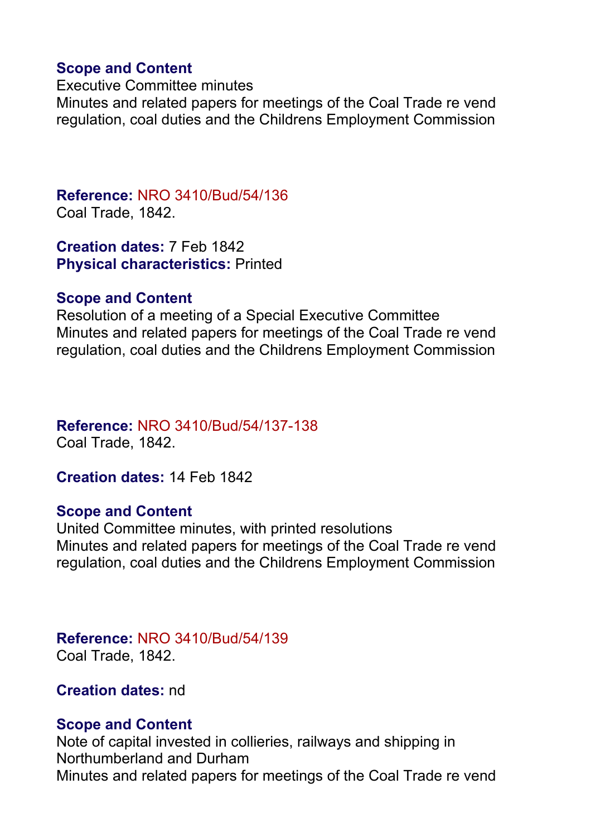#### **Scope and Content**

Executive Committee minutes Minutes and related papers for meetings of the Coal Trade re vend regulation, coal duties and the Childrens Employment Commission

**Reference:** NRO 3410/Bud/54/136 Coal Trade, 1842.

**Creation dates:** 7 Feb 1842 **Physical characteristics:** Printed

#### **Scope and Content**

Resolution of a meeting of a Special Executive Committee Minutes and related papers for meetings of the Coal Trade re vend regulation, coal duties and the Childrens Employment Commission

#### **Reference:** NRO 3410/Bud/54/137-138 Coal Trade, 1842.

**Creation dates:** 14 Feb 1842

#### **Scope and Content**

United Committee minutes, with printed resolutions Minutes and related papers for meetings of the Coal Trade re vend regulation, coal duties and the Childrens Employment Commission

# **Reference:** NRO 3410/Bud/54/139

Coal Trade, 1842.

**Creation dates:** nd

#### **Scope and Content**

Note of capital invested in collieries, railways and shipping in Northumberland and Durham Minutes and related papers for meetings of the Coal Trade re vend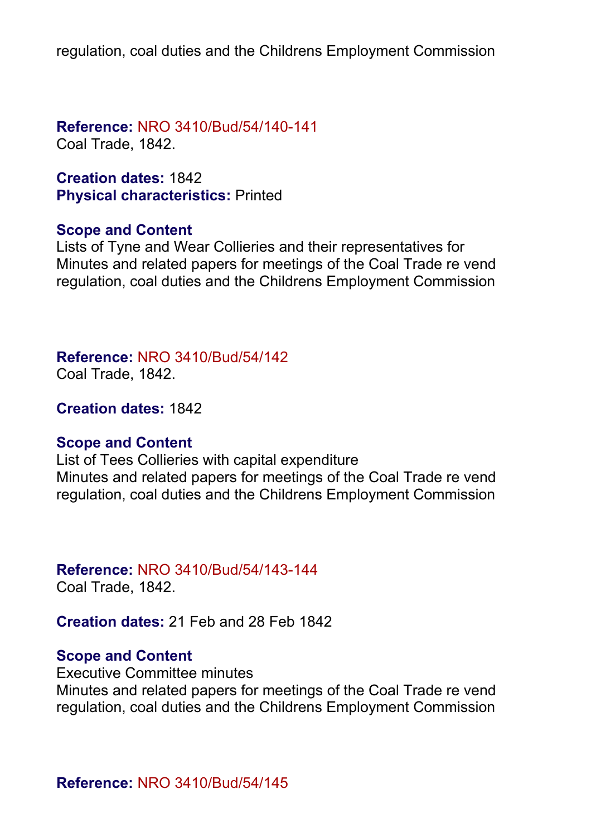regulation, coal duties and the Childrens Employment Commission

**Reference:** NRO 3410/Bud/54/140-141 Coal Trade, 1842.

**Creation dates:** 1842 **Physical characteristics:** Printed

#### **Scope and Content**

Lists of Tyne and Wear Collieries and their representatives for Minutes and related papers for meetings of the Coal Trade re vend regulation, coal duties and the Childrens Employment Commission

**Reference:** NRO 3410/Bud/54/142

Coal Trade, 1842.

**Creation dates:** 1842

#### **Scope and Content**

List of Tees Collieries with capital expenditure Minutes and related papers for meetings of the Coal Trade re vend regulation, coal duties and the Childrens Employment Commission

#### **Reference:** NRO 3410/Bud/54/143-144

Coal Trade, 1842.

**Creation dates:** 21 Feb and 28 Feb 1842

#### **Scope and Content**

Executive Committee minutes Minutes and related papers for meetings of the Coal Trade re vend regulation, coal duties and the Childrens Employment Commission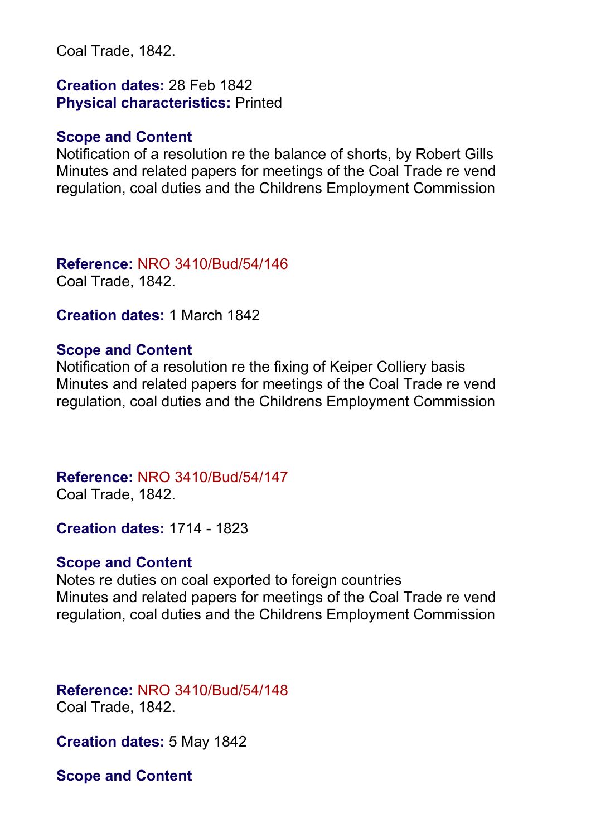Coal Trade, 1842.

**Creation dates:** 28 Feb 1842 **Physical characteristics:** Printed

#### **Scope and Content**

Notification of a resolution re the balance of shorts, by Robert Gills Minutes and related papers for meetings of the Coal Trade re vend regulation, coal duties and the Childrens Employment Commission

**Reference:** NRO 3410/Bud/54/146 Coal Trade, 1842.

**Creation dates:** 1 March 1842

#### **Scope and Content**

Notification of a resolution re the fixing of Keiper Colliery basis Minutes and related papers for meetings of the Coal Trade re vend regulation, coal duties and the Childrens Employment Commission

# **Reference:** NRO 3410/Bud/54/147

Coal Trade, 1842.

**Creation dates:** 1714 - 1823

#### **Scope and Content**

Notes re duties on coal exported to foreign countries Minutes and related papers for meetings of the Coal Trade re vend regulation, coal duties and the Childrens Employment Commission

**Reference:** NRO 3410/Bud/54/148 Coal Trade, 1842.

**Creation dates:** 5 May 1842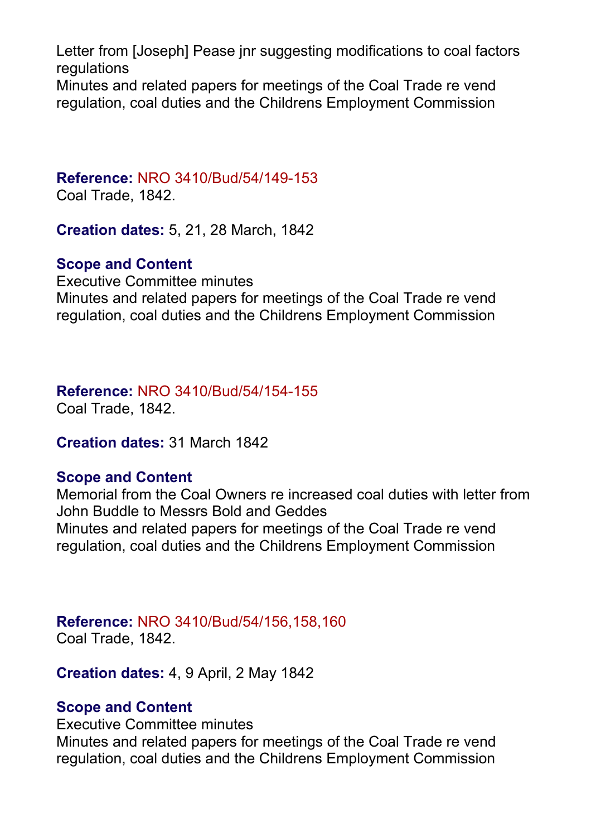Letter from [Joseph] Pease inr suggesting modifications to coal factors regulations Minutes and related papers for meetings of the Coal Trade re vend regulation, coal duties and the Childrens Employment Commission

# **Reference:** NRO 3410/Bud/54/149-153

Coal Trade, 1842.

**Creation dates:** 5, 21, 28 March, 1842

#### **Scope and Content**

Executive Committee minutes Minutes and related papers for meetings of the Coal Trade re vend regulation, coal duties and the Childrens Employment Commission

**Reference:** NRO 3410/Bud/54/154-155

Coal Trade, 1842.

**Creation dates:** 31 March 1842

#### **Scope and Content**

Memorial from the Coal Owners re increased coal duties with letter from John Buddle to Messrs Bold and Geddes Minutes and related papers for meetings of the Coal Trade re vend regulation, coal duties and the Childrens Employment Commission

**Reference:** NRO 3410/Bud/54/156,158,160 Coal Trade, 1842.

**Creation dates:** 4, 9 April, 2 May 1842

#### **Scope and Content**

Executive Committee minutes

Minutes and related papers for meetings of the Coal Trade re vend regulation, coal duties and the Childrens Employment Commission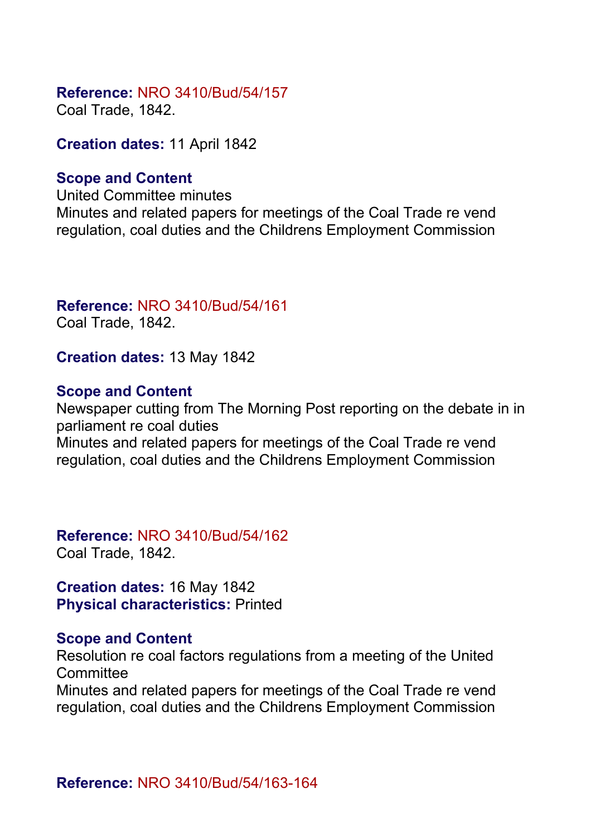#### **Reference:** NRO 3410/Bud/54/157

Coal Trade, 1842.

**Creation dates:** 11 April 1842

#### **Scope and Content**

United Committee minutes Minutes and related papers for meetings of the Coal Trade re vend regulation, coal duties and the Childrens Employment Commission

# **Reference:** NRO 3410/Bud/54/161

Coal Trade, 1842.

**Creation dates:** 13 May 1842

### **Scope and Content**

Newspaper cutting from The Morning Post reporting on the debate in in parliament re coal duties Minutes and related papers for meetings of the Coal Trade re vend

regulation, coal duties and the Childrens Employment Commission

**Reference:** NRO 3410/Bud/54/162 Coal Trade, 1842.

**Creation dates:** 16 May 1842 **Physical characteristics:** Printed

#### **Scope and Content**

Resolution re coal factors regulations from a meeting of the United **Committee** 

Minutes and related papers for meetings of the Coal Trade re vend regulation, coal duties and the Childrens Employment Commission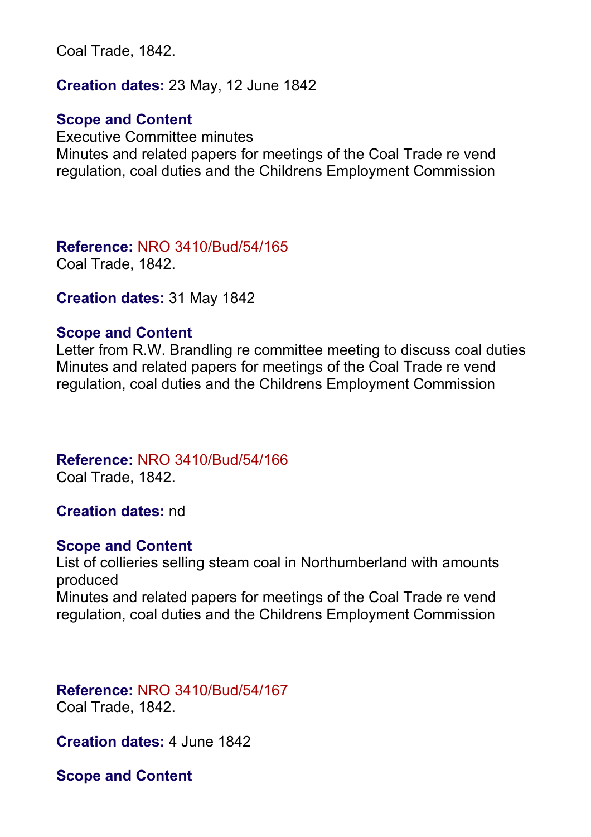Coal Trade, 1842.

**Creation dates:** 23 May, 12 June 1842

#### **Scope and Content**

Executive Committee minutes Minutes and related papers for meetings of the Coal Trade re vend regulation, coal duties and the Childrens Employment Commission

**Reference:** NRO 3410/Bud/54/165 Coal Trade, 1842.

**Creation dates:** 31 May 1842

#### **Scope and Content**

Letter from R.W. Brandling re committee meeting to discuss coal duties Minutes and related papers for meetings of the Coal Trade re vend regulation, coal duties and the Childrens Employment Commission

**Reference:** NRO 3410/Bud/54/166

Coal Trade, 1842.

#### **Creation dates:** nd

#### **Scope and Content**

List of collieries selling steam coal in Northumberland with amounts produced Minutes and related papers for meetings of the Coal Trade re vend regulation, coal duties and the Childrens Employment Commission

**Reference:** NRO 3410/Bud/54/167 Coal Trade, 1842.

**Creation dates:** 4 June 1842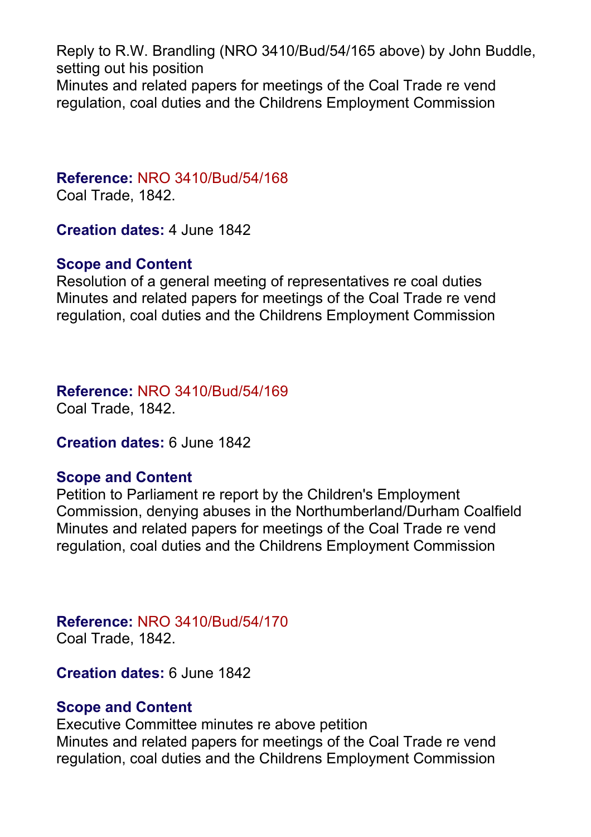Reply to R.W. Brandling (NRO 3410/Bud/54/165 above) by John Buddle, setting out his position Minutes and related papers for meetings of the Coal Trade re vend regulation, coal duties and the Childrens Employment Commission

## **Reference:** NRO 3410/Bud/54/168

Coal Trade, 1842.

**Creation dates:** 4 June 1842

#### **Scope and Content**

Resolution of a general meeting of representatives re coal duties Minutes and related papers for meetings of the Coal Trade re vend regulation, coal duties and the Childrens Employment Commission

# **Reference:** NRO 3410/Bud/54/169

Coal Trade, 1842.

**Creation dates:** 6 June 1842

### **Scope and Content**

Petition to Parliament re report by the Children's Employment Commission, denying abuses in the Northumberland/Durham Coalfield Minutes and related papers for meetings of the Coal Trade re vend regulation, coal duties and the Childrens Employment Commission

**Reference:** NRO 3410/Bud/54/170 Coal Trade, 1842.

**Creation dates:** 6 June 1842

#### **Scope and Content**

Executive Committee minutes re above petition Minutes and related papers for meetings of the Coal Trade re vend regulation, coal duties and the Childrens Employment Commission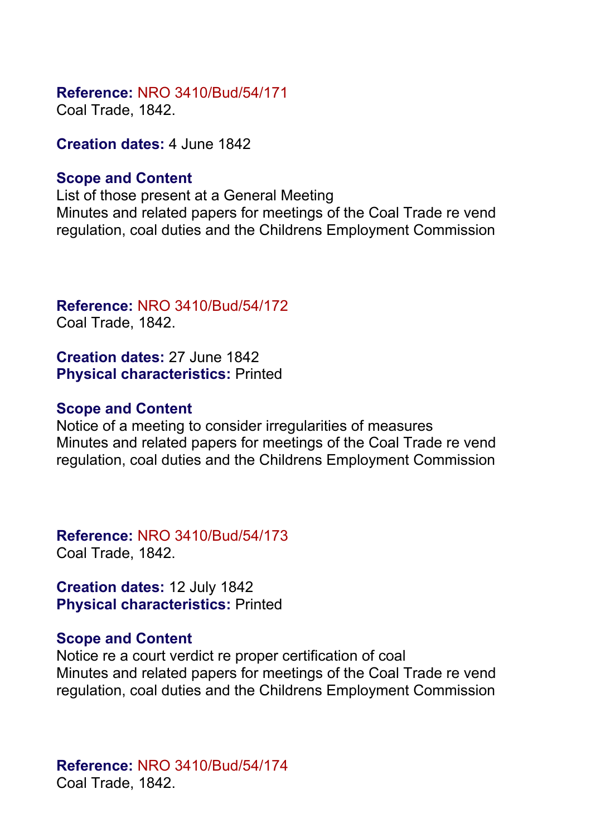### **Reference:** NRO 3410/Bud/54/171

Coal Trade, 1842.

**Creation dates:** 4 June 1842

#### **Scope and Content**

List of those present at a General Meeting Minutes and related papers for meetings of the Coal Trade re vend regulation, coal duties and the Childrens Employment Commission

**Reference:** NRO 3410/Bud/54/172 Coal Trade, 1842.

**Creation dates:** 27 June 1842 **Physical characteristics:** Printed

#### **Scope and Content**

Notice of a meeting to consider irregularities of measures Minutes and related papers for meetings of the Coal Trade re vend regulation, coal duties and the Childrens Employment Commission

**Reference:** NRO 3410/Bud/54/173 Coal Trade, 1842.

**Creation dates:** 12 July 1842 **Physical characteristics:** Printed

#### **Scope and Content**

Notice re a court verdict re proper certification of coal Minutes and related papers for meetings of the Coal Trade re vend regulation, coal duties and the Childrens Employment Commission

**Reference:** NRO 3410/Bud/54/174 Coal Trade, 1842.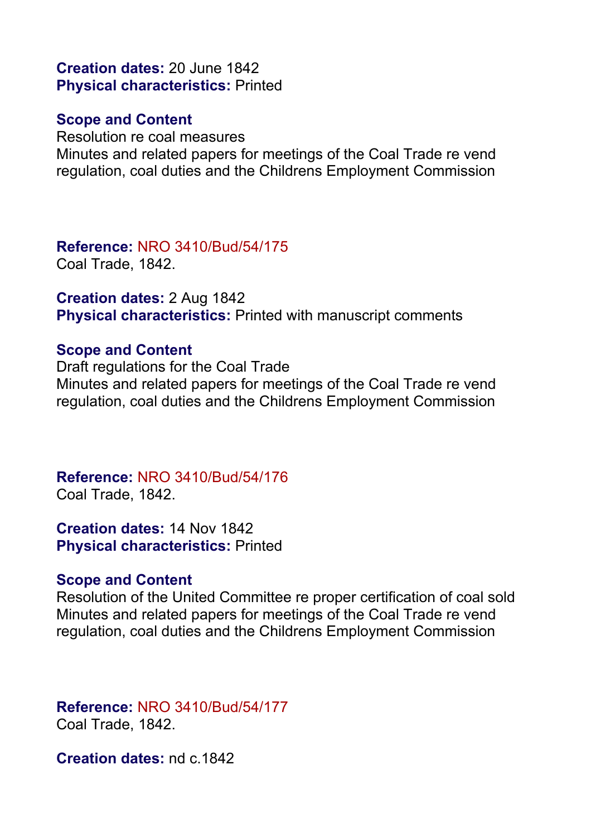**Creation dates:** 20 June 1842 **Physical characteristics:** Printed

#### **Scope and Content**

Resolution re coal measures Minutes and related papers for meetings of the Coal Trade re vend regulation, coal duties and the Childrens Employment Commission

**Reference:** NRO 3410/Bud/54/175 Coal Trade, 1842.

**Creation dates:** 2 Aug 1842 **Physical characteristics:** Printed with manuscript comments

#### **Scope and Content**

Draft regulations for the Coal Trade Minutes and related papers for meetings of the Coal Trade re vend regulation, coal duties and the Childrens Employment Commission

**Reference:** NRO 3410/Bud/54/176 Coal Trade, 1842.

**Creation dates:** 14 Nov 1842 **Physical characteristics:** Printed

#### **Scope and Content**

Resolution of the United Committee re proper certification of coal sold Minutes and related papers for meetings of the Coal Trade re vend regulation, coal duties and the Childrens Employment Commission

#### **Reference:** NRO 3410/Bud/54/177 Coal Trade, 1842.

**Creation dates:** nd c.1842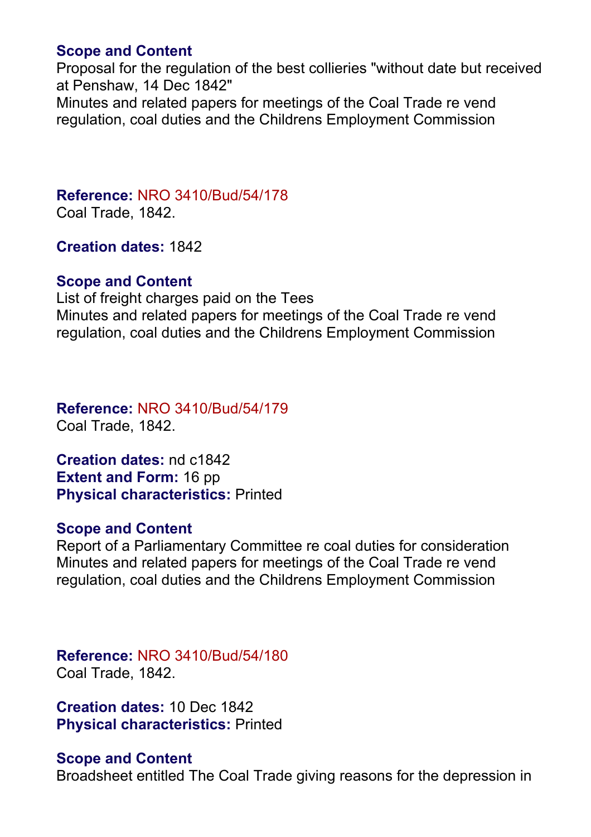#### **Scope and Content**

Proposal for the regulation of the best collieries "without date but received at Penshaw, 14 Dec 1842"

Minutes and related papers for meetings of the Coal Trade re vend regulation, coal duties and the Childrens Employment Commission

# **Reference:** NRO 3410/Bud/54/178

Coal Trade, 1842.

**Creation dates:** 1842

#### **Scope and Content**

List of freight charges paid on the Tees Minutes and related papers for meetings of the Coal Trade re vend regulation, coal duties and the Childrens Employment Commission

**Reference:** NRO 3410/Bud/54/179 Coal Trade, 1842.

**Creation dates:** nd c1842 **Extent and Form:** 16 pp **Physical characteristics:** Printed

#### **Scope and Content**

Report of a Parliamentary Committee re coal duties for consideration Minutes and related papers for meetings of the Coal Trade re vend regulation, coal duties and the Childrens Employment Commission

**Reference:** NRO 3410/Bud/54/180 Coal Trade, 1842.

**Creation dates:** 10 Dec 1842 **Physical characteristics:** Printed

#### **Scope and Content**

Broadsheet entitled The Coal Trade giving reasons for the depression in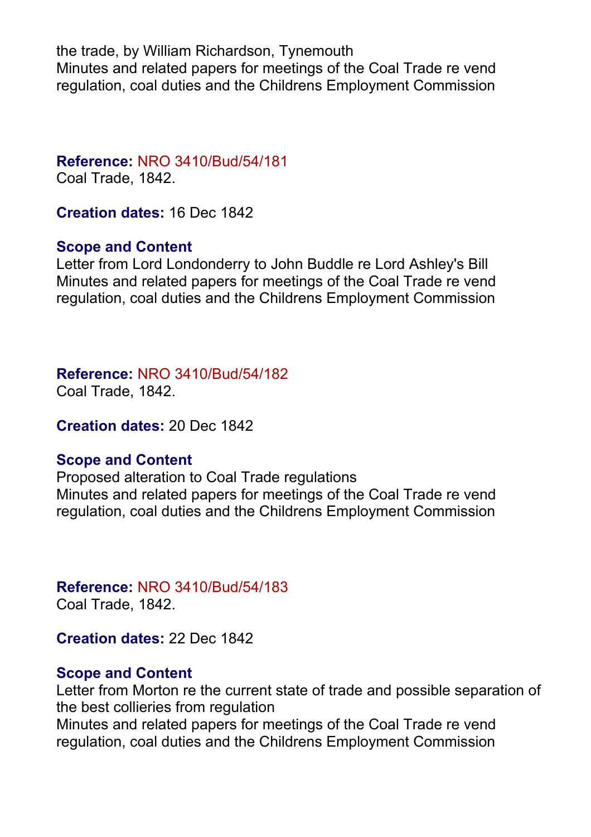the trade, by William Richardson, Tynemouth Minutes and related papers for meetings of the Coal Trade re vend regulation, coal duties and the Childrens Employment Commission

**Reference:** NRO 3410/Bud/54/181 Coal Trade, 1842.

**Creation dates:** 16 Dec 1842

#### **Scope and Content**

Letter from Lord Londonderry to John Buddle re Lord Ashley's Bill Minutes and related papers for meetings of the Coal Trade re vend regulation, coal duties and the Childrens Employment Commission

**Reference:** NRO 3410/Bud/54/182

Coal Trade, 1842.

**Creation dates:** 20 Dec 1842

#### **Scope and Content**

Proposed alteration to Coal Trade regulations Minutes and related papers for meetings of the Coal Trade re vend regulation, coal duties and the Childrens Employment Commission

**Reference:** NRO 3410/Bud/54/183 Coal Trade, 1842.

**Creation dates:** 22 Dec 1842

#### **Scope and Content**

Letter from Morton re the current state of trade and possible separation of the best collieries from regulation Minutes and related papers for meetings of the Coal Trade re vend regulation, coal duties and the Childrens Employment Commission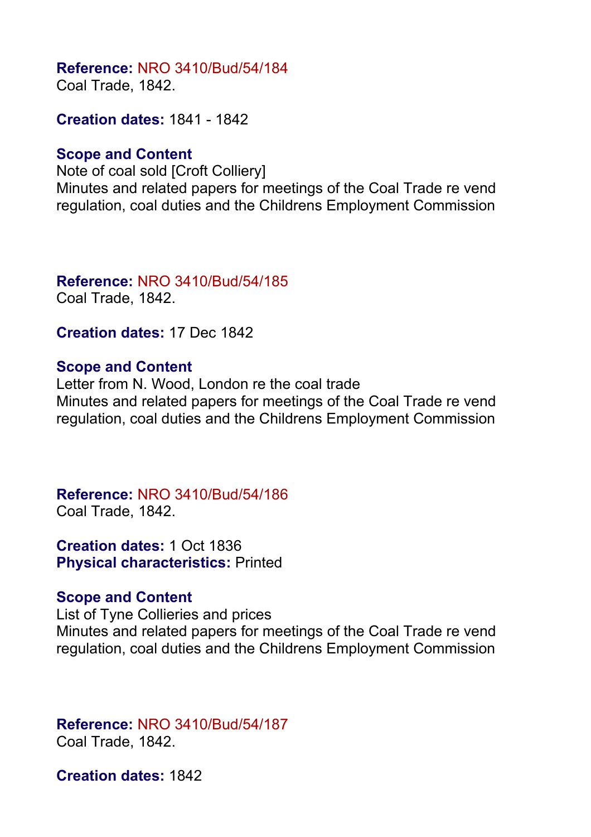#### **Reference:** NRO 3410/Bud/54/184 Coal Trade, 1842.

**Creation dates:** 1841 - 1842

#### **Scope and Content**

Note of coal sold [Croft Colliery] Minutes and related papers for meetings of the Coal Trade re vend regulation, coal duties and the Childrens Employment Commission

# **Reference:** NRO 3410/Bud/54/185

Coal Trade, 1842.

**Creation dates:** 17 Dec 1842

#### **Scope and Content**

Letter from N. Wood, London re the coal trade Minutes and related papers for meetings of the Coal Trade re vend regulation, coal duties and the Childrens Employment Commission

**Reference:** NRO 3410/Bud/54/186 Coal Trade, 1842.

**Creation dates:** 1 Oct 1836 **Physical characteristics:** Printed

#### **Scope and Content**

List of Tyne Collieries and prices Minutes and related papers for meetings of the Coal Trade re vend regulation, coal duties and the Childrens Employment Commission

#### **Reference:** NRO 3410/Bud/54/187 Coal Trade, 1842.

**Creation dates:** 1842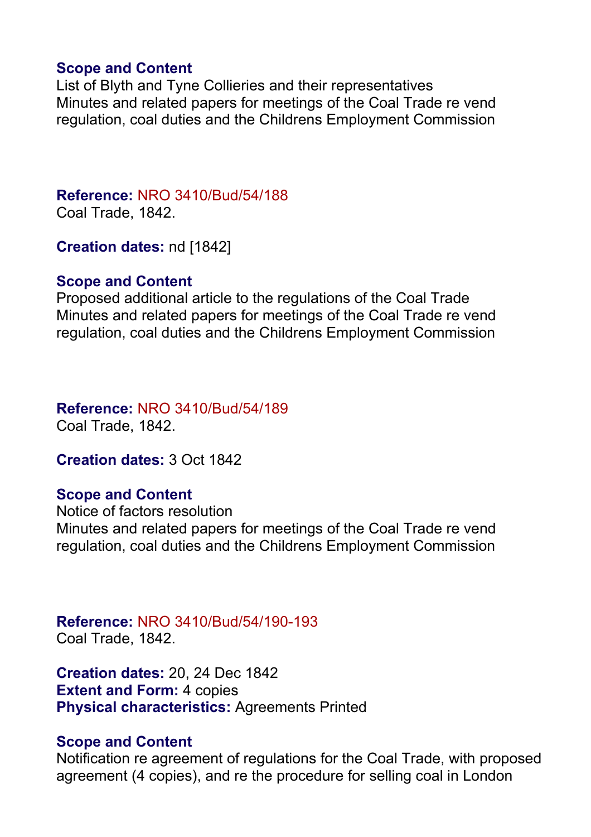#### **Scope and Content**

List of Blyth and Tyne Collieries and their representatives Minutes and related papers for meetings of the Coal Trade re vend regulation, coal duties and the Childrens Employment Commission

#### **Reference:** NRO 3410/Bud/54/188 Coal Trade, 1842.

**Creation dates:** nd [1842]

#### **Scope and Content**

Proposed additional article to the regulations of the Coal Trade Minutes and related papers for meetings of the Coal Trade re vend regulation, coal duties and the Childrens Employment Commission

**Reference:** NRO 3410/Bud/54/189 Coal Trade, 1842.

**Creation dates:** 3 Oct 1842

#### **Scope and Content**

Notice of factors resolution Minutes and related papers for meetings of the Coal Trade re vend regulation, coal duties and the Childrens Employment Commission

**Reference:** NRO 3410/Bud/54/190-193 Coal Trade, 1842.

**Creation dates:** 20, 24 Dec 1842 **Extent and Form: 4 copies Physical characteristics:** Agreements Printed

#### **Scope and Content**

Notification re agreement of regulations for the Coal Trade, with proposed agreement (4 copies), and re the procedure for selling coal in London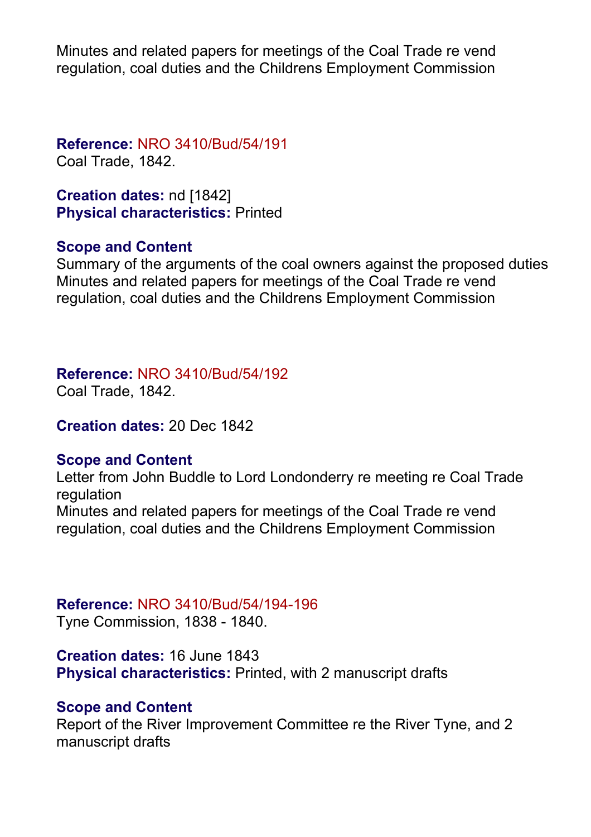Minutes and related papers for meetings of the Coal Trade re vend regulation, coal duties and the Childrens Employment Commission

**Reference:** NRO 3410/Bud/54/191 Coal Trade, 1842.

**Creation dates:** nd [1842] **Physical characteristics:** Printed

#### **Scope and Content**

Summary of the arguments of the coal owners against the proposed duties Minutes and related papers for meetings of the Coal Trade re vend regulation, coal duties and the Childrens Employment Commission

**Reference:** NRO 3410/Bud/54/192

Coal Trade, 1842.

**Creation dates:** 20 Dec 1842

#### **Scope and Content**

Letter from John Buddle to Lord Londonderry re meeting re Coal Trade regulation Minutes and related papers for meetings of the Coal Trade re vend regulation, coal duties and the Childrens Employment Commission

#### **Reference:** NRO 3410/Bud/54/194-196

Tyne Commission, 1838 - 1840.

**Creation dates:** 16 June 1843 **Physical characteristics:** Printed, with 2 manuscript drafts

#### **Scope and Content**

Report of the River Improvement Committee re the River Tyne, and 2 manuscript drafts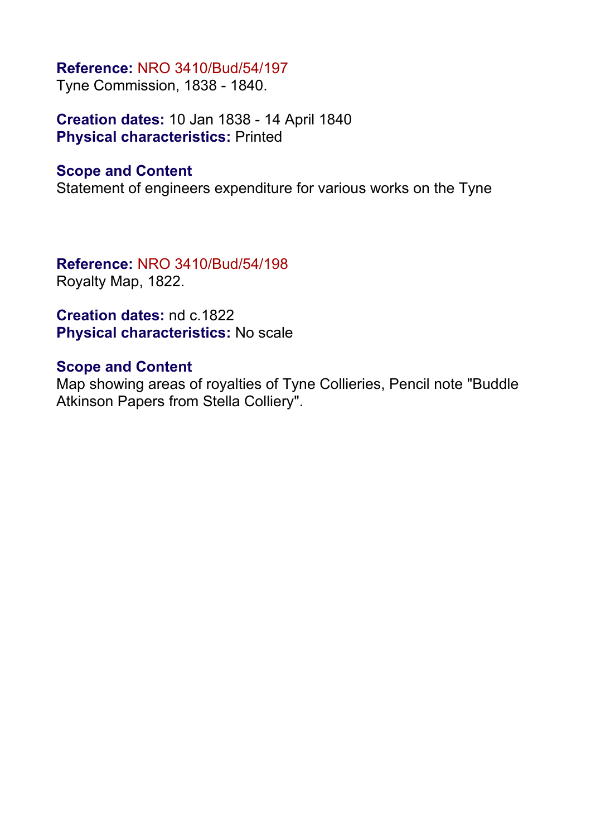#### **Reference:** NRO 3410/Bud/54/197

Tyne Commission, 1838 - 1840.

**Creation dates:** 10 Jan 1838 - 14 April 1840 **Physical characteristics:** Printed

#### **Scope and Content**

Statement of engineers expenditure for various works on the Tyne

**Reference:** NRO 3410/Bud/54/198 Royalty Map, 1822.

**Creation dates:** nd c.1822 **Physical characteristics:** No scale

#### **Scope and Content**

Map showing areas of royalties of Tyne Collieries, Pencil note "Buddle Atkinson Papers from Stella Colliery".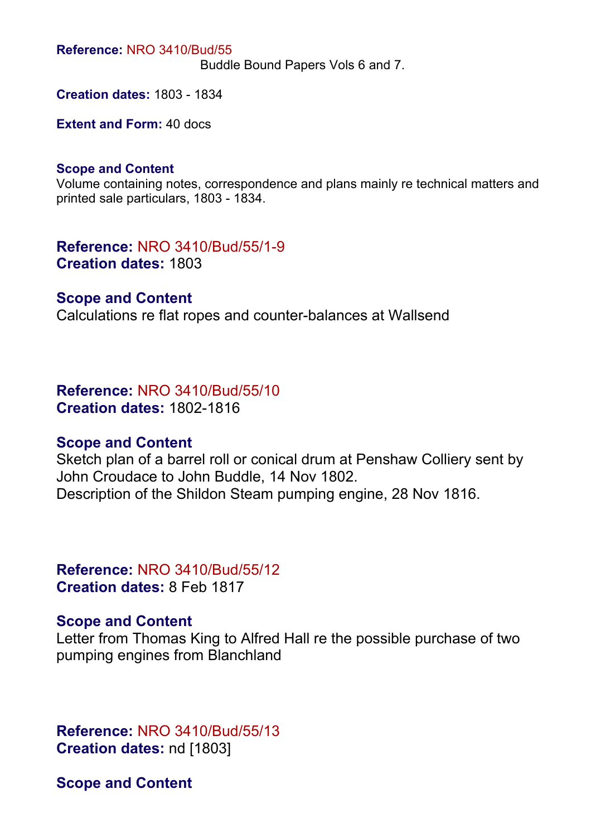**Reference:** NRO 3410/Bud/55

Buddle Bound Papers Vols 6 and 7.

**Creation dates:** 1803 - 1834

**Extent and Form:** 40 docs

#### **Scope and Content**

Volume containing notes, correspondence and plans mainly re technical matters and printed sale particulars, 1803 - 1834.

**Reference:** NRO 3410/Bud/55/1-9 **Creation dates:** 1803

#### **Scope and Content**

Calculations re flat ropes and counter-balances at Wallsend

**Reference:** NRO 3410/Bud/55/10 **Creation dates:** 1802-1816

#### **Scope and Content**

Sketch plan of a barrel roll or conical drum at Penshaw Colliery sent by John Croudace to John Buddle, 14 Nov 1802. Description of the Shildon Steam pumping engine, 28 Nov 1816.

**Reference:** NRO 3410/Bud/55/12 **Creation dates:** 8 Feb 1817

#### **Scope and Content**

Letter from Thomas King to Alfred Hall re the possible purchase of two pumping engines from Blanchland

**Reference:** NRO 3410/Bud/55/13 **Creation dates:** nd [1803]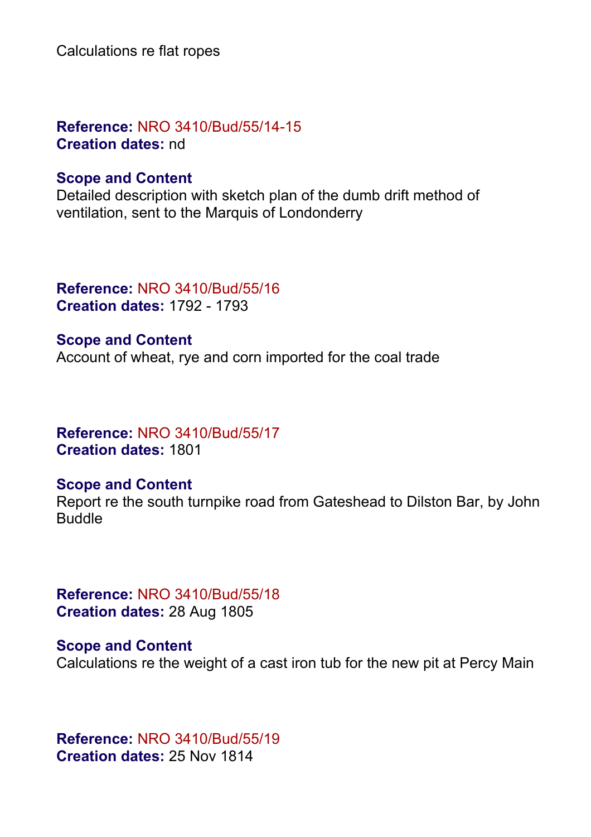Calculations re flat ropes

**Reference:** NRO 3410/Bud/55/14-15 **Creation dates:** nd

#### **Scope and Content**

Detailed description with sketch plan of the dumb drift method of ventilation, sent to the Marquis of Londonderry

**Reference:** NRO 3410/Bud/55/16 **Creation dates:** 1792 - 1793

**Scope and Content** Account of wheat, rye and corn imported for the coal trade

**Reference:** NRO 3410/Bud/55/17 **Creation dates:** 1801

#### **Scope and Content**

Report re the south turnpike road from Gateshead to Dilston Bar, by John Buddle

**Reference:** NRO 3410/Bud/55/18 **Creation dates:** 28 Aug 1805

**Scope and Content** Calculations re the weight of a cast iron tub for the new pit at Percy Main

**Reference:** NRO 3410/Bud/55/19 **Creation dates:** 25 Nov 1814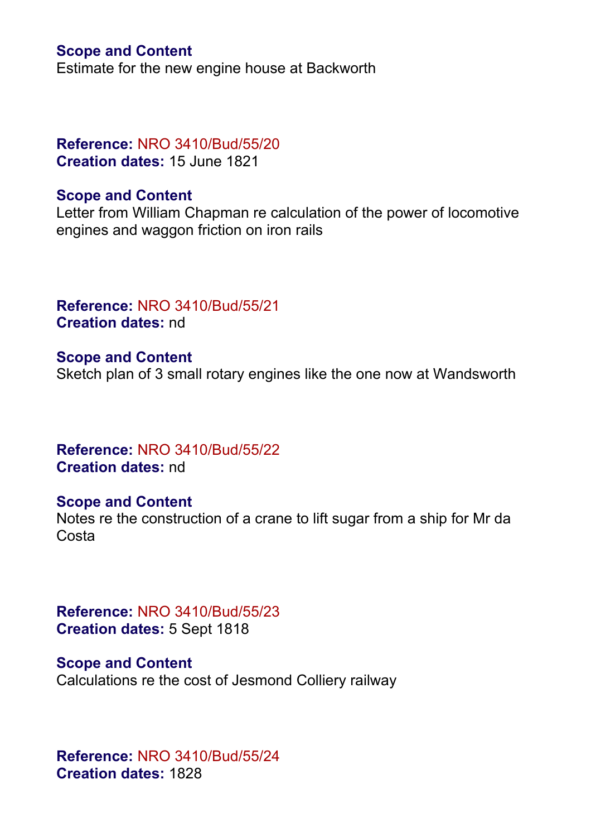#### **Scope and Content**

Estimate for the new engine house at Backworth

#### **Reference:** NRO 3410/Bud/55/20 **Creation dates:** 15 June 1821

#### **Scope and Content**

Letter from William Chapman re calculation of the power of locomotive engines and waggon friction on iron rails

**Reference:** NRO 3410/Bud/55/21 **Creation dates:** nd

**Scope and Content** Sketch plan of 3 small rotary engines like the one now at Wandsworth

**Reference:** NRO 3410/Bud/55/22 **Creation dates:** nd

#### **Scope and Content**

Notes re the construction of a crane to lift sugar from a ship for Mr da **Costa** 

**Reference:** NRO 3410/Bud/55/23 **Creation dates:** 5 Sept 1818

**Scope and Content** Calculations re the cost of Jesmond Colliery railway

**Reference:** NRO 3410/Bud/55/24 **Creation dates:** 1828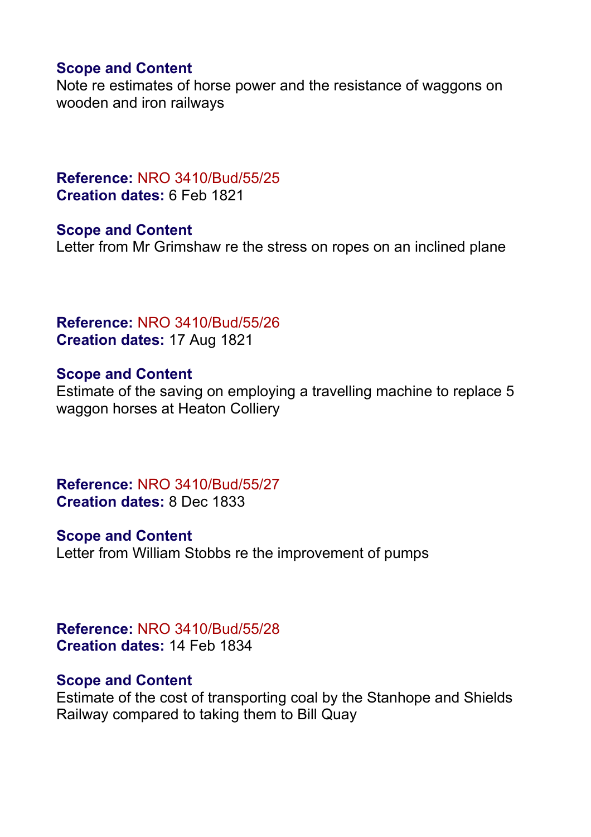#### **Scope and Content**

Note re estimates of horse power and the resistance of waggons on wooden and iron railways

**Reference:** NRO 3410/Bud/55/25 **Creation dates:** 6 Feb 1821

**Scope and Content** Letter from Mr Grimshaw re the stress on ropes on an inclined plane

**Reference:** NRO 3410/Bud/55/26 **Creation dates:** 17 Aug 1821

#### **Scope and Content**

Estimate of the saving on employing a travelling machine to replace 5 waggon horses at Heaton Colliery

**Reference:** NRO 3410/Bud/55/27 **Creation dates:** 8 Dec 1833

**Scope and Content** Letter from William Stobbs re the improvement of pumps

**Reference:** NRO 3410/Bud/55/28 **Creation dates:** 14 Feb 1834

#### **Scope and Content**

Estimate of the cost of transporting coal by the Stanhope and Shields Railway compared to taking them to Bill Quay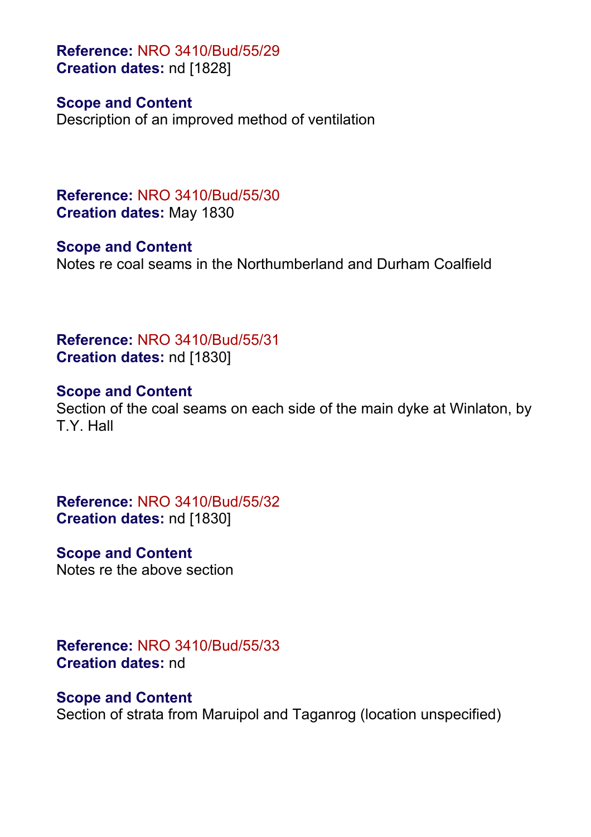**Reference:** NRO 3410/Bud/55/29 **Creation dates:** nd [1828]

#### **Scope and Content**

Description of an improved method of ventilation

**Reference:** NRO 3410/Bud/55/30 **Creation dates:** May 1830

**Scope and Content** Notes re coal seams in the Northumberland and Durham Coalfield

**Reference:** NRO 3410/Bud/55/31 **Creation dates:** nd [1830]

**Scope and Content** Section of the coal seams on each side of the main dyke at Winlaton, by T.Y. Hall

**Reference:** NRO 3410/Bud/55/32 **Creation dates:** nd [1830]

#### **Scope and Content**

Notes re the above section

**Reference:** NRO 3410/Bud/55/33 **Creation dates:** nd

#### **Scope and Content**

Section of strata from Maruipol and Taganrog (location unspecified)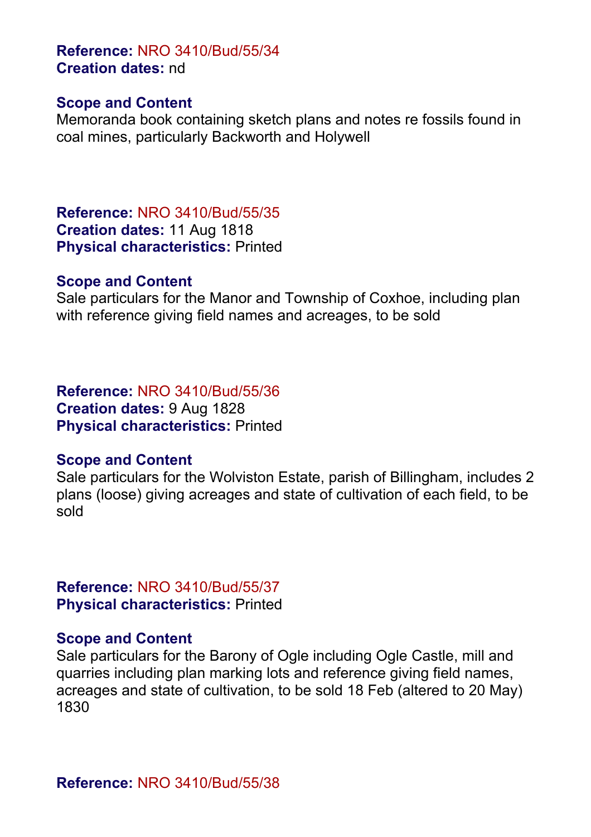## **Reference:** NRO 3410/Bud/55/34 **Creation dates:** nd

#### **Scope and Content**

Memoranda book containing sketch plans and notes re fossils found in coal mines, particularly Backworth and Holywell

**Reference:** NRO 3410/Bud/55/35 **Creation dates:** 11 Aug 1818 **Physical characteristics:** Printed

#### **Scope and Content**

Sale particulars for the Manor and Township of Coxhoe, including plan with reference giving field names and acreages, to be sold

**Reference:** NRO 3410/Bud/55/36 **Creation dates:** 9 Aug 1828 **Physical characteristics:** Printed

#### **Scope and Content**

Sale particulars for the Wolviston Estate, parish of Billingham, includes 2 plans (loose) giving acreages and state of cultivation of each field, to be sold

**Reference:** NRO 3410/Bud/55/37 **Physical characteristics:** Printed

#### **Scope and Content**

Sale particulars for the Barony of Ogle including Ogle Castle, mill and quarries including plan marking lots and reference giving field names, acreages and state of cultivation, to be sold 18 Feb (altered to 20 May) 1830